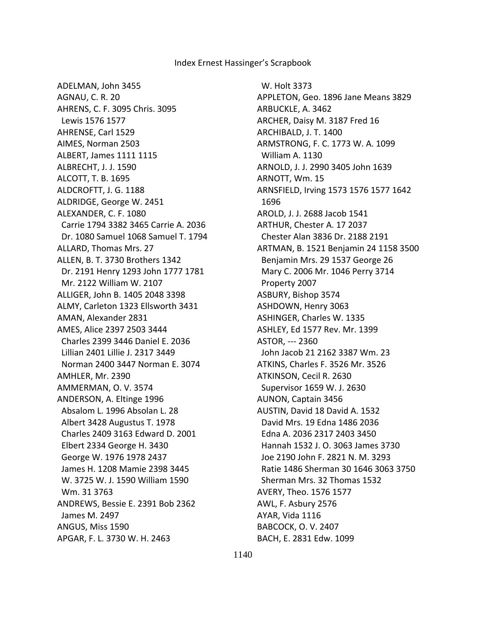ADELMAN, John 3455 AGNAU, C. R. 20 AHRENS, C. F. 3095 Chris. 3095 Lewis 1576 1577 AHRENSE, Carl 1529 AIMES, Norman 2503 ALBERT, James 1111 1115 ALBRECHT, J. J. 1590 ALCOTT, T. B. 1695 ALDCROFTT, J. G. 1188 ALDRIDGE, George W. 2451 ALEXANDER, C. F. 1080 Carrie 1794 3382 3465 Carrie A. 2036 Dr. 1080 Samuel 1068 Samuel T. 1794 ALLARD, Thomas Mrs. 27 ALLEN, B. T. 3730 Brothers 1342 Dr. 2191 Henry 1293 John 1777 1781 Mr. 2122 William W. 2107 ALLIGER, John B. 1405 2048 3398 ALMY, Carleton 1323 Ellsworth 3431 AMAN, Alexander 2831 AMES, Alice 2397 2503 3444 Charles 2399 3446 Daniel E. 2036 Lillian 2401 Lillie J. 2317 3449 Norman 2400 3447 Norman E. 3074 AMHLER, Mr. 2390 AMMERMAN, O. V. 3574 ANDERSON, A. Eltinge 1996 Absalom L. 1996 Absolan L. 28 Albert 3428 Augustus T. 1978 Charles 2409 3163 Edward D. 2001 Elbert 2334 George H. 3430 George W. 1976 1978 2437 James H. 1208 Mamie 2398 3445 W. 3725 W. J. 1590 William 1590 Wm. 31 3763 ANDREWS, Bessie E. 2391 Bob 2362 James M. 2497 ANGUS, Miss 1590 APGAR, F. L. 3730 W. H. 2463

 W. Holt 3373 APPLETON, Geo. 1896 Jane Means 3829 ARBUCKLE, A. 3462 ARCHER, Daisy M. 3187 Fred 16 ARCHIBALD, J. T. 1400 ARMSTRONG, F. C. 1773 W. A. 1099 William A. 1130 ARNOLD, J. J. 2990 3405 John 1639 ARNOTT, Wm. 15 ARNSFIELD, Irving 1573 1576 1577 1642 1696 AROLD, J. J. 2688 Jacob 1541 ARTHUR, Chester A. 17 2037 Chester Alan 3836 Dr. 2188 2191 ARTMAN, B. 1521 Benjamin 24 1158 3500 Benjamin Mrs. 29 1537 George 26 Mary C. 2006 Mr. 1046 Perry 3714 Property 2007 ASBURY, Bishop 3574 ASHDOWN, Henry 3063 ASHINGER, Charles W. 1335 ASHLEY, Ed 1577 Rev. Mr. 1399 ASTOR, --- 2360 John Jacob 21 2162 3387 Wm. 23 ATKINS, Charles F. 3526 Mr. 3526 ATKINSON, Cecil R. 2630 Supervisor 1659 W. J. 2630 AUNON, Captain 3456 AUSTIN, David 18 David A. 1532 David Mrs. 19 Edna 1486 2036 Edna A. 2036 2317 2403 3450 Hannah 1532 J. O. 3063 James 3730 Joe 2190 John F. 2821 N. M. 3293 Ratie 1486 Sherman 30 1646 3063 3750 Sherman Mrs. 32 Thomas 1532 AVERY, Theo. 1576 1577 AWL, F. Asbury 2576 AYAR, Vida 1116 BABCOCK, O. V. 2407 BACH, E. 2831 Edw. 1099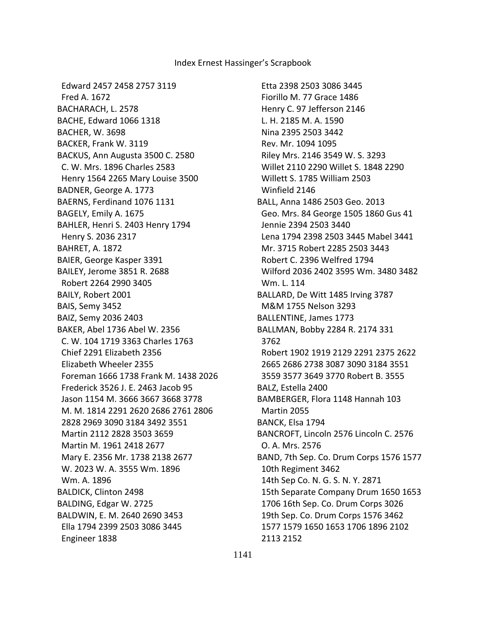Edward 2457 2458 2757 3119 Fred A. 1672 BACHARACH, L. 2578 BACHE, Edward 1066 1318 BACHER, W. 3698 BACKER, Frank W. 3119 BACKUS, Ann Augusta 3500 C. 2580 C. W. Mrs. 1896 Charles 2583 Henry 1564 2265 Mary Louise 3500 BADNER, George A. 1773 BAERNS, Ferdinand 1076 1131 BAGELY, Emily A. 1675 BAHLER, Henri S. 2403 Henry 1794 Henry S. 2036 2317 BAHRET, A. 1872 BAIER, George Kasper 3391 BAILEY, Jerome 3851 R. 2688 Robert 2264 2990 3405 BAILY, Robert 2001 BAIS, Semy 3452 BAIZ, Semy 2036 2403 BAKER, Abel 1736 Abel W. 2356 C. W. 104 1719 3363 Charles 1763 Chief 2291 Elizabeth 2356 Elizabeth Wheeler 2355 Foreman 1666 1738 Frank M. 1438 2026 Frederick 3526 J. E. 2463 Jacob 95 Jason 1154 M. 3666 3667 3668 3778 M. M. 1814 2291 2620 2686 2761 2806 2828 2969 3090 3184 3492 3551 Martin 2112 2828 3503 3659 Martin M. 1961 2418 2677 Mary E. 2356 Mr. 1738 2138 2677 W. 2023 W. A. 3555 Wm. 1896 Wm. A. 1896 BALDICK, Clinton 2498 BALDING, Edgar W. 2725 BALDWIN, E. M. 2640 2690 3453 Ella 1794 2399 2503 3086 3445 Engineer 1838

 Etta 2398 2503 3086 3445 Fiorillo M. 77 Grace 1486 Henry C. 97 Jefferson 2146 L. H. 2185 M. A. 1590 Nina 2395 2503 3442 Rev. Mr. 1094 1095 Riley Mrs. 2146 3549 W. S. 3293 Willet 2110 2290 Willet S. 1848 2290 Willett S. 1785 William 2503 Winfield 2146 BALL, Anna 1486 2503 Geo. 2013 Geo. Mrs. 84 George 1505 1860 Gus 41 Jennie 2394 2503 3440 Lena 1794 2398 2503 3445 Mabel 3441 Mr. 3715 Robert 2285 2503 3443 Robert C. 2396 Welfred 1794 Wilford 2036 2402 3595 Wm. 3480 3482 Wm. L. 114 BALLARD, De Witt 1485 Irving 3787 M&M 1755 Nelson 3293 BALLENTINE, James 1773 BALLMAN, Bobby 2284 R. 2174 331 3762 Robert 1902 1919 2129 2291 2375 2622 2665 2686 2738 3087 3090 3184 3551 3559 3577 3649 3770 Robert B. 3555 BALZ, Estella 2400 BAMBERGER, Flora 1148 Hannah 103 Martin 2055 BANCK, Elsa 1794 BANCROFT, Lincoln 2576 Lincoln C. 2576 O. A. Mrs. 2576 BAND, 7th Sep. Co. Drum Corps 1576 1577 10th Regiment 3462 14th Sep Co. N. G. S. N. Y. 2871 15th Separate Company Drum 1650 1653 1706 16th Sep. Co. Drum Corps 3026 19th Sep. Co. Drum Corps 1576 3462 1577 1579 1650 1653 1706 1896 2102 2113 2152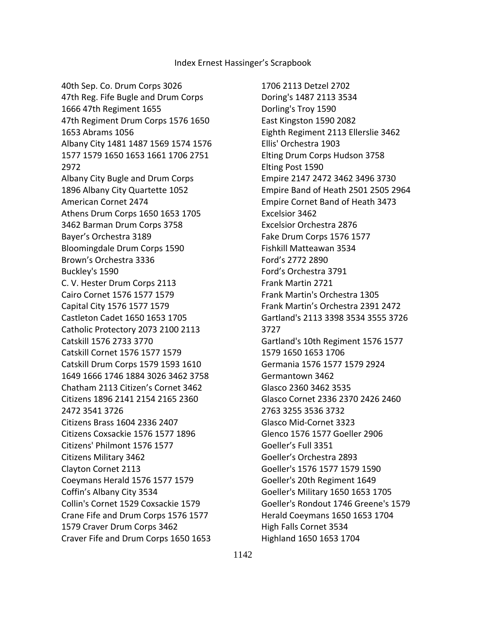40th Sep. Co. Drum Corps 3026 47th Reg. Fife Bugle and Drum Corps 1666 47th Regiment 1655 47th Regiment Drum Corps 1576 1650 1653 Abrams 1056 Albany City 1481 1487 1569 1574 1576 1577 1579 1650 1653 1661 1706 2751 2972 Albany City Bugle and Drum Corps 1896 Albany City Quartette 1052 American Cornet 2474 Athens Drum Corps 1650 1653 1705 3462 Barman Drum Corps 3758 Bayer's Orchestra 3189 Bloomingdale Drum Corps 1590 Brown's Orchestra 3336 Buckley's 1590 C. V. Hester Drum Corps 2113 Cairo Cornet 1576 1577 1579 Capital City 1576 1577 1579 Castleton Cadet 1650 1653 1705 Catholic Protectory 2073 2100 2113 Catskill 1576 2733 3770 Catskill Cornet 1576 1577 1579 Catskill Drum Corps 1579 1593 1610 1649 1666 1746 1884 3026 3462 3758 Chatham 2113 Citizen's Cornet 3462 Citizens 1896 2141 2154 2165 2360 2472 3541 3726 Citizens Brass 1604 2336 2407 Citizens Coxsackie 1576 1577 1896 Citizens' Philmont 1576 1577 Citizens Military 3462 Clayton Cornet 2113 Coeymans Herald 1576 1577 1579 Coffin's Albany City 3534 Collin's Cornet 1529 Coxsackie 1579 Crane Fife and Drum Corps 1576 1577 1579 Craver Drum Corps 3462 Craver Fife and Drum Corps 1650 1653

 1706 2113 Detzel 2702 Doring's 1487 2113 3534 Dorling's Troy 1590 East Kingston 1590 2082 Eighth Regiment 2113 Ellerslie 3462 Ellis' Orchestra 1903 Elting Drum Corps Hudson 3758 Elting Post 1590 Empire 2147 2472 3462 3496 3730 Empire Band of Heath 2501 2505 2964 Empire Cornet Band of Heath 3473 Excelsior 3462 Excelsior Orchestra 2876 Fake Drum Corps 1576 1577 Fishkill Matteawan 3534 Ford's 2772 2890 Ford's Orchestra 3791 Frank Martin 2721 Frank Martin's Orchestra 1305 Frank Martin's Orchestra 2391 2472 Gartland's 2113 3398 3534 3555 3726 3727 Gartland's 10th Regiment 1576 1577 1579 1650 1653 1706 Germania 1576 1577 1579 2924 Germantown 3462 Glasco 2360 3462 3535 Glasco Cornet 2336 2370 2426 2460 2763 3255 3536 3732 Glasco Mid-Cornet 3323 Glenco 1576 1577 Goeller 2906 Goeller's Full 3351 Goeller's Orchestra 2893 Goeller's 1576 1577 1579 1590 Goeller's 20th Regiment 1649 Goeller's Military 1650 1653 1705 Goeller's Rondout 1746 Greene's 1579 Herald Coeymans 1650 1653 1704 High Falls Cornet 3534 Highland 1650 1653 1704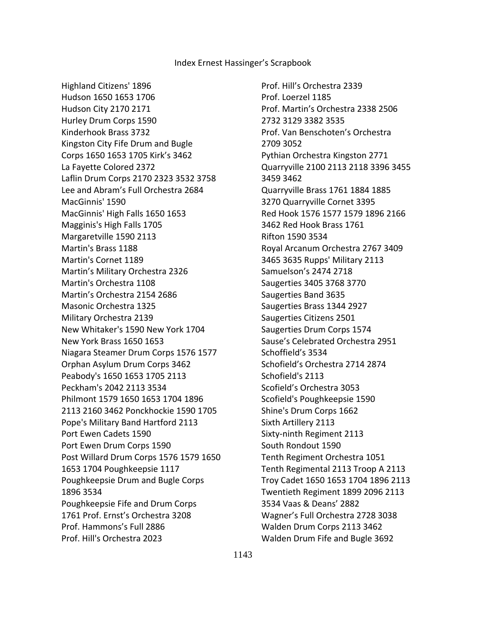Highland Citizens' 1896 Hudson 1650 1653 1706 Hudson City 2170 2171 Hurley Drum Corps 1590 Kinderhook Brass 3732 Kingston City Fife Drum and Bugle Corps 1650 1653 1705 Kirk's 3462 La Fayette Colored 2372 Laflin Drum Corps 2170 2323 3532 3758 Lee and Abram's Full Orchestra 2684 MacGinnis' 1590 MacGinnis' High Falls 1650 1653 Magginis's High Falls 1705 Margaretville 1590 2113 Martin's Brass 1188 Martin's Cornet 1189 Martin's Military Orchestra 2326 Martin's Orchestra 1108 Martin's Orchestra 2154 2686 Masonic Orchestra 1325 Military Orchestra 2139 New Whitaker's 1590 New York 1704 New York Brass 1650 1653 Niagara Steamer Drum Corps 1576 1577 Orphan Asylum Drum Corps 3462 Peabody's 1650 1653 1705 2113 Peckham's 2042 2113 3534 Philmont 1579 1650 1653 1704 1896 2113 2160 3462 Ponckhockie 1590 1705 Pope's Military Band Hartford 2113 Port Ewen Cadets 1590 Port Ewen Drum Corps 1590 Post Willard Drum Corps 1576 1579 1650 1653 1704 Poughkeepsie 1117 Poughkeepsie Drum and Bugle Corps 1896 3534 Poughkeepsie Fife and Drum Corps 1761 Prof. Ernst's Orchestra 3208 Prof. Hammons's Full 2886 Prof. Hill's Orchestra 2023

 Prof. Hill's Orchestra 2339 Prof. Loerzel 1185 Prof. Martin's Orchestra 2338 2506 2732 3129 3382 3535 Prof. Van Benschoten's Orchestra 2709 3052 Pythian Orchestra Kingston 2771 Quarryville 2100 2113 2118 3396 3455 3459 3462 Quarryville Brass 1761 1884 1885 3270 Quarryville Cornet 3395 Red Hook 1576 1577 1579 1896 2166 3462 Red Hook Brass 1761 Rifton 1590 3534 Royal Arcanum Orchestra 2767 3409 3465 3635 Rupps' Military 2113 Samuelson's 2474 2718 Saugerties 3405 3768 3770 Saugerties Band 3635 Saugerties Brass 1344 2927 Saugerties Citizens 2501 Saugerties Drum Corps 1574 Sause's Celebrated Orchestra 2951 Schoffield's 3534 Schofield's Orchestra 2714 2874 Schofield's 2113 Scofield's Orchestra 3053 Scofield's Poughkeepsie 1590 Shine's Drum Corps 1662 Sixth Artillery 2113 Sixty-ninth Regiment 2113 South Rondout 1590 Tenth Regiment Orchestra 1051 Tenth Regimental 2113 Troop A 2113 Troy Cadet 1650 1653 1704 1896 2113 Twentieth Regiment 1899 2096 2113 3534 Vaas & Deans' 2882 Wagner's Full Orchestra 2728 3038 Walden Drum Corps 2113 3462 Walden Drum Fife and Bugle 3692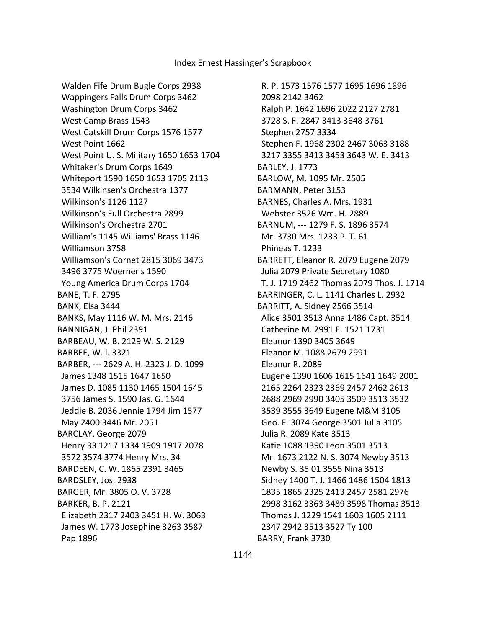Walden Fife Drum Bugle Corps 2938 Wappingers Falls Drum Corps 3462 Washington Drum Corps 3462 West Camp Brass 1543 West Catskill Drum Corps 1576 1577 West Point 1662 West Point U. S. Military 1650 1653 1704 Whitaker's Drum Corps 1649 Whiteport 1590 1650 1653 1705 2113 3534 Wilkinsen's Orchestra 1377 Wilkinson's 1126 1127 Wilkinson's Full Orchestra 2899 Wilkinson's Orchestra 2701 William's 1145 Williams' Brass 1146 Williamson 3758 Williamson's Cornet 2815 3069 3473 3496 3775 Woerner's 1590 Young America Drum Corps 1704 BANE, T. F. 2795 BANK, Elsa 3444 BANKS, May 1116 W. M. Mrs. 2146 BANNIGAN, J. Phil 2391 BARBEAU, W. B. 2129 W. S. 2129 BARBEE, W. l. 3321 BARBER, --- 2629 A. H. 2323 J. D. 1099 James 1348 1515 1647 1650 James D. 1085 1130 1465 1504 1645 3756 James S. 1590 Jas. G. 1644 Jeddie B. 2036 Jennie 1794 Jim 1577 May 2400 3446 Mr. 2051 BARCLAY, George 2079 Henry 33 1217 1334 1909 1917 2078 3572 3574 3774 Henry Mrs. 34 BARDEEN, C. W. 1865 2391 3465 BARDSLEY, Jos. 2938 BARGER, Mr. 3805 O. V. 3728 BARKER, B. P. 2121 Elizabeth 2317 2403 3451 H. W. 3063 James W. 1773 Josephine 3263 3587 Pap 1896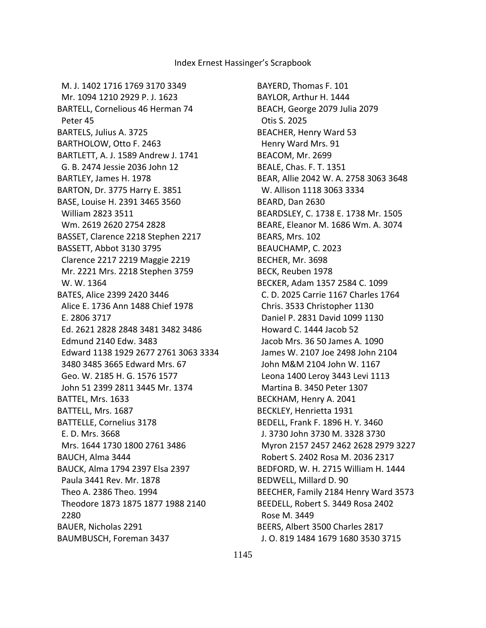M. J. 1402 1716 1769 3170 3349 Mr. 1094 1210 2929 P. J. 1623 BARTELL, Cornelious 46 Herman 74 Peter 45 BARTELS, Julius A. 3725 BARTHOLOW, Otto F. 2463 BARTLETT, A. J. 1589 Andrew J. 1741 G. B. 2474 Jessie 2036 John 12 BARTLEY, James H. 1978 BARTON, Dr. 3775 Harry E. 3851 BASE, Louise H. 2391 3465 3560 William 2823 3511 Wm. 2619 2620 2754 2828 BASSET, Clarence 2218 Stephen 2217 BASSETT, Abbot 3130 3795 Clarence 2217 2219 Maggie 2219 Mr. 2221 Mrs. 2218 Stephen 3759 W. W. 1364 BATES, Alice 2399 2420 3446 Alice E. 1736 Ann 1488 Chief 1978 E. 2806 3717 Ed. 2621 2828 2848 3481 3482 3486 Edmund 2140 Edw. 3483 Edward 1138 1929 2677 2761 3063 3334 3480 3485 3665 Edward Mrs. 67 Geo. W. 2185 H. G. 1576 1577 John 51 2399 2811 3445 Mr. 1374 BATTEL, Mrs. 1633 BATTELL, Mrs. 1687 BATTELLE, Cornelius 3178 E. D. Mrs. 3668 Mrs. 1644 1730 1800 2761 3486 BAUCH, Alma 3444 BAUCK, Alma 1794 2397 Elsa 2397 Paula 3441 Rev. Mr. 1878 Theo A. 2386 Theo. 1994 Theodore 1873 1875 1877 1988 2140 2280 BAUER, Nicholas 2291 BAUMBUSCH, Foreman 3437

BAYERD, Thomas F. 101 BAYLOR, Arthur H. 1444 BEACH, George 2079 Julia 2079 Otis S. 2025 BEACHER, Henry Ward 53 Henry Ward Mrs. 91 BEACOM, Mr. 2699 BEALE, Chas. F. T. 1351 BEAR, Allie 2042 W. A. 2758 3063 3648 W. Allison 1118 3063 3334 BEARD, Dan 2630 BEARDSLEY, C. 1738 E. 1738 Mr. 1505 BEARE, Eleanor M. 1686 Wm. A. 3074 BEARS, Mrs. 102 BEAUCHAMP, C. 2023 BECHER, Mr. 3698 BECK, Reuben 1978 BECKER, Adam 1357 2584 C. 1099 C. D. 2025 Carrie 1167 Charles 1764 Chris. 3533 Christopher 1130 Daniel P. 2831 David 1099 1130 Howard C. 1444 Jacob 52 Jacob Mrs. 36 50 James A. 1090 James W. 2107 Joe 2498 John 2104 John M&M 2104 John W. 1167 Leona 1400 Leroy 3443 Levi 1113 Martina B. 3450 Peter 1307 BECKHAM, Henry A. 2041 BECKLEY, Henrietta 1931 BEDELL, Frank F. 1896 H. Y. 3460 J. 3730 John 3730 M. 3328 3730 Myron 2157 2457 2462 2628 2979 3227 Robert S. 2402 Rosa M. 2036 2317 BEDFORD, W. H. 2715 William H. 1444 BEDWELL, Millard D. 90 BEECHER, Family 2184 Henry Ward 3573 BEEDELL, Robert S. 3449 Rosa 2402 Rose M. 3449 BEERS, Albert 3500 Charles 2817 J. O. 819 1484 1679 1680 3530 3715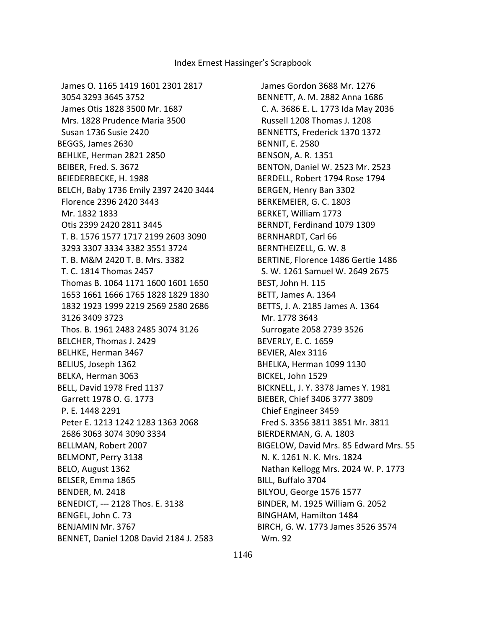James O. 1165 1419 1601 2301 2817 3054 3293 3645 3752 James Otis 1828 3500 Mr. 1687 Mrs. 1828 Prudence Maria 3500 Susan 1736 Susie 2420 BEGGS, James 2630 BEHLKE, Herman 2821 2850 BEIBER, Fred. S. 3672 BEIEDERBECKE, H. 1988 BELCH, Baby 1736 Emily 2397 2420 3444 Florence 2396 2420 3443 Mr. 1832 1833 Otis 2399 2420 2811 3445 T. B. 1576 1577 1717 2199 2603 3090 3293 3307 3334 3382 3551 3724 T. B. M&M 2420 T. B. Mrs. 3382 T. C. 1814 Thomas 2457 Thomas B. 1064 1171 1600 1601 1650 1653 1661 1666 1765 1828 1829 1830 1832 1923 1999 2219 2569 2580 2686 3126 3409 3723 Thos. B. 1961 2483 2485 3074 3126 BELCHER, Thomas J. 2429 BELHKE, Herman 3467 BELIUS, Joseph 1362 BELKA, Herman 3063 BELL, David 1978 Fred 1137 Garrett 1978 O. G. 1773 P. E. 1448 2291 Peter E. 1213 1242 1283 1363 2068 2686 3063 3074 3090 3334 BELLMAN, Robert 2007 BELMONT, Perry 3138 BELO, August 1362 BELSER, Emma 1865 BENDER, M. 2418 BENEDICT, --- 2128 Thos. E. 3138 BENGEL, John C. 73 BENJAMIN Mr. 3767 BENNET, Daniel 1208 David 2184 J. 2583

 James Gordon 3688 Mr. 1276 BENNETT, A. M. 2882 Anna 1686 C. A. 3686 E. L. 1773 Ida May 2036 Russell 1208 Thomas J. 1208 BENNETTS, Frederick 1370 1372 BENNIT, E. 2580 BENSON, A. R. 1351 BENTON, Daniel W. 2523 Mr. 2523 BERDELL, Robert 1794 Rose 1794 BERGEN, Henry Ban 3302 BERKEMEIER, G. C. 1803 BERKET, William 1773 BERNDT, Ferdinand 1079 1309 BERNHARDT, Carl 66 BERNTHEIZELL, G. W. 8 BERTINE, Florence 1486 Gertie 1486 S. W. 1261 Samuel W. 2649 2675 BEST, John H. 115 BETT, James A. 1364 BETTS, J. A. 2185 James A. 1364 Mr. 1778 3643 Surrogate 2058 2739 3526 BEVERLY, E. C. 1659 BEVIER, Alex 3116 BHELKA, Herman 1099 1130 BICKEL, John 1529 BICKNELL, J. Y. 3378 James Y. 1981 BIEBER, Chief 3406 3777 3809 Chief Engineer 3459 Fred S. 3356 3811 3851 Mr. 3811 BIERDERMAN, G. A. 1803 BIGELOW, David Mrs. 85 Edward Mrs. 55 N. K. 1261 N. K. Mrs. 1824 Nathan Kellogg Mrs. 2024 W. P. 1773 BILL, Buffalo 3704 BILYOU, George 1576 1577 BINDER, M. 1925 William G. 2052 BINGHAM, Hamilton 1484 BIRCH, G. W. 1773 James 3526 3574 Wm. 92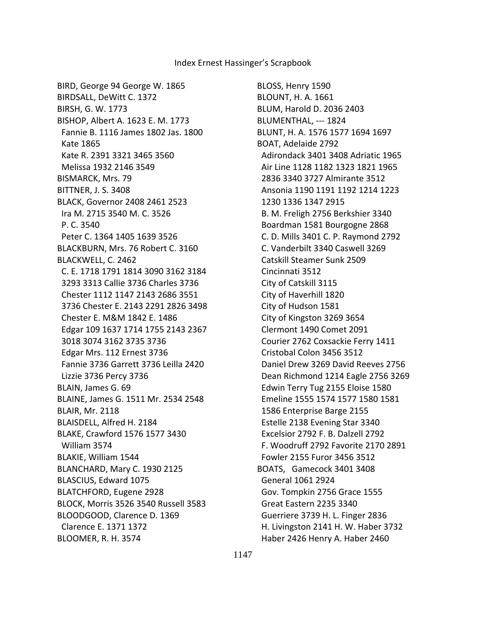BIRD, George 94 George W. 1865 BIRDSALL, DeWitt C. 1372 BIRSH, G. W. 1773 BISHOP, Albert A. 1623 E. M. 1773 Fannie B. 1116 James 1802 Jas. 1800 Kate 1865 Kate R. 2391 3321 3465 3560 Melissa 1932 2146 3549 BISMARCK, Mrs. 79 BITTNER, J. S. 3408 BLACK, Governor 2408 2461 2523 Ira M. 2715 3540 M. C. 3526 P. C. 3540 Peter C. 1364 1405 1639 3526 BLACKBURN, Mrs. 76 Robert C. 3160 BLACKWELL, C. 2462 C. E. 1718 1791 1814 3090 3162 3184 3293 3313 Callie 3736 Charles 3736 Chester 1112 1147 2143 2686 3551 3736 Chester E. 2143 2291 2826 3498 Chester E. M&M 1842 E. 1486 Edgar 109 1637 1714 1755 2143 2367 3018 3074 3162 3735 3736 Edgar Mrs. 112 Ernest 3736 Fannie 3736 Garrett 3736 Leilla 2420 Lizzie 3736 Percy 3736 BLAIN, James G. 69 BLAINE, James G. 1511 Mr. 2534 2548 BLAIR, Mr. 2118 BLAISDELL, Alfred H. 2184 BLAKE, Crawford 1576 1577 3430 William 3574 BLAKIE, William 1544 BLANCHARD, Mary C. 1930 2125 BLASCIUS, Edward 1075 BLATCHFORD, Eugene 2928 BLOCK, Morris 3526 3540 Russell 3583 BLOODGOOD, Clarence D. 1369 Clarence E. 1371 1372 BLOOMER, R. H. 3574

BLOSS, Henry 1590 BLOUNT, H. A. 1661 BLUM, Harold D. 2036 2403 BLUMENTHAL, --- 1824 BLUNT, H. A. 1576 1577 1694 1697 BOAT, Adelaide 2792 Adirondack 3401 3408 Adriatic 1965 Air Line 1128 1182 1323 1821 1965 2836 3340 3727 Almirante 3512 Ansonia 1190 1191 1192 1214 1223 1230 1336 1347 2915 B. M. Freligh 2756 Berkshier 3340 Boardman 1581 Bourgogne 2868 C. D. Mills 3401 C. P. Raymond 2792 C. Vanderbilt 3340 Caswell 3269 Catskill Steamer Sunk 2509 Cincinnati 3512 City of Catskill 3115 City of Haverhill 1820 City of Hudson 1581 City of Kingston 3269 3654 Clermont 1490 Comet 2091 Courier 2762 Coxsackie Ferry 1411 Cristobal Colon 3456 3512 Daniel Drew 3269 David Reeves 2756 Dean Richmond 1214 Eagle 2756 3269 Edwin Terry Tug 2155 Eloise 1580 Emeline 1555 1574 1577 1580 1581 1586 Enterprise Barge 2155 Estelle 2138 Evening Star 3340 Excelsior 2792 F. B. Dalzell 2792 F. Woodruff 2792 Favorite 2170 2891 Fowler 2155 Furor 3456 3512 BOATS, Gamecock 3401 3408 General 1061 2924 Gov. Tompkin 2756 Grace 1555 Great Eastern 2235 3340 Guerriere 3739 H. L. Finger 2836 H. Livingston 2141 H. W. Haber 3732 Haber 2426 Henry A. Haber 2460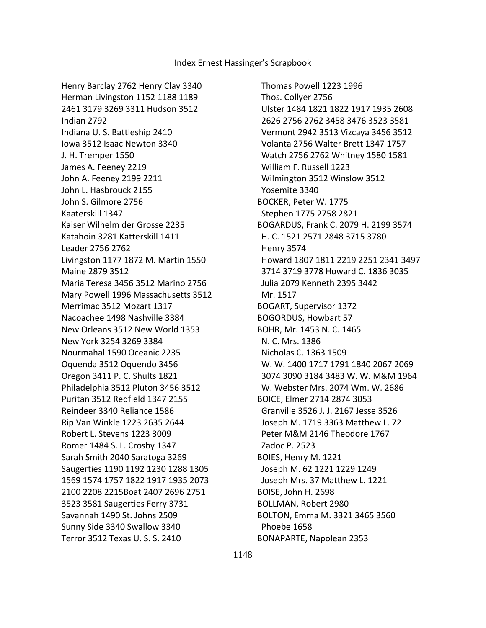Henry Barclay 2762 Henry Clay 3340 Herman Livingston 1152 1188 1189 2461 3179 3269 3311 Hudson 3512 Indian 2792 Indiana U. S. Battleship 2410 Iowa 3512 Isaac Newton 3340 J. H. Tremper 1550 James A. Feeney 2219 John A. Feeney 2199 2211 John L. Hasbrouck 2155 John S. Gilmore 2756 Kaaterskill 1347 Kaiser Wilhelm der Grosse 2235 Katahoin 3281 Katterskill 1411 Leader 2756 2762 Livingston 1177 1872 M. Martin 1550 Maine 2879 3512 Maria Teresa 3456 3512 Marino 2756 Mary Powell 1996 Massachusetts 3512 Merrimac 3512 Mozart 1317 Nacoachee 1498 Nashville 3384 New Orleans 3512 New World 1353 New York 3254 3269 3384 Nourmahal 1590 Oceanic 2235 Oquenda 3512 Oquendo 3456 Oregon 3411 P. C. Shults 1821 Philadelphia 3512 Pluton 3456 3512 Puritan 3512 Redfield 1347 2155 Reindeer 3340 Reliance 1586 Rip Van Winkle 1223 2635 2644 Robert L. Stevens 1223 3009 Romer 1484 S. L. Crosby 1347 Sarah Smith 2040 Saratoga 3269 Saugerties 1190 1192 1230 1288 1305 1569 1574 1757 1822 1917 1935 2073 2100 2208 2215Boat 2407 2696 2751 3523 3581 Saugerties Ferry 3731 Savannah 1490 St. Johns 2509 Sunny Side 3340 Swallow 3340 Terror 3512 Texas U. S. S. 2410

 Thomas Powell 1223 1996 Thos. Collyer 2756 Ulster 1484 1821 1822 1917 1935 2608 2626 2756 2762 3458 3476 3523 3581 Vermont 2942 3513 Vizcaya 3456 3512 Volanta 2756 Walter Brett 1347 1757 Watch 2756 2762 Whitney 1580 1581 William F. Russell 1223 Wilmington 3512 Winslow 3512 Yosemite 3340 BOCKER, Peter W. 1775 Stephen 1775 2758 2821 BOGARDUS, Frank C. 2079 H. 2199 3574 H. C. 1521 2571 2848 3715 3780 Henry 3574 Howard 1807 1811 2219 2251 2341 3497 3714 3719 3778 Howard C. 1836 3035 Julia 2079 Kenneth 2395 3442 Mr. 1517 BOGART, Supervisor 1372 BOGORDUS, Howbart 57 BOHR, Mr. 1453 N. C. 1465 N. C. Mrs. 1386 Nicholas C. 1363 1509 W. W. 1400 1717 1791 1840 2067 2069 3074 3090 3184 3483 W. W. M&M 1964 W. Webster Mrs. 2074 Wm. W. 2686 BOICE, Elmer 2714 2874 3053 Granville 3526 J. J. 2167 Jesse 3526 Joseph M. 1719 3363 Matthew L. 72 Peter M&M 2146 Theodore 1767 Zadoc P. 2523 BOIES, Henry M. 1221 Joseph M. 62 1221 1229 1249 Joseph Mrs. 37 Matthew L. 1221 BOISE, John H. 2698 BOLLMAN, Robert 2980 BOLTON, Emma M. 3321 3465 3560 Phoebe 1658 BONAPARTE, Napolean 2353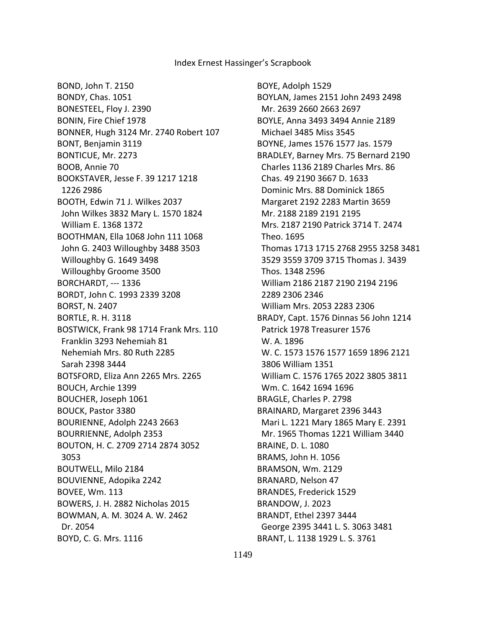BOND, John T. 2150 BONDY, Chas. 1051 BONESTEEL, Floy J. 2390 BONIN, Fire Chief 1978 BONNER, Hugh 3124 Mr. 2740 Robert 107 BONT, Benjamin 3119 BONTICUE, Mr. 2273 BOOB, Annie 70 BOOKSTAVER, Jesse F. 39 1217 1218 1226 2986 BOOTH, Edwin 71 J. Wilkes 2037 John Wilkes 3832 Mary L. 1570 1824 William E. 1368 1372 BOOTHMAN, Ella 1068 John 111 1068 John G. 2403 Willoughby 3488 3503 Willoughby G. 1649 3498 Willoughby Groome 3500 BORCHARDT, --- 1336 BORDT, John C. 1993 2339 3208 BORST, N. 2407 BORTLE, R. H. 3118 BOSTWICK, Frank 98 1714 Frank Mrs. 110 Franklin 3293 Nehemiah 81 Nehemiah Mrs. 80 Ruth 2285 Sarah 2398 3444 BOTSFORD, Eliza Ann 2265 Mrs. 2265 BOUCH, Archie 1399 BOUCHER, Joseph 1061 BOUCK, Pastor 3380 BOURIENNE, Adolph 2243 2663 BOURRIENNE, Adolph 2353 BOUTON, H. C. 2709 2714 2874 3052 3053 BOUTWELL, Milo 2184 BOUVIENNE, Adopika 2242 BOVEE, Wm. 113 BOWERS, J. H. 2882 Nicholas 2015 BOWMAN, A. M. 3024 A. W. 2462 Dr. 2054 BOYD, C. G. Mrs. 1116

BOYE, Adolph 1529 BOYLAN, James 2151 John 2493 2498 Mr. 2639 2660 2663 2697 BOYLE, Anna 3493 3494 Annie 2189 Michael 3485 Miss 3545 BOYNE, James 1576 1577 Jas. 1579 BRADLEY, Barney Mrs. 75 Bernard 2190 Charles 1136 2189 Charles Mrs. 86 Chas. 49 2190 3667 D. 1633 Dominic Mrs. 88 Dominick 1865 Margaret 2192 2283 Martin 3659 Mr. 2188 2189 2191 2195 Mrs. 2187 2190 Patrick 3714 T. 2474 Theo. 1695 Thomas 1713 1715 2768 2955 3258 3481 3529 3559 3709 3715 Thomas J. 3439 Thos. 1348 2596 William 2186 2187 2190 2194 2196 2289 2306 2346 William Mrs. 2053 2283 2306 BRADY, Capt. 1576 Dinnas 56 John 1214 Patrick 1978 Treasurer 1576 W. A. 1896 W. C. 1573 1576 1577 1659 1896 2121 3806 William 1351 William C. 1576 1765 2022 3805 3811 Wm. C. 1642 1694 1696 BRAGLE, Charles P. 2798 BRAINARD, Margaret 2396 3443 Mari L. 1221 Mary 1865 Mary E. 2391 Mr. 1965 Thomas 1221 William 3440 BRAINE, D. L. 1080 BRAMS, John H. 1056 BRAMSON, Wm. 2129 BRANARD, Nelson 47 BRANDES, Frederick 1529 BRANDOW, J. 2023 BRANDT, Ethel 2397 3444 George 2395 3441 L. S. 3063 3481 BRANT, L. 1138 1929 L. S. 3761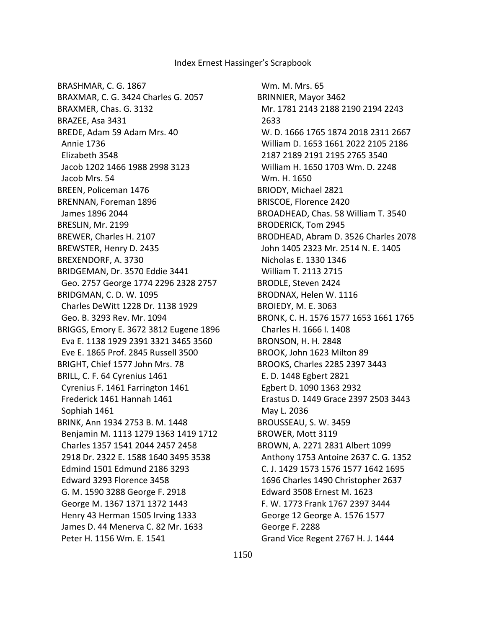BRASHMAR, C. G. 1867 BRAXMAR, C. G. 3424 Charles G. 2057 BRAXMER, Chas. G. 3132 BRAZEE, Asa 3431 BREDE, Adam 59 Adam Mrs. 40 Annie 1736 Elizabeth 3548 Jacob 1202 1466 1988 2998 3123 Jacob Mrs. 54 BREEN, Policeman 1476 BRENNAN, Foreman 1896 James 1896 2044 BRESLIN, Mr. 2199 BREWER, Charles H. 2107 BREWSTER, Henry D. 2435 BREXENDORF, A. 3730 BRIDGEMAN, Dr. 3570 Eddie 3441 Geo. 2757 George 1774 2296 2328 2757 BRIDGMAN, C. D. W. 1095 Charles DeWitt 1228 Dr. 1138 1929 Geo. B. 3293 Rev. Mr. 1094 BRIGGS, Emory E. 3672 3812 Eugene 1896 Eva E. 1138 1929 2391 3321 3465 3560 Eve E. 1865 Prof. 2845 Russell 3500 BRIGHT, Chief 1577 John Mrs. 78 BRILL, C. F. 64 Cyrenius 1461 Cyrenius F. 1461 Farrington 1461 Frederick 1461 Hannah 1461 Sophiah 1461 BRINK, Ann 1934 2753 B. M. 1448 Benjamin M. 1113 1279 1363 1419 1712 Charles 1357 1541 2044 2457 2458 2918 Dr. 2322 E. 1588 1640 3495 3538 Edmind 1501 Edmund 2186 3293 Edward 3293 Florence 3458 G. M. 1590 3288 George F. 2918 George M. 1367 1371 1372 1443 Henry 43 Herman 1505 Irving 1333 James D. 44 Menerva C. 82 Mr. 1633 Peter H. 1156 Wm. E. 1541

 Wm. M. Mrs. 65 BRINNIER, Mayor 3462 Mr. 1781 2143 2188 2190 2194 2243 2633 W. D. 1666 1765 1874 2018 2311 2667 William D. 1653 1661 2022 2105 2186 2187 2189 2191 2195 2765 3540 William H. 1650 1703 Wm. D. 2248 Wm. H. 1650 BRIODY, Michael 2821 BRISCOE, Florence 2420 BROADHEAD, Chas. 58 William T. 3540 BRODERICK, Tom 2945 BRODHEAD, Abram D. 3526 Charles 2078 John 1405 2323 Mr. 2514 N. E. 1405 Nicholas E. 1330 1346 William T. 2113 2715 BRODLE, Steven 2424 BRODNAX, Helen W. 1116 BROIEDY, M. E. 3063 BRONK, C. H. 1576 1577 1653 1661 1765 Charles H. 1666 I. 1408 BRONSON, H. H. 2848 BROOK, John 1623 Milton 89 BROOKS, Charles 2285 2397 3443 E. D. 1448 Egbert 2821 Egbert D. 1090 1363 2932 Erastus D. 1449 Grace 2397 2503 3443 May L. 2036 BROUSSEAU, S. W. 3459 BROWER, Mott 3119 BROWN, A. 2271 2831 Albert 1099 Anthony 1753 Antoine 2637 C. G. 1352 C. J. 1429 1573 1576 1577 1642 1695 1696 Charles 1490 Christopher 2637 Edward 3508 Ernest M. 1623 F. W. 1773 Frank 1767 2397 3444 George 12 George A. 1576 1577 George F. 2288 Grand Vice Regent 2767 H. J. 1444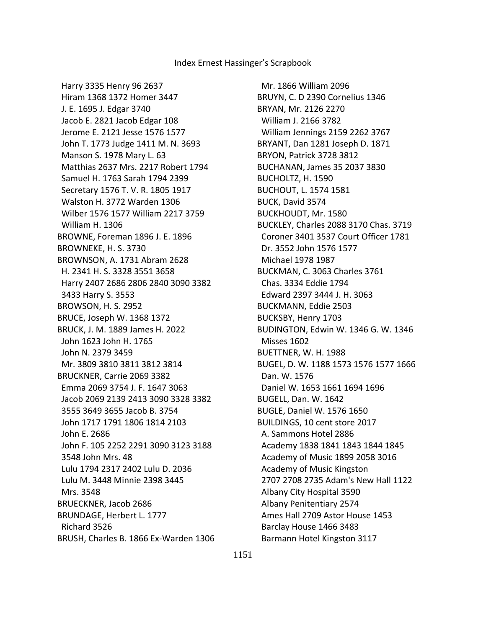Harry 3335 Henry 96 2637 Hiram 1368 1372 Homer 3447 J. E. 1695 J. Edgar 3740 Jacob E. 2821 Jacob Edgar 108 Jerome E. 2121 Jesse 1576 1577 John T. 1773 Judge 1411 M. N. 3693 Manson S. 1978 Mary L. 63 Matthias 2637 Mrs. 2217 Robert 1794 Samuel H. 1763 Sarah 1794 2399 Secretary 1576 T. V. R. 1805 1917 Walston H. 3772 Warden 1306 Wilber 1576 1577 William 2217 3759 William H. 1306 BROWNE, Foreman 1896 J. E. 1896 BROWNEKE, H. S. 3730 BROWNSON, A. 1731 Abram 2628 H. 2341 H. S. 3328 3551 3658 Harry 2407 2686 2806 2840 3090 3382 3433 Harry S. 3553 BROWSON, H. S. 2952 BRUCE, Joseph W. 1368 1372 BRUCK, J. M. 1889 James H. 2022 John 1623 John H. 1765 John N. 2379 3459 Mr. 3809 3810 3811 3812 3814 BRUCKNER, Carrie 2069 3382 Emma 2069 3754 J. F. 1647 3063 Jacob 2069 2139 2413 3090 3328 3382 3555 3649 3655 Jacob B. 3754 John 1717 1791 1806 1814 2103 John E. 2686 John F. 105 2252 2291 3090 3123 3188 3548 John Mrs. 48 Lulu 1794 2317 2402 Lulu D. 2036 Lulu M. 3448 Minnie 2398 3445 Mrs. 3548 BRUECKNER, Jacob 2686 BRUNDAGE, Herbert L. 1777 Richard 3526 BRUSH, Charles B. 1866 Ex-Warden 1306

 Mr. 1866 William 2096 BRUYN, C. D 2390 Cornelius 1346 BRYAN, Mr. 2126 2270 William J. 2166 3782 William Jennings 2159 2262 3767 BRYANT, Dan 1281 Joseph D. 1871 BRYON, Patrick 3728 3812 BUCHANAN, James 35 2037 3830 BUCHOLTZ, H. 1590 BUCHOUT, L. 1574 1581 BUCK, David 3574 BUCKHOUDT, Mr. 1580 BUCKLEY, Charles 2088 3170 Chas. 3719 Coroner 3401 3537 Court Officer 1781 Dr. 3552 John 1576 1577 Michael 1978 1987 BUCKMAN, C. 3063 Charles 3761 Chas. 3334 Eddie 1794 Edward 2397 3444 J. H. 3063 BUCKMANN, Eddie 2503 BUCKSBY, Henry 1703 BUDINGTON, Edwin W. 1346 G. W. 1346 Misses 1602 BUETTNER, W. H. 1988 BUGEL, D. W. 1188 1573 1576 1577 1666 Dan. W. 1576 Daniel W. 1653 1661 1694 1696 BUGELL, Dan. W. 1642 BUGLE, Daniel W. 1576 1650 BUILDINGS, 10 cent store 2017 A. Sammons Hotel 2886 Academy 1838 1841 1843 1844 1845 Academy of Music 1899 2058 3016 Academy of Music Kingston 2707 2708 2735 Adam's New Hall 1122 Albany City Hospital 3590 Albany Penitentiary 2574 Ames Hall 2709 Astor House 1453 Barclay House 1466 3483 Barmann Hotel Kingston 3117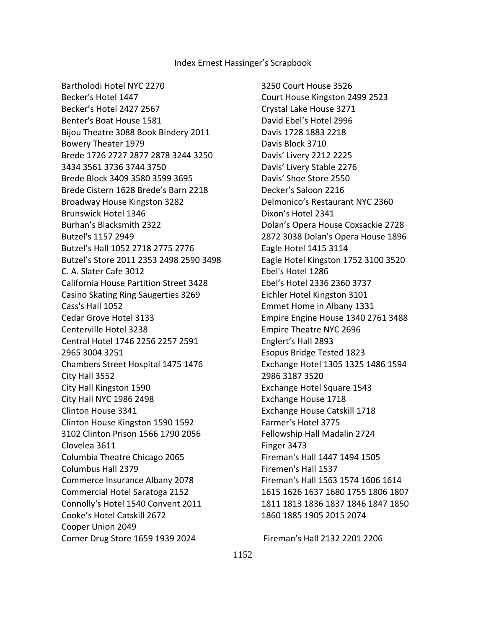Bartholodi Hotel NYC 2270

 Becker's Hotel 1447 Becker's Hotel 2427 2567 Benter's Boat House 1581 Bijou Theatre 3088 Book Bindery 2011 Bowery Theater 1979 Brede 1726 2727 2877 2878 3244 3250 3434 3561 3736 3744 3750 Brede Block 3409 3580 3599 3695 Brede Cistern 1628 Brede's Barn 2218 Broadway House Kingston 3282 Brunswick Hotel 1346 Burhan's Blacksmith 2322 Butzel's 1157 2949 Butzel's Hall 1052 2718 2775 2776 Butzel's Store 2011 2353 2498 2590 3498 C. A. Slater Cafe 3012 California House Partition Street 3428 Casino Skating Ring Saugerties 3269 Cass's Hall 1052 Cedar Grove Hotel 3133 Centerville Hotel 3238 Central Hotel 1746 2256 2257 2591 2965 3004 3251 Chambers Street Hospital 1475 1476 City Hall 3552 City Hall Kingston 1590 City Hall NYC 1986 2498 Clinton House 3341 Clinton House Kingston 1590 1592 3102 Clinton Prison 1566 1790 2056 Clovelea 3611 Columbia Theatre Chicago 2065 Columbus Hall 2379 Commerce Insurance Albany 2078 Commercial Hotel Saratoga 2152 Connolly's Hotel 1540 Convent 2011 Cooke's Hotel Catskill 2672 Cooper Union 2049 Corner Drug Store 1659 1939 2024

 3250 Court House 3526 Court House Kingston 2499 2523 Crystal Lake House 3271 David Ebel's Hotel 2996 Davis 1728 1883 2218 Davis Block 3710 Davis' Livery 2212 2225 Davis' Livery Stable 2276 Davis' Shoe Store 2550 Decker's Saloon 2216 Delmonico's Restaurant NYC 2360 Dixon's Hotel 2341 Dolan's Opera House Coxsackie 2728 2872 3038 Dolan's Opera House 1896 Eagle Hotel 1415 3114 Eagle Hotel Kingston 1752 3100 3520 Ebel's Hotel 1286 Ebel's Hotel 2336 2360 3737 Eichler Hotel Kingston 3101 Emmet Home in Albany 1331 Empire Engine House 1340 2761 3488 Empire Theatre NYC 2696 Englert's Hall 2893 Esopus Bridge Tested 1823 Exchange Hotel 1305 1325 1486 1594 2986 3187 3520 Exchange Hotel Square 1543 Exchange House 1718 Exchange House Catskill 1718 Farmer's Hotel 3775 Fellowship Hall Madalin 2724 Finger 3473 Fireman's Hall 1447 1494 1505 Firemen's Hall 1537 Fireman's Hall 1563 1574 1606 1614 1615 1626 1637 1680 1755 1806 1807 1811 1813 1836 1837 1846 1847 1850 1860 1885 1905 2015 2074

Fireman's Hall 2132 2201 2206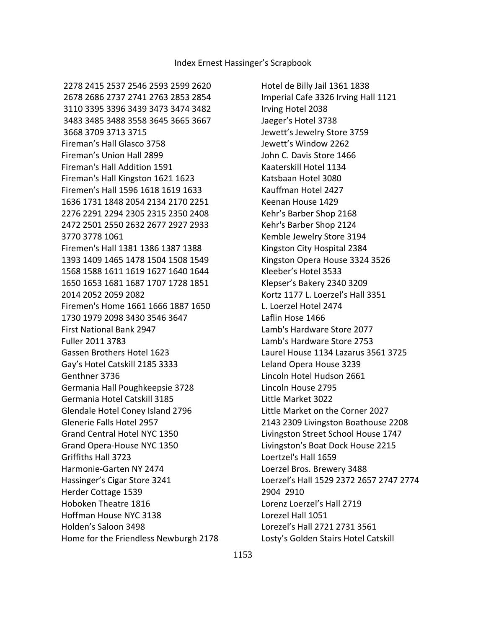Hotel de Billy Jail 1361 1838 Imperial Cafe 3326 Irving Hall 1121 Irving Hotel 2038 Jaeger's Hotel 3738 Jewett's Jewelry Store 3759 Jewett's Window 2262 John C. Davis Store 1466 Kaaterskill Hotel 1134 Katsbaan Hotel 3080 Kauffman Hotel 2427 Keenan House 1429 Kehr's Barber Shop 2168 Kehr's Barber Shop 2124 Kemble Jewelry Store 3194 Kingston City Hospital 2384 Kingston Opera House 3324 3526 Kleeber's Hotel 3533 Klepser's Bakery 2340 3209 Kortz 1177 L. Loerzel's Hall 3351 L. Loerzel Hotel 2474 Laflin Hose 1466 Lamb's Hardware Store 2077 Lamb's Hardware Store 2753 Laurel House 1134 Lazarus 3561 3725 Leland Opera House 3239 Lincoln Hotel Hudson 2661 Lincoln House 2795 Little Market 3022 Little Market on the Corner 2027 2143 2309 Livingston Boathouse 2208 Livingston Street School House 1747 Livingston's Boat Dock House 2215 Loertzel's Hall 1659 Loerzel Bros. Brewery 3488 Loerzel's Hall 1529 2372 2657 2747 2774 2904 2910 Lorenz Loerzel's Hall 2719 Lorezel Hall 1051 Lorezel's Hall 2721 2731 3561 Losty's Golden Stairs Hotel Catskill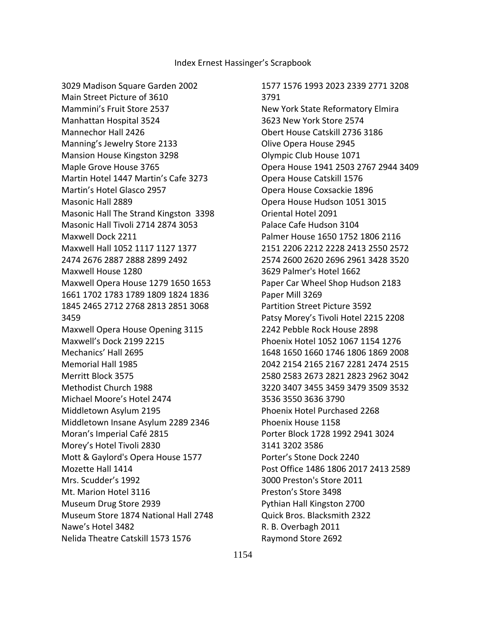3029 Madison Square Garden 2002 Main Street Picture of 3610 Mammini's Fruit Store 2537 Manhattan Hospital 3524 Mannechor Hall 2426 Manning's Jewelry Store 2133 Mansion House Kingston 3298 Maple Grove House 3765 Martin Hotel 1447 Martin's Cafe 3273 Martin's Hotel Glasco 2957 Masonic Hall 2889 Masonic Hall The Strand Kingston 3398 Masonic Hall Tivoli 2714 2874 3053 Maxwell Dock 2211 Maxwell Hall 1052 1117 1127 1377 2474 2676 2887 2888 2899 2492 Maxwell House 1280 Maxwell Opera House 1279 1650 1653 1661 1702 1783 1789 1809 1824 1836 1845 2465 2712 2768 2813 2851 3068 3459 Maxwell Opera House Opening 3115 Maxwell's Dock 2199 2215 Mechanics' Hall 2695 Memorial Hall 1985 Merritt Block 3575 Methodist Church 1988 Michael Moore's Hotel 2474 Middletown Asylum 2195 Middletown Insane Asylum 2289 2346 Moran's Imperial Café 2815 Morey's Hotel Tivoli 2830 Mott & Gaylord's Opera House 1577 Mozette Hall 1414 Mrs. Scudder's 1992 Mt. Marion Hotel 3116 Museum Drug Store 2939 Museum Store 1874 National Hall 2748 Nawe's Hotel 3482 Nelida Theatre Catskill 1573 1576

 1577 1576 1993 2023 2339 2771 3208 3791 New York State Reformatory Elmira 3623 New York Store 2574 Obert House Catskill 2736 3186 Olive Opera House 2945 Olympic Club House 1071 Opera House 1941 2503 2767 2944 3409 Opera House Catskill 1576 Opera House Coxsackie 1896 Opera House Hudson 1051 3015 Oriental Hotel 2091 Palace Cafe Hudson 3104 Palmer House 1650 1752 1806 2116 2151 2206 2212 2228 2413 2550 2572 2574 2600 2620 2696 2961 3428 3520 3629 Palmer's Hotel 1662 Paper Car Wheel Shop Hudson 2183 Paper Mill 3269 Partition Street Picture 3592 Patsy Morey's Tivoli Hotel 2215 2208 2242 Pebble Rock House 2898 Phoenix Hotel 1052 1067 1154 1276 1648 1650 1660 1746 1806 1869 2008 2042 2154 2165 2167 2281 2474 2515 2580 2583 2673 2821 2823 2962 3042 3220 3407 3455 3459 3479 3509 3532 3536 3550 3636 3790 Phoenix Hotel Purchased 2268 Phoenix House 1158 Porter Block 1728 1992 2941 3024 3141 3202 3586 Porter's Stone Dock 2240 Post Office 1486 1806 2017 2413 2589 3000 Preston's Store 2011 Preston's Store 3498 Pythian Hall Kingston 2700 Quick Bros. Blacksmith 2322 R. B. Overbagh 2011 Raymond Store 2692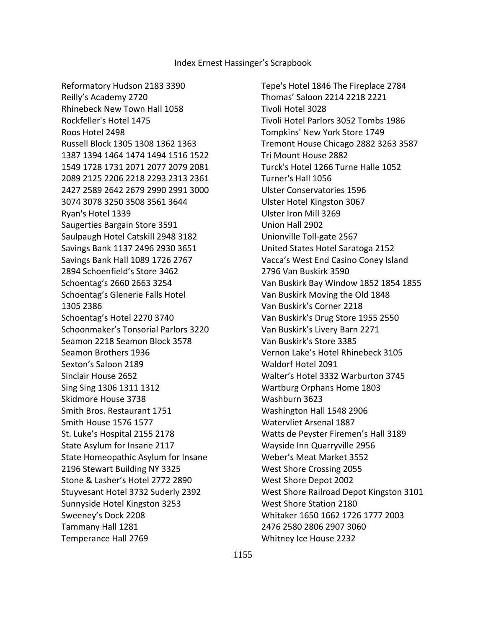Reformatory Hudson 2183 3390 Reilly's Academy 2720 Rhinebeck New Town Hall 1058 Rockfeller's Hotel 1475 Roos Hotel 2498 Russell Block 1305 1308 1362 1363 1387 1394 1464 1474 1494 1516 1522 1549 1728 1731 2071 2077 2079 2081 2089 2125 2206 2218 2293 2313 2361 2427 2589 2642 2679 2990 2991 3000 3074 3078 3250 3508 3561 3644 Ryan's Hotel 1339 Saugerties Bargain Store 3591 Saulpaugh Hotel Catskill 2948 3182 Savings Bank 1137 2496 2930 3651 Savings Bank Hall 1089 1726 2767 2894 Schoenfield's Store 3462 Schoentag's 2660 2663 3254 Schoentag's Glenerie Falls Hotel 1305 2386 Schoentag's Hotel 2270 3740 Schoonmaker's Tonsorial Parlors 3220 Seamon 2218 Seamon Block 3578 Seamon Brothers 1936 Sexton's Saloon 2189 Sinclair House 2652 Sing Sing 1306 1311 1312 Skidmore House 3738 Smith Bros. Restaurant 1751 Smith House 1576 1577 St. Luke's Hospital 2155 2178 State Asylum for Insane 2117 State Homeopathic Asylum for Insane 2196 Stewart Building NY 3325 Stone & Lasher's Hotel 2772 2890 Stuyvesant Hotel 3732 Suderly 2392 Sunnyside Hotel Kingston 3253 Sweeney's Dock 2208 Tammany Hall 1281 Temperance Hall 2769

 Tepe's Hotel 1846 The Fireplace 2784 Thomas' Saloon 2214 2218 2221 Tivoli Hotel 3028 Tivoli Hotel Parlors 3052 Tombs 1986 Tompkins' New York Store 1749 Tremont House Chicago 2882 3263 3587 Tri Mount House 2882 Turck's Hotel 1266 Turne Halle 1052 Turner's Hall 1056 Ulster Conservatories 1596 Ulster Hotel Kingston 3067 Ulster Iron Mill 3269 Union Hall 2902 Unionville Toll-gate 2567 United States Hotel Saratoga 2152 Vacca's West End Casino Coney Island 2796 Van Buskirk 3590 Van Buskirk Bay Window 1852 1854 1855 Van Buskirk Moving the Old 1848 Van Buskirk's Corner 2218 Van Buskirk's Drug Store 1955 2550 Van Buskirk's Livery Barn 2271 Van Buskirk's Store 3385 Vernon Lake's Hotel Rhinebeck 3105 Waldorf Hotel 2091 Walter's Hotel 3332 Warburton 3745 Wartburg Orphans Home 1803 Washburn 3623 Washington Hall 1548 2906 Watervliet Arsenal 1887 Watts de Peyster Firemen's Hall 3189 Wayside Inn Quarryville 2956 Weber's Meat Market 3552 West Shore Crossing 2055 West Shore Depot 2002 West Shore Railroad Depot Kingston 3101 West Shore Station 2180 Whitaker 1650 1662 1726 1777 2003 2476 2580 2806 2907 3060 Whitney Ice House 2232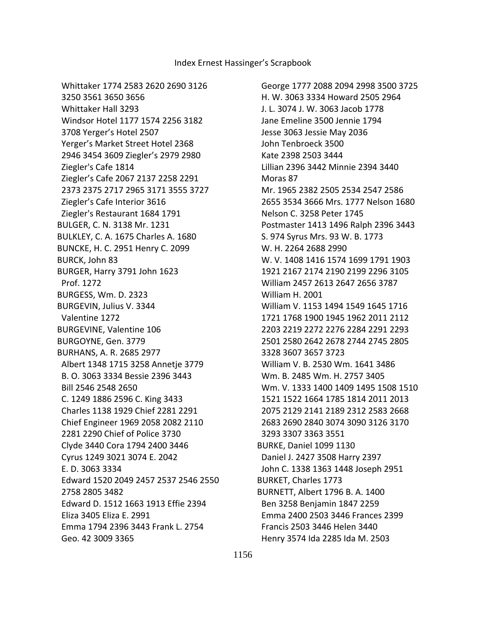Whittaker 1774 2583 2620 2690 3126

 3250 3561 3650 3656 Whittaker Hall 3293 Windsor Hotel 1177 1574 2256 3182 3708 Yerger's Hotel 2507 Yerger's Market Street Hotel 2368 2946 3454 3609 Ziegler's 2979 2980 Ziegler's Cafe 1814 Ziegler's Cafe 2067 2137 2258 2291 2373 2375 2717 2965 3171 3555 3727 Ziegler's Cafe Interior 3616 Ziegler's Restaurant 1684 1791 BULGER, C. N. 3138 Mr. 1231 BULKLEY, C. A. 1675 Charles A. 1680 BUNCKE, H. C. 2951 Henry C. 2099 BURCK, John 83 BURGER, Harry 3791 John 1623 Prof. 1272 BURGESS, Wm. D. 2323 BURGEVIN, Julius V. 3344 Valentine 1272 BURGEVINE, Valentine 106 BURGOYNE, Gen. 3779 BURHANS, A. R. 2685 2977 Albert 1348 1715 3258 Annetje 3779 B. O. 3063 3334 Bessie 2396 3443 Bill 2546 2548 2650 C. 1249 1886 2596 C. King 3433 Charles 1138 1929 Chief 2281 2291 Chief Engineer 1969 2058 2082 2110 2281 2290 Chief of Police 3730 Clyde 3440 Cora 1794 2400 3446 Cyrus 1249 3021 3074 E. 2042 E. D. 3063 3334 Edward 1520 2049 2457 2537 2546 2550 2758 2805 3482 Edward D. 1512 1663 1913 Effie 2394 Eliza 3405 Eliza E. 2991 Emma 1794 2396 3443 Frank L. 2754 Geo. 42 3009 3365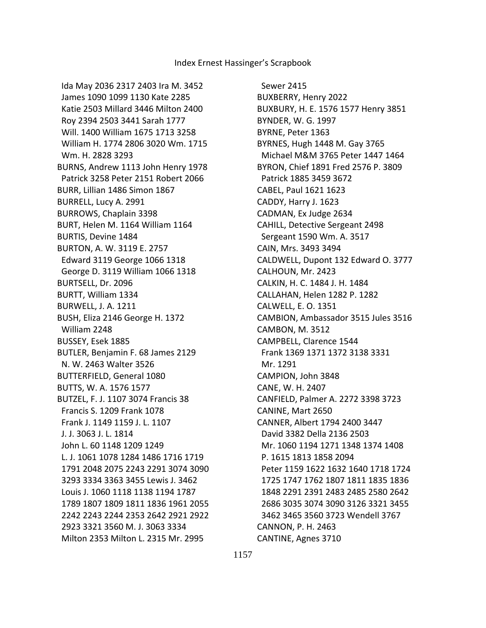Ida May 2036 2317 2403 Ira M. 3452 James 1090 1099 1130 Kate 2285 Katie 2503 Millard 3446 Milton 2400 Roy 2394 2503 3441 Sarah 1777 Will. 1400 William 1675 1713 3258 William H. 1774 2806 3020 Wm. 1715 Wm. H. 2828 3293 BURNS, Andrew 1113 John Henry 1978 Patrick 3258 Peter 2151 Robert 2066 BURR, Lillian 1486 Simon 1867 BURRELL, Lucy A. 2991 BURROWS, Chaplain 3398 BURT, Helen M. 1164 William 1164 BURTIS, Devine 1484 BURTON, A. W. 3119 E. 2757 Edward 3119 George 1066 1318 George D. 3119 William 1066 1318 BURTSELL, Dr. 2096 BURTT, William 1334 BURWELL, J. A. 1211 BUSH, Eliza 2146 George H. 1372 William 2248 BUSSEY, Esek 1885 BUTLER, Benjamin F. 68 James 2129 N. W. 2463 Walter 3526 BUTTERFIELD, General 1080 BUTTS, W. A. 1576 1577 BUTZEL, F. J. 1107 3074 Francis 38 Francis S. 1209 Frank 1078 Frank J. 1149 1159 J. L. 1107 J. J. 3063 J. L. 1814 John L. 60 1148 1209 1249 L. J. 1061 1078 1284 1486 1716 1719 1791 2048 2075 2243 2291 3074 3090 3293 3334 3363 3455 Lewis J. 3462 Louis J. 1060 1118 1138 1194 1787 1789 1807 1809 1811 1836 1961 2055 2242 2243 2244 2353 2642 2921 2922 2923 3321 3560 M. J. 3063 3334 Milton 2353 Milton L. 2315 Mr. 2995

 Sewer 2415 BUXBERRY, Henry 2022 BUXBURY, H. E. 1576 1577 Henry 3851 BYNDER, W. G. 1997 BYRNE, Peter 1363 BYRNES, Hugh 1448 M. Gay 3765 Michael M&M 3765 Peter 1447 1464 BYRON, Chief 1891 Fred 2576 P. 3809 Patrick 1885 3459 3672 CABEL, Paul 1621 1623 CADDY, Harry J. 1623 CADMAN, Ex Judge 2634 CAHILL, Detective Sergeant 2498 Sergeant 1590 Wm. A. 3517 CAIN, Mrs. 3493 3494 CALDWELL, Dupont 132 Edward O. 3777 CALHOUN, Mr. 2423 CALKIN, H. C. 1484 J. H. 1484 CALLAHAN, Helen 1282 P. 1282 CALWELL, E. O. 1351 CAMBION, Ambassador 3515 Jules 3516 CAMBON, M. 3512 CAMPBELL, Clarence 1544 Frank 1369 1371 1372 3138 3331 Mr. 1291 CAMPION, John 3848 CANE, W. H. 2407 CANFIELD, Palmer A. 2272 3398 3723 CANINE, Mart 2650 CANNER, Albert 1794 2400 3447 David 3382 Della 2136 2503 Mr. 1060 1194 1271 1348 1374 1408 P. 1615 1813 1858 2094 Peter 1159 1622 1632 1640 1718 1724 1725 1747 1762 1807 1811 1835 1836 1848 2291 2391 2483 2485 2580 2642 2686 3035 3074 3090 3126 3321 3455 3462 3465 3560 3723 Wendell 3767 CANNON, P. H. 2463 CANTINE, Agnes 3710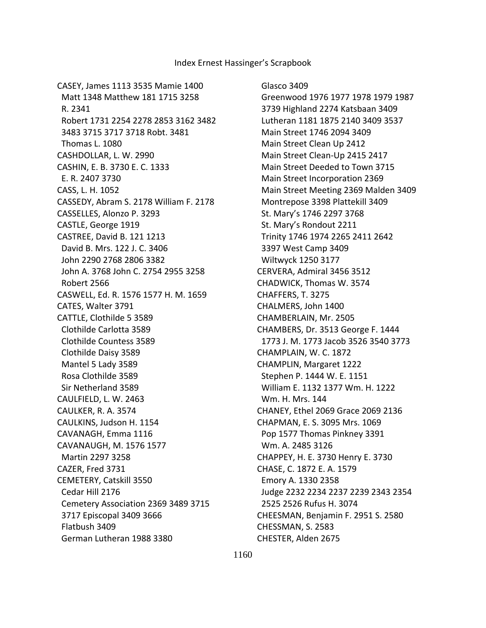CASEY, James 1113 3535 Mamie 1400 Matt 1348 Matthew 181 1715 3258 R. 2341 Robert 1731 2254 2278 2853 3162 3482 3483 3715 3717 3718 Robt. 3481 Thomas L. 1080 CASHDOLLAR, L. W. 2990 CASHIN, E. B. 3730 E. C. 1333 E. R. 2407 3730 CASS, L. H. 1052 CASSEDY, Abram S. 2178 William F. 2178 CASSELLES, Alonzo P. 3293 CASTLE, George 1919 CASTREE, David B. 121 1213 David B. Mrs. 122 J. C. 3406 John 2290 2768 2806 3382 John A. 3768 John C. 2754 2955 3258 Robert 2566 CASWELL, Ed. R. 1576 1577 H. M. 1659 CATES, Walter 3791 CATTLE, Clothilde 5 3589 Clothilde Carlotta 3589 Clothilde Countess 3589 Clothilde Daisy 3589 Mantel 5 Lady 3589 Rosa Clothilde 3589 Sir Netherland 3589 CAULFIELD, L. W. 2463 CAULKER, R. A. 3574 CAULKINS, Judson H. 1154 CAVANAGH, Emma 1116 CAVANAUGH, M. 1576 1577 Martin 2297 3258 CAZER, Fred 3731 CEMETERY, Catskill 3550 Cedar Hill 2176 Cemetery Association 2369 3489 3715 3717 Episcopal 3409 3666 Flatbush 3409 German Lutheran 1988 3380

 Glasco 3409 Greenwood 1976 1977 1978 1979 1987 3739 Highland 2274 Katsbaan 3409 Lutheran 1181 1875 2140 3409 3537 Main Street 1746 2094 3409 Main Street Clean Up 2412 Main Street Clean-Up 2415 2417 Main Street Deeded to Town 3715 Main Street Incorporation 2369 Main Street Meeting 2369 Malden 3409 Montrepose 3398 Plattekill 3409 St. Mary's 1746 2297 3768 St. Mary's Rondout 2211 Trinity 1746 1974 2265 2411 2642 3397 West Camp 3409 Wiltwyck 1250 3177 CERVERA, Admiral 3456 3512 CHADWICK, Thomas W. 3574 CHAFFERS, T. 3275 CHALMERS, John 1400 CHAMBERLAIN, Mr. 2505 CHAMBERS, Dr. 3513 George F. 1444 1773 J. M. 1773 Jacob 3526 3540 3773 CHAMPLAIN, W. C. 1872 CHAMPLIN, Margaret 1222 Stephen P. 1444 W. E. 1151 William E. 1132 1377 Wm. H. 1222 Wm. H. Mrs. 144 CHANEY, Ethel 2069 Grace 2069 2136 CHAPMAN, E. S. 3095 Mrs. 1069 Pop 1577 Thomas Pinkney 3391 Wm. A. 2485 3126 CHAPPEY, H. E. 3730 Henry E. 3730 CHASE, C. 1872 E. A. 1579 Emory A. 1330 2358 Judge 2232 2234 2237 2239 2343 2354 2525 2526 Rufus H. 3074 CHEESMAN, Benjamin F. 2951 S. 2580 CHESSMAN, S. 2583 CHESTER, Alden 2675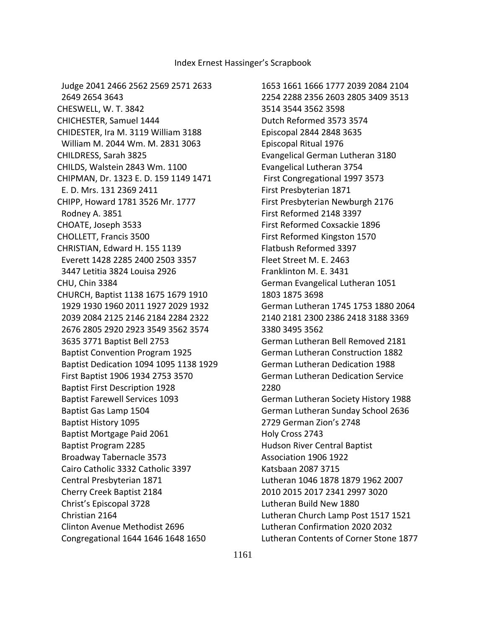Judge 2041 2466 2562 2569 2571 2633 2649 2654 3643 CHESWELL, W. T. 3842 CHICHESTER, Samuel 1444 CHIDESTER, Ira M. 3119 William 3188 William M. 2044 Wm. M. 2831 3063 CHILDRESS, Sarah 3825 CHILDS, Walstein 2843 Wm. 1100 CHIPMAN, Dr. 1323 E. D. 159 1149 1471 E. D. Mrs. 131 2369 2411 CHIPP, Howard 1781 3526 Mr. 1777 Rodney A. 3851 CHOATE, Joseph 3533 CHOLLETT, Francis 3500 CHRISTIAN, Edward H. 155 1139 Everett 1428 2285 2400 2503 3357 3447 Letitia 3824 Louisa 2926 CHU, Chin 3384 CHURCH, Baptist 1138 1675 1679 1910 1929 1930 1960 2011 1927 2029 1932 2039 2084 2125 2146 2184 2284 2322 2676 2805 2920 2923 3549 3562 3574 3635 3771 Baptist Bell 2753 Baptist Convention Program 1925 Baptist Dedication 1094 1095 1138 1929 First Baptist 1906 1934 2753 3570 Baptist First Description 1928 Baptist Farewell Services 1093 Baptist Gas Lamp 1504 Baptist History 1095 Baptist Mortgage Paid 2061 Baptist Program 2285 Broadway Tabernacle 3573 Cairo Catholic 3332 Catholic 3397 Central Presbyterian 1871 Cherry Creek Baptist 2184 Christ's Episcopal 3728 Christian 2164 Clinton Avenue Methodist 2696 Congregational 1644 1646 1648 1650

 1653 1661 1666 1777 2039 2084 2104 2254 2288 2356 2603 2805 3409 3513 3514 3544 3562 3598 Dutch Reformed 3573 3574 Episcopal 2844 2848 3635 Episcopal Ritual 1976 Evangelical German Lutheran 3180 Evangelical Lutheran 3754 First Congregational 1997 3573 First Presbyterian 1871 First Presbyterian Newburgh 2176 First Reformed 2148 3397 First Reformed Coxsackie 1896 First Reformed Kingston 1570 Flatbush Reformed 3397 Fleet Street M. E. 2463 Franklinton M. E. 3431 German Evangelical Lutheran 1051 1803 1875 3698 German Lutheran 1745 1753 1880 2064 2140 2181 2300 2386 2418 3188 3369 3380 3495 3562 German Lutheran Bell Removed 2181 German Lutheran Construction 1882 German Lutheran Dedication 1988 German Lutheran Dedication Service 2280 German Lutheran Society History 1988 German Lutheran Sunday School 2636 2729 German Zion's 2748 Holy Cross 2743 Hudson River Central Baptist Association 1906 1922 Katsbaan 2087 3715 Lutheran 1046 1878 1879 1962 2007 2010 2015 2017 2341 2997 3020 Lutheran Build New 1880 Lutheran Church Lamp Post 1517 1521 Lutheran Confirmation 2020 2032 Lutheran Contents of Corner Stone 1877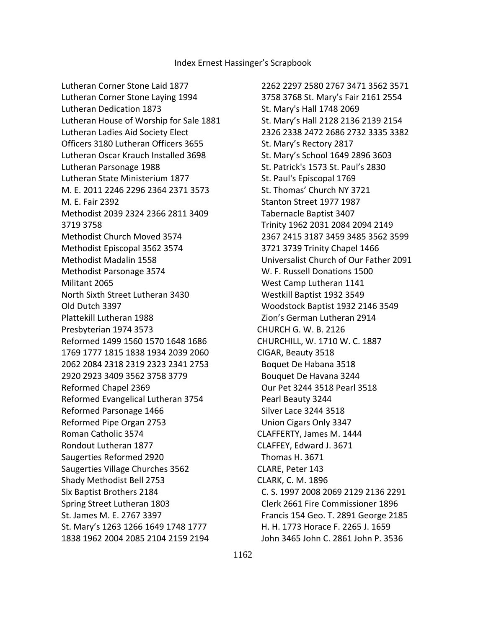Lutheran Corner Stone Laid 1877 Lutheran Corner Stone Laying 1994 Lutheran Dedication 1873 Lutheran House of Worship for Sale 1881 Lutheran Ladies Aid Society Elect Officers 3180 Lutheran Officers 3655 Lutheran Oscar Krauch Installed 3698 Lutheran Parsonage 1988 Lutheran State Ministerium 1877 M. E. 2011 2246 2296 2364 2371 3573 M. E. Fair 2392 Methodist 2039 2324 2366 2811 3409 3719 3758 Methodist Church Moved 3574 Methodist Episcopal 3562 3574 Methodist Madalin 1558 Methodist Parsonage 3574 Militant 2065 North Sixth Street Lutheran 3430 Old Dutch 3397 Plattekill Lutheran 1988 Presbyterian 1974 3573 Reformed 1499 1560 1570 1648 1686 1769 1777 1815 1838 1934 2039 2060 2062 2084 2318 2319 2323 2341 2753 2920 2923 3409 3562 3758 3779 Reformed Chapel 2369 Reformed Evangelical Lutheran 3754 Reformed Parsonage 1466 Reformed Pipe Organ 2753 Roman Catholic 3574 Rondout Lutheran 1877 Saugerties Reformed 2920 Saugerties Village Churches 3562 Shady Methodist Bell 2753 Six Baptist Brothers 2184 Spring Street Lutheran 1803 St. James M. E. 2767 3397 St. Mary's 1263 1266 1649 1748 1777 1838 1962 2004 2085 2104 2159 2194

 2262 2297 2580 2767 3471 3562 3571 3758 3768 St. Mary's Fair 2161 2554 St. Mary's Hall 1748 2069 St. Mary's Hall 2128 2136 2139 2154 2326 2338 2472 2686 2732 3335 3382 St. Mary's Rectory 2817 St. Mary's School 1649 2896 3603 St. Patrick's 1573 St. Paul's 2830 St. Paul's Episcopal 1769 St. Thomas' Church NY 3721 Stanton Street 1977 1987 Tabernacle Baptist 3407 Trinity 1962 2031 2084 2094 2149 2367 2415 3187 3459 3485 3562 3599 3721 3739 Trinity Chapel 1466 Universalist Church of Our Father 2091 W. F. Russell Donations 1500 West Camp Lutheran 1141 Westkill Baptist 1932 3549 Woodstock Baptist 1932 2146 3549 Zion's German Lutheran 2914 CHURCH G. W. B. 2126 CHURCHILL, W. 1710 W. C. 1887 CIGAR, Beauty 3518 Boquet De Habana 3518 Bouquet De Havana 3244 Our Pet 3244 3518 Pearl 3518 Pearl Beauty 3244 Silver Lace 3244 3518 Union Cigars Only 3347 CLAFFERTY, James M. 1444 CLAFFEY, Edward J. 3671 Thomas H. 3671 CLARE, Peter 143 CLARK, C. M. 1896 C. S. 1997 2008 2069 2129 2136 2291 Clerk 2661 Fire Commissioner 1896 Francis 154 Geo. T. 2891 George 2185 H. H. 1773 Horace F. 2265 J. 1659 John 3465 John C. 2861 John P. 3536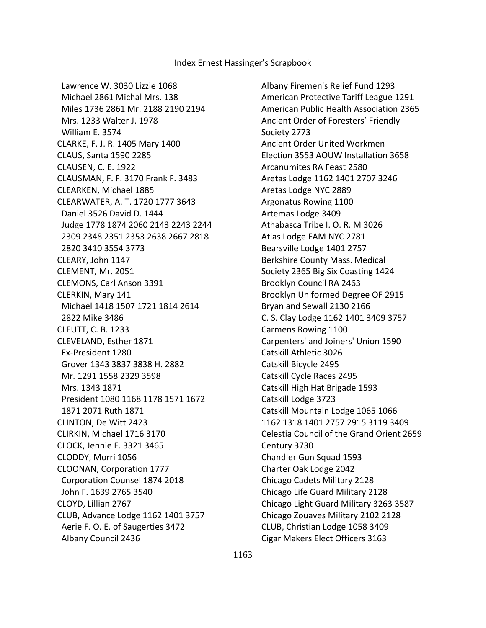Lawrence W. 3030 Lizzie 1068 Michael 2861 Michal Mrs. 138 Miles 1736 2861 Mr. 2188 2190 2194 Mrs. 1233 Walter J. 1978 William E. 3574 CLARKE, F. J. R. 1405 Mary 1400 CLAUS, Santa 1590 2285 CLAUSEN, C. E. 1922 CLAUSMAN, F. F. 3170 Frank F. 3483 CLEARKEN, Michael 1885 CLEARWATER, A. T. 1720 1777 3643 Daniel 3526 David D. 1444 Judge 1778 1874 2060 2143 2243 2244 2309 2348 2351 2353 2638 2667 2818 2820 3410 3554 3773 CLEARY, John 1147 CLEMENT, Mr. 2051 CLEMONS, Carl Anson 3391 CLERKIN, Mary 141 Michael 1418 1507 1721 1814 2614 2822 Mike 3486 CLEUTT, C. B. 1233 CLEVELAND, Esther 1871 Ex-President 1280 Grover 1343 3837 3838 H. 2882 Mr. 1291 1558 2329 3598 Mrs. 1343 1871 President 1080 1168 1178 1571 1672 1871 2071 Ruth 1871 CLINTON, De Witt 2423 CLIRKIN, Michael 1716 3170 CLOCK, Jennie E. 3321 3465 CLODDY, Morri 1056 CLOONAN, Corporation 1777 Corporation Counsel 1874 2018 John F. 1639 2765 3540 CLOYD, Lillian 2767 CLUB, Advance Lodge 1162 1401 3757 Aerie F. O. E. of Saugerties 3472 Albany Council 2436

 Albany Firemen's Relief Fund 1293 American Protective Tariff League 1291 American Public Health Association 2365 Ancient Order of Foresters' Friendly Society 2773 Ancient Order United Workmen Election 3553 AOUW Installation 3658 Arcanumites RA Feast 2580 Aretas Lodge 1162 1401 2707 3246 Aretas Lodge NYC 2889 Argonatus Rowing 1100 Artemas Lodge 3409 Athabasca Tribe I. O. R. M 3026 Atlas Lodge FAM NYC 2781 Bearsville Lodge 1401 2757 Berkshire County Mass. Medical Society 2365 Big Six Coasting 1424 Brooklyn Council RA 2463 Brooklyn Uniformed Degree OF 2915 Bryan and Sewall 2130 2166 C. S. Clay Lodge 1162 1401 3409 3757 Carmens Rowing 1100 Carpenters' and Joiners' Union 1590 Catskill Athletic 3026 Catskill Bicycle 2495 Catskill Cycle Races 2495 Catskill High Hat Brigade 1593 Catskill Lodge 3723 Catskill Mountain Lodge 1065 1066 1162 1318 1401 2757 2915 3119 3409 Celestia Council of the Grand Orient 2659 Century 3730 Chandler Gun Squad 1593 Charter Oak Lodge 2042 Chicago Cadets Military 2128 Chicago Life Guard Military 2128 Chicago Light Guard Military 3263 3587 Chicago Zouaves Military 2102 2128 CLUB, Christian Lodge 1058 3409 Cigar Makers Elect Officers 3163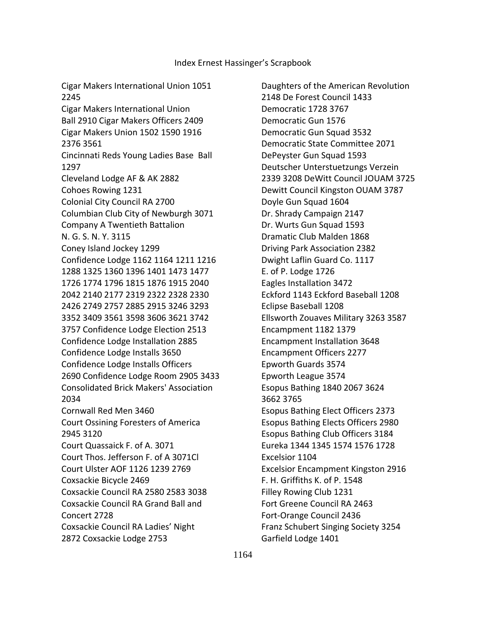Cigar Makers International Union 1051 2245 Cigar Makers International Union Ball 2910 Cigar Makers Officers 2409 Cigar Makers Union 1502 1590 1916 2376 3561 Cincinnati Reds Young Ladies Base Ball 1297 Cleveland Lodge AF & AK 2882 Cohoes Rowing 1231 Colonial City Council RA 2700 Columbian Club City of Newburgh 3071 Company A Twentieth Battalion N. G. S. N. Y. 3115 Coney Island Jockey 1299 Confidence Lodge 1162 1164 1211 1216 1288 1325 1360 1396 1401 1473 1477 1726 1774 1796 1815 1876 1915 2040 2042 2140 2177 2319 2322 2328 2330 2426 2749 2757 2885 2915 3246 3293 3352 3409 3561 3598 3606 3621 3742 3757 Confidence Lodge Election 2513 Confidence Lodge Installation 2885 Confidence Lodge Installs 3650 Confidence Lodge Installs Officers 2690 Confidence Lodge Room 2905 3433 Consolidated Brick Makers' Association 2034 Cornwall Red Men 3460 Court Ossining Foresters of America 2945 3120 Court Quassaick F. of A. 3071 Court Thos. Jefferson F. of A 3071Cl Court Ulster AOF 1126 1239 2769 Coxsackie Bicycle 2469 Coxsackie Council RA 2580 2583 3038 Coxsackie Council RA Grand Ball and Concert 2728 Coxsackie Council RA Ladies' Night 2872 Coxsackie Lodge 2753

 Daughters of the American Revolution 2148 De Forest Council 1433 Democratic 1728 3767 Democratic Gun 1576 Democratic Gun Squad 3532 Democratic State Committee 2071 DePeyster Gun Squad 1593 Deutscher Unterstuetzungs Verzein 2339 3208 DeWitt Council JOUAM 3725 Dewitt Council Kingston OUAM 3787 Doyle Gun Squad 1604 Dr. Shrady Campaign 2147 Dr. Wurts Gun Squad 1593 Dramatic Club Malden 1868 Driving Park Association 2382 Dwight Laflin Guard Co. 1117 E. of P. Lodge 1726 Eagles Installation 3472 Eckford 1143 Eckford Baseball 1208 Eclipse Baseball 1208 Ellsworth Zouaves Military 3263 3587 Encampment 1182 1379 Encampment Installation 3648 Encampment Officers 2277 Epworth Guards 3574 Epworth League 3574 Esopus Bathing 1840 2067 3624 3662 3765 Esopus Bathing Elect Officers 2373 Esopus Bathing Elects Officers 2980 Esopus Bathing Club Officers 3184 Eureka 1344 1345 1574 1576 1728 Excelsior 1104 Excelsior Encampment Kingston 2916 F. H. Griffiths K. of P. 1548 Filley Rowing Club 1231 Fort Greene Council RA 2463 Fort-Orange Council 2436 Franz Schubert Singing Society 3254 Garfield Lodge 1401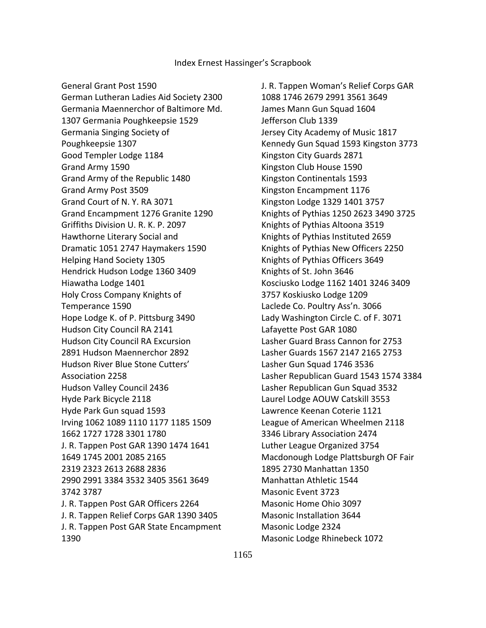General Grant Post 1590

 German Lutheran Ladies Aid Society 2300 Germania Maennerchor of Baltimore Md. 1307 Germania Poughkeepsie 1529 Germania Singing Society of Poughkeepsie 1307 Good Templer Lodge 1184 Grand Army 1590 Grand Army of the Republic 1480 Grand Army Post 3509 Grand Court of N. Y. RA 3071 Grand Encampment 1276 Granite 1290 Griffiths Division U. R. K. P. 2097 Hawthorne Literary Social and Dramatic 1051 2747 Haymakers 1590 Helping Hand Society 1305 Hendrick Hudson Lodge 1360 3409 Hiawatha Lodge 1401 Holy Cross Company Knights of Temperance 1590 Hope Lodge K. of P. Pittsburg 3490 Hudson City Council RA 2141 Hudson City Council RA Excursion 2891 Hudson Maennerchor 2892 Hudson River Blue Stone Cutters' Association 2258 Hudson Valley Council 2436 Hyde Park Bicycle 2118 Hyde Park Gun squad 1593 Irving 1062 1089 1110 1177 1185 1509 1662 1727 1728 3301 1780 J. R. Tappen Post GAR 1390 1474 1641 1649 1745 2001 2085 2165 2319 2323 2613 2688 2836 2990 2991 3384 3532 3405 3561 3649 3742 3787 J. R. Tappen Post GAR Officers 2264 J. R. Tappen Relief Corps GAR 1390 3405 J. R. Tappen Post GAR State Encampment 1390

 J. R. Tappen Woman's Relief Corps GAR 1088 1746 2679 2991 3561 3649 James Mann Gun Squad 1604 Jefferson Club 1339 Jersey City Academy of Music 1817 Kennedy Gun Squad 1593 Kingston 3773 Kingston City Guards 2871 Kingston Club House 1590 Kingston Continentals 1593 Kingston Encampment 1176 Kingston Lodge 1329 1401 3757 Knights of Pythias 1250 2623 3490 3725 Knights of Pythias Altoona 3519 Knights of Pythias Instituted 2659 Knights of Pythias New Officers 2250 Knights of Pythias Officers 3649 Knights of St. John 3646 Kosciusko Lodge 1162 1401 3246 3409 3757 Koskiusko Lodge 1209 Laclede Co. Poultry Ass'n. 3066 Lady Washington Circle C. of F. 3071 Lafayette Post GAR 1080 Lasher Guard Brass Cannon for 2753 Lasher Guards 1567 2147 2165 2753 Lasher Gun Squad 1746 3536 Lasher Republican Guard 1543 1574 3384 Lasher Republican Gun Squad 3532 Laurel Lodge AOUW Catskill 3553 Lawrence Keenan Coterie 1121 League of American Wheelmen 2118 3346 Library Association 2474 Luther League Organized 3754 Macdonough Lodge Plattsburgh OF Fair 1895 2730 Manhattan 1350 Manhattan Athletic 1544 Masonic Event 3723 Masonic Home Ohio 3097 Masonic Installation 3644 Masonic Lodge 2324 Masonic Lodge Rhinebeck 1072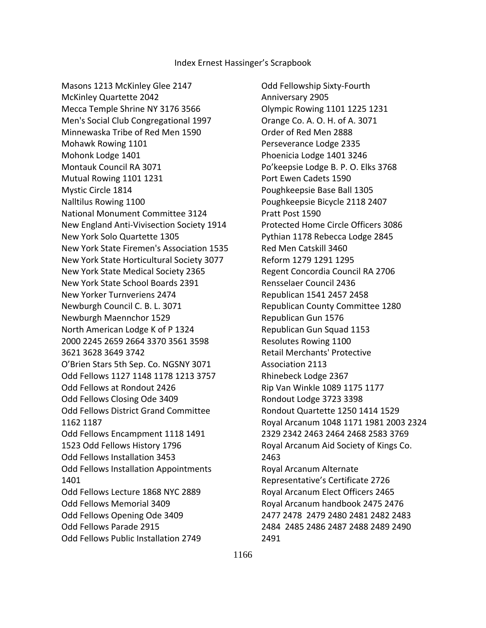Masons 1213 McKinley Glee 2147 McKinley Quartette 2042 Mecca Temple Shrine NY 3176 3566 Men's Social Club Congregational 1997 Minnewaska Tribe of Red Men 1590 Mohawk Rowing 1101 Mohonk Lodge 1401 Montauk Council RA 3071 Mutual Rowing 1101 1231 Mystic Circle 1814 Nalltilus Rowing 1100 National Monument Committee 3124 New England Anti-Vivisection Society 1914 New York Solo Quartette 1305 New York State Firemen's Association 1535 New York State Horticultural Society 3077 New York State Medical Society 2365 New York State School Boards 2391 New Yorker Turnveriens 2474 Newburgh Council C. B. L. 3071 Newburgh Maennchor 1529 North American Lodge K of P 1324 2000 2245 2659 2664 3370 3561 3598 3621 3628 3649 3742 O'Brien Stars 5th Sep. Co. NGSNY 3071 Odd Fellows 1127 1148 1178 1213 3757 Odd Fellows at Rondout 2426 Odd Fellows Closing Ode 3409 Odd Fellows District Grand Committee 1162 1187 Odd Fellows Encampment 1118 1491 1523 Odd Fellows History 1796 Odd Fellows Installation 3453 Odd Fellows Installation Appointments 1401 Odd Fellows Lecture 1868 NYC 2889 Odd Fellows Memorial 3409 Odd Fellows Opening Ode 3409 Odd Fellows Parade 2915 Odd Fellows Public Installation 2749

 Odd Fellowship Sixty-Fourth Anniversary 2905 Olympic Rowing 1101 1225 1231 Orange Co. A. O. H. of A. 3071 Order of Red Men 2888 Perseverance Lodge 2335 Phoenicia Lodge 1401 3246 Po'keepsie Lodge B. P. O. Elks 3768 Port Ewen Cadets 1590 Poughkeepsie Base Ball 1305 Poughkeepsie Bicycle 2118 2407 Pratt Post 1590 Protected Home Circle Officers 3086 Pythian 1178 Rebecca Lodge 2845 Red Men Catskill 3460 Reform 1279 1291 1295 Regent Concordia Council RA 2706 Rensselaer Council 2436 Republican 1541 2457 2458 Republican County Committee 1280 Republican Gun 1576 Republican Gun Squad 1153 Resolutes Rowing 1100 Retail Merchants' Protective Association 2113 Rhinebeck Lodge 2367 Rip Van Winkle 1089 1175 1177 Rondout Lodge 3723 3398 Rondout Quartette 1250 1414 1529 Royal Arcanum 1048 1171 1981 2003 2324 2329 2342 2463 2464 2468 2583 3769 Royal Arcanum Aid Society of Kings Co. 2463 Royal Arcanum Alternate Representative's Certificate 2726 Royal Arcanum Elect Officers 2465 Royal Arcanum handbook 2475 2476 2477 2478 2479 2480 2481 2482 2483 2484 2485 2486 2487 2488 2489 2490 2491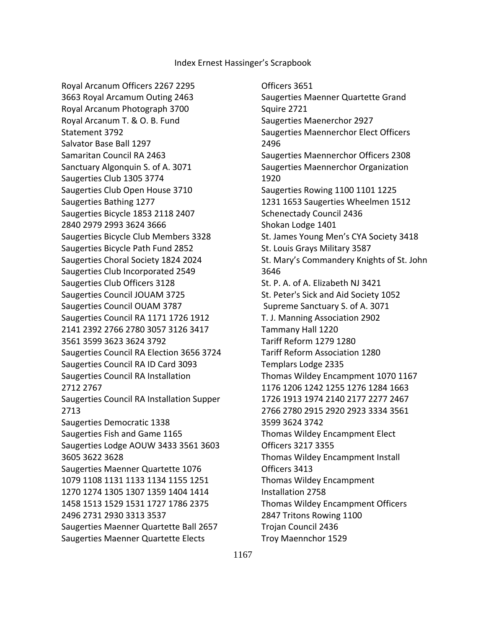Royal Arcanum Officers 2267 2295 3663 Royal Arcamum Outing 2463 Royal Arcanum Photograph 3700 Royal Arcanum T. & O. B. Fund Statement 3792 Salvator Base Ball 1297 Samaritan Council RA 2463 Sanctuary Algonquin S. of A. 3071 Saugerties Club 1305 3774 Saugerties Club Open House 3710 Saugerties Bathing 1277 Saugerties Bicycle 1853 2118 2407 2840 2979 2993 3624 3666 Saugerties Bicycle Club Members 3328 Saugerties Bicycle Path Fund 2852 Saugerties Choral Society 1824 2024 Saugerties Club Incorporated 2549 Saugerties Club Officers 3128 Saugerties Council JOUAM 3725 Saugerties Council OUAM 3787 Saugerties Council RA 1171 1726 1912 2141 2392 2766 2780 3057 3126 3417 3561 3599 3623 3624 3792 Saugerties Council RA Election 3656 3724 Saugerties Council RA ID Card 3093 Saugerties Council RA Installation 2712 2767 Saugerties Council RA Installation Supper 2713 Saugerties Democratic 1338 Saugerties Fish and Game 1165 Saugerties Lodge AOUW 3433 3561 3603 3605 3622 3628 Saugerties Maenner Quartette 1076 1079 1108 1131 1133 1134 1155 1251 1270 1274 1305 1307 1359 1404 1414 1458 1513 1529 1531 1727 1786 2375 2496 2731 2930 3313 3537 Saugerties Maenner Quartette Ball 2657 Saugerties Maenner Quartette Elects

 Officers 3651 Saugerties Maenner Quartette Grand Squire 2721 Saugerties Maenerchor 2927 Saugerties Maennerchor Elect Officers 2496 Saugerties Maennerchor Officers 2308 Saugerties Maennerchor Organization 1920 Saugerties Rowing 1100 1101 1225 1231 1653 Saugerties Wheelmen 1512 Schenectady Council 2436 Shokan Lodge 1401 St. James Young Men's CYA Society 3418 St. Louis Grays Military 3587 St. Mary's Commandery Knights of St. John 3646 St. P. A. of A. Elizabeth NJ 3421 St. Peter's Sick and Aid Society 1052 Supreme Sanctuary S. of A. 3071 T. J. Manning Association 2902 Tammany Hall 1220 Tariff Reform 1279 1280 Tariff Reform Association 1280 Templars Lodge 2335 Thomas Wildey Encampment 1070 1167 1176 1206 1242 1255 1276 1284 1663 1726 1913 1974 2140 2177 2277 2467 2766 2780 2915 2920 2923 3334 3561 3599 3624 3742 Thomas Wildey Encampment Elect Officers 3217 3355 Thomas Wildey Encampment Install Officers 3413 Thomas Wildey Encampment Installation 2758 Thomas Wildey Encampment Officers 2847 Tritons Rowing 1100 Trojan Council 2436 Troy Maennchor 1529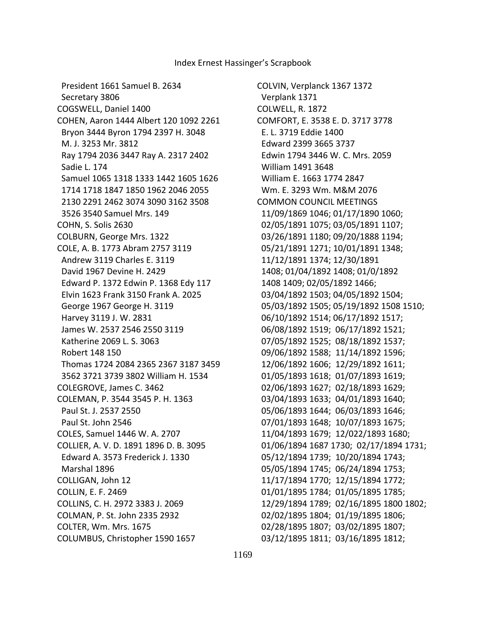President 1661 Samuel B. 2634 Secretary 3806 COGSWELL, Daniel 1400 COHEN, Aaron 1444 Albert 120 1092 2261 Bryon 3444 Byron 1794 2397 H. 3048 M. J. 3253 Mr. 3812 Ray 1794 2036 3447 Ray A. 2317 2402 Sadie L. 174 Samuel 1065 1318 1333 1442 1605 1626 1714 1718 1847 1850 1962 2046 2055 2130 2291 2462 3074 3090 3162 3508 3526 3540 Samuel Mrs. 149 COHN, S. Solis 2630 COLBURN, George Mrs. 1322 COLE, A. B. 1773 Abram 2757 3119 Andrew 3119 Charles E. 3119 David 1967 Devine H. 2429 Edward P. 1372 Edwin P. 1368 Edy 117 Elvin 1623 Frank 3150 Frank A. 2025 George 1967 George H. 3119 Harvey 3119 J. W. 2831 James W. 2537 2546 2550 3119 Katherine 2069 L. S. 3063 Robert 148 150 Thomas 1724 2084 2365 2367 3187 3459 3562 3721 3739 3802 William H. 1534 COLEGROVE, James C. 3462 COLEMAN, P. 3544 3545 P. H. 1363 Paul St. J. 2537 2550 Paul St. John 2546 COLES, Samuel 1446 W. A. 2707 COLLIER, A. V. D. 1891 1896 D. B. 3095 Edward A. 3573 Frederick J. 1330 Marshal 1896 COLLIGAN, John 12 COLLIN, E. F. 2469 COLLINS, C. H. 2972 3383 J. 2069 COLMAN, P. St. John 2335 2932 COLTER, Wm. Mrs. 1675 COLUMBUS, Christopher 1590 1657

COLVIN, Verplanck 1367 1372 Verplank 1371 COLWELL, R. 1872 COMFORT, E. 3538 E. D. 3717 3778 E. L. 3719 Eddie 1400 Edward 2399 3665 3737 Edwin 1794 3446 W. C. Mrs. 2059 William 1491 3648 William E. 1663 1774 2847 Wm. E. 3293 Wm. M&M 2076 COMMON COUNCIL MEETINGS 11/09/1869 1046; 01/17/1890 1060; 02/05/1891 1075; 03/05/1891 1107; 03/26/1891 1180; 09/20/1888 1194; 05/21/1891 1271; 10/01/1891 1348; 11/12/1891 1374; 12/30/1891 1408; 01/04/1892 1408; 01/0/1892 1408 1409; 02/05/1892 1466; 03/04/1892 1503; 04/05/1892 1504; 05/03/1892 1505; 05/19/1892 1508 1510; 06/10/1892 1514; 06/17/1892 1517; 06/08/1892 1519; 06/17/1892 1521; 07/05/1892 1525; 08/18/1892 1537; 09/06/1892 1588; 11/14/1892 1596; 12/06/1892 1606; 12/29/1892 1611; 01/05/1893 1618; 01/07/1893 1619; 02/06/1893 1627; 02/18/1893 1629; 03/04/1893 1633; 04/01/1893 1640; 05/06/1893 1644; 06/03/1893 1646; 07/01/1893 1648; 10/07/1893 1675; 11/04/1893 1679; 12/022/1893 1680; 01/06/1894 1687 1730; 02/17/1894 1731; 05/12/1894 1739; 10/20/1894 1743; 05/05/1894 1745; 06/24/1894 1753; 11/17/1894 1770; 12/15/1894 1772; 01/01/1895 1784; 01/05/1895 1785; 12/29/1894 1789; 02/16/1895 1800 1802; 02/02/1895 1804; 01/19/1895 1806; 02/28/1895 1807; 03/02/1895 1807; 03/12/1895 1811; 03/16/1895 1812;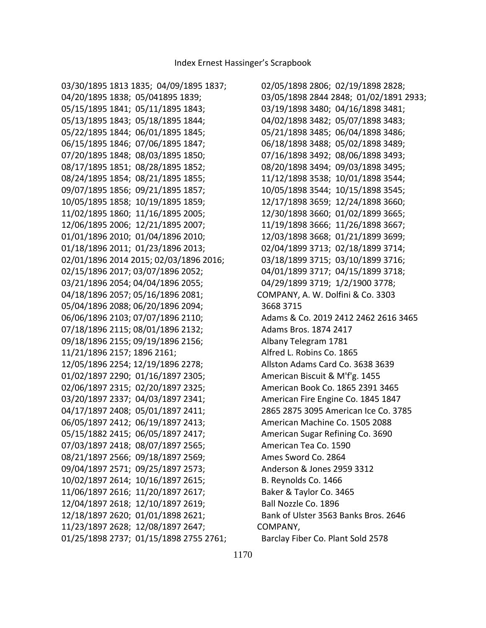03/30/1895 1813 1835; 04/09/1895 1837; 04/20/1895 1838; 05/041895 1839; 05/15/1895 1841; 05/11/1895 1843; 05/13/1895 1843; 05/18/1895 1844; 05/22/1895 1844; 06/01/1895 1845; 06/15/1895 1846; 07/06/1895 1847; 07/20/1895 1848; 08/03/1895 1850; 08/17/1895 1851; 08/28/1895 1852; 08/24/1895 1854; 08/21/1895 1855; 09/07/1895 1856; 09/21/1895 1857; 10/05/1895 1858; 10/19/1895 1859; 11/02/1895 1860; 11/16/1895 2005; 12/06/1895 2006; 12/21/1895 2007; 01/01/1896 2010; 01/04/1896 2010; 01/18/1896 2011; 01/23/1896 2013; 02/01/1896 2014 2015; 02/03/1896 2016; 02/15/1896 2017; 03/07/1896 2052; 03/21/1896 2054; 04/04/1896 2055; 04/18/1896 2057; 05/16/1896 2081; 05/04/1896 2088; 06/20/1896 2094; 06/06/1896 2103; 07/07/1896 2110; 07/18/1896 2115; 08/01/1896 2132; 09/18/1896 2155; 09/19/1896 2156; 11/21/1896 2157; 1896 2161; 12/05/1896 2254; 12/19/1896 2278; 01/02/1897 2290; 01/16/1897 2305; 02/06/1897 2315; 02/20/1897 2325; 03/20/1897 2337; 04/03/1897 2341; 04/17/1897 2408; 05/01/1897 2411; 06/05/1897 2412; 06/19/1897 2413; 05/15/1882 2415; 06/05/1897 2417; 07/03/1897 2418; 08/07/1897 2565; 08/21/1897 2566; 09/18/1897 2569; 09/04/1897 2571; 09/25/1897 2573; 10/02/1897 2614; 10/16/1897 2615; 11/06/1897 2616; 11/20/1897 2617; 12/04/1897 2618; 12/10/1897 2619; 12/18/1897 2620; 01/01/1898 2621; 11/23/1897 2628; 12/08/1897 2647; 01/25/1898 2737; 01/15/1898 2755 2761;

 02/05/1898 2806; 02/19/1898 2828; 03/05/1898 2844 2848; 01/02/1891 2933; 03/19/1898 3480; 04/16/1898 3481; 04/02/1898 3482; 05/07/1898 3483; 05/21/1898 3485; 06/04/1898 3486; 06/18/1898 3488; 05/02/1898 3489; 07/16/1898 3492; 08/06/1898 3493; 08/20/1898 3494; 09/03/1898 3495; 11/12/1898 3538; 10/01/1898 3544; 10/05/1898 3544; 10/15/1898 3545; 12/17/1898 3659; 12/24/1898 3660; 12/30/1898 3660; 01/02/1899 3665; 11/19/1898 3666; 11/26/1898 3667; 12/03/1898 3668; 01/21/1899 3699; 02/04/1899 3713; 02/18/1899 3714; 03/18/1899 3715; 03/10/1899 3716; 04/01/1899 3717; 04/15/1899 3718; 04/29/1899 3719; 1/2/1900 3778; COMPANY, A. W. Dolfini & Co. 3303 3668 3715 Adams & Co. 2019 2412 2462 2616 3465 Adams Bros. 1874 2417 Albany Telegram 1781 Alfred L. Robins Co. 1865 Allston Adams Card Co. 3638 3639 American Biscuit & M'f'g. 1455 American Book Co. 1865 2391 3465 American Fire Engine Co. 1845 1847 2865 2875 3095 American Ice Co. 3785 American Machine Co. 1505 2088 American Sugar Refining Co. 3690 American Tea Co. 1590 Ames Sword Co. 2864 Anderson & Jones 2959 3312 B. Reynolds Co. 1466 Baker & Taylor Co. 3465 Ball Nozzle Co. 1896 Bank of Ulster 3563 Banks Bros. 2646 COMPANY, Barclay Fiber Co. Plant Sold 2578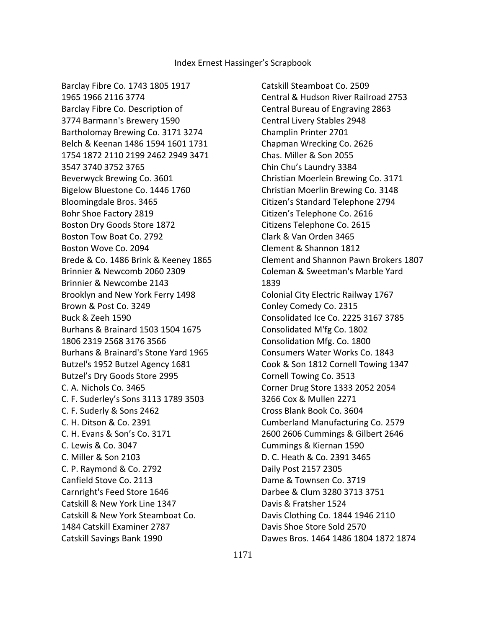Barclay Fibre Co. 1743 1805 1917 1965 1966 2116 3774 Barclay Fibre Co. Description of 3774 Barmann's Brewery 1590 Bartholomay Brewing Co. 3171 3274 Belch & Keenan 1486 1594 1601 1731 1754 1872 2110 2199 2462 2949 3471 3547 3740 3752 3765 Beverwyck Brewing Co. 3601 Bigelow Bluestone Co. 1446 1760 Bloomingdale Bros. 3465 Bohr Shoe Factory 2819 Boston Dry Goods Store 1872 Boston Tow Boat Co. 2792 Boston Wove Co. 2094 Brede & Co. 1486 Brink & Keeney 1865 Brinnier & Newcomb 2060 2309 Brinnier & Newcombe 2143 Brooklyn and New York Ferry 1498 Brown & Post Co. 3249 Buck & Zeeh 1590 Burhans & Brainard 1503 1504 1675 1806 2319 2568 3176 3566 Burhans & Brainard's Stone Yard 1965 Butzel's 1952 Butzel Agency 1681 Butzel's Dry Goods Store 2995 C. A. Nichols Co. 3465 C. F. Suderley's Sons 3113 1789 3503 C. F. Suderly & Sons 2462 C. H. Ditson & Co. 2391 C. H. Evans & Son's Co. 3171 C. Lewis & Co. 3047 C. Miller & Son 2103 C. P. Raymond & Co. 2792 Canfield Stove Co. 2113 Carnright's Feed Store 1646 Catskill & New York Line 1347 Catskill & New York Steamboat Co. 1484 Catskill Examiner 2787 Catskill Savings Bank 1990

 Catskill Steamboat Co. 2509 Central & Hudson River Railroad 2753 Central Bureau of Engraving 2863 Central Livery Stables 2948 Champlin Printer 2701 Chapman Wrecking Co. 2626 Chas. Miller & Son 2055 Chin Chu's Laundry 3384 Christian Moerlein Brewing Co. 3171 Christian Moerlin Brewing Co. 3148 Citizen's Standard Telephone 2794 Citizen's Telephone Co. 2616 Citizens Telephone Co. 2615 Clark & Van Orden 3465 Clement & Shannon 1812 Clement and Shannon Pawn Brokers 1807 Coleman & Sweetman's Marble Yard 1839 Colonial City Electric Railway 1767 Conley Comedy Co. 2315 Consolidated Ice Co. 2225 3167 3785 Consolidated M'fg Co. 1802 Consolidation Mfg. Co. 1800 Consumers Water Works Co. 1843 Cook & Son 1812 Cornell Towing 1347 Cornell Towing Co. 3513 Corner Drug Store 1333 2052 2054 3266 Cox & Mullen 2271 Cross Blank Book Co. 3604 Cumberland Manufacturing Co. 2579 2600 2606 Cummings & Gilbert 2646 Cummings & Kiernan 1590 D. C. Heath & Co. 2391 3465 Daily Post 2157 2305 Dame & Townsen Co. 3719 Darbee & Clum 3280 3713 3751 Davis & Fratsher 1524 Davis Clothing Co. 1844 1946 2110 Davis Shoe Store Sold 2570 Dawes Bros. 1464 1486 1804 1872 1874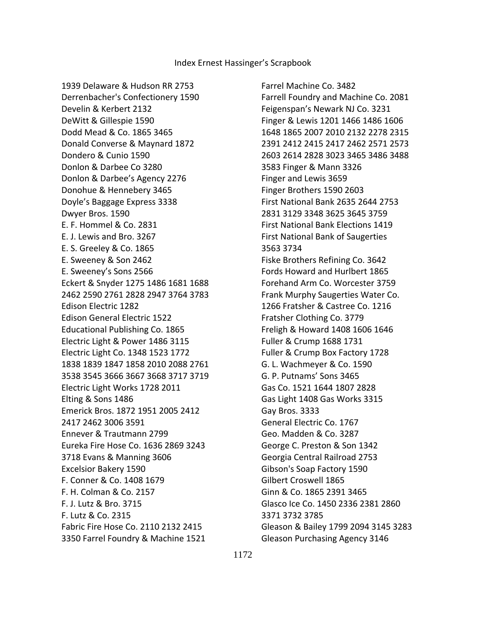1939 Delaware & Hudson RR 2753 Derrenbacher's Confectionery 1590 Develin & Kerbert 2132 DeWitt & Gillespie 1590 Dodd Mead & Co. 1865 3465 Donald Converse & Maynard 1872 Dondero & Cunio 1590 Donlon & Darbee Co 3280 Donlon & Darbee's Agency 2276 Donohue & Hennebery 3465 Doyle's Baggage Express 3338 Dwyer Bros. 1590 E. F. Hommel & Co. 2831 E. J. Lewis and Bro. 3267 E. S. Greeley & Co. 1865 E. Sweeney & Son 2462 E. Sweeney's Sons 2566 Eckert & Snyder 1275 1486 1681 1688 2462 2590 2761 2828 2947 3764 3783 Edison Electric 1282 Edison General Electric 1522 Educational Publishing Co. 1865 Electric Light & Power 1486 3115 Electric Light Co. 1348 1523 1772 1838 1839 1847 1858 2010 2088 2761 3538 3545 3666 3667 3668 3717 3719 Electric Light Works 1728 2011 Elting & Sons 1486 Emerick Bros. 1872 1951 2005 2412 2417 2462 3006 3591 Ennever & Trautmann 2799 Eureka Fire Hose Co. 1636 2869 3243 3718 Evans & Manning 3606 Excelsior Bakery 1590 F. Conner & Co. 1408 1679 F. H. Colman & Co. 2157 F. J. Lutz & Bro. 3715 F. Lutz & Co. 2315 Fabric Fire Hose Co. 2110 2132 2415 3350 Farrel Foundry & Machine 1521

 Farrel Machine Co. 3482 Farrell Foundry and Machine Co. 2081 Feigenspan's Newark NJ Co. 3231 Finger & Lewis 1201 1466 1486 1606 1648 1865 2007 2010 2132 2278 2315 2391 2412 2415 2417 2462 2571 2573 2603 2614 2828 3023 3465 3486 3488 3583 Finger & Mann 3326 Finger and Lewis 3659 Finger Brothers 1590 2603 First National Bank 2635 2644 2753 2831 3129 3348 3625 3645 3759 First National Bank Elections 1419 First National Bank of Saugerties 3563 3734 Fiske Brothers Refining Co. 3642 Fords Howard and Hurlbert 1865 Forehand Arm Co. Worcester 3759 Frank Murphy Saugerties Water Co. 1266 Fratsher & Castree Co. 1216 Fratsher Clothing Co. 3779 Freligh & Howard 1408 1606 1646 Fuller & Crump 1688 1731 Fuller & Crump Box Factory 1728 G. L. Wachmeyer & Co. 1590 G. P. Putnams' Sons 3465 Gas Co. 1521 1644 1807 2828 Gas Light 1408 Gas Works 3315 Gay Bros. 3333 General Electric Co. 1767 Geo. Madden & Co. 3287 George C. Preston & Son 1342 Georgia Central Railroad 2753 Gibson's Soap Factory 1590 Gilbert Croswell 1865 Ginn & Co. 1865 2391 3465 Glasco Ice Co. 1450 2336 2381 2860 3371 3732 3785 Gleason & Bailey 1799 2094 3145 3283 Gleason Purchasing Agency 3146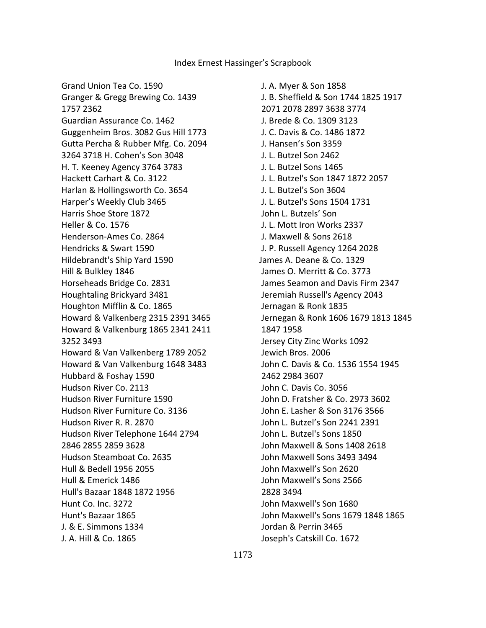Grand Union Tea Co. 1590 Granger & Gregg Brewing Co. 1439 1757 2362 Guardian Assurance Co. 1462 Guggenheim Bros. 3082 Gus Hill 1773 Gutta Percha & Rubber Mfg. Co. 2094 3264 3718 H. Cohen's Son 3048 H. T. Keeney Agency 3764 3783 Hackett Carhart & Co. 3122 Harlan & Hollingsworth Co. 3654 Harper's Weekly Club 3465 Harris Shoe Store 1872 Heller & Co. 1576 Henderson-Ames Co. 2864 Hendricks & Swart 1590 Hildebrandt's Ship Yard 1590 Hill & Bulkley 1846 Horseheads Bridge Co. 2831 Houghtaling Brickyard 3481 Houghton Mifflin & Co. 1865 Howard & Valkenberg 2315 2391 3465 Howard & Valkenburg 1865 2341 2411 3252 3493 Howard & Van Valkenberg 1789 2052 Howard & Van Valkenburg 1648 3483 Hubbard & Foshay 1590 Hudson River Co. 2113 Hudson River Furniture 1590 Hudson River Furniture Co. 3136 Hudson River R. R. 2870 Hudson River Telephone 1644 2794 2846 2855 2859 3628 Hudson Steamboat Co. 2635 Hull & Bedell 1956 2055 Hull & Emerick 1486 Hull's Bazaar 1848 1872 1956 Hunt Co. Inc. 3272 Hunt's Bazaar 1865 J. & E. Simmons 1334 J. A. Hill & Co. 1865

 J. A. Myer & Son 1858 J. B. Sheffield & Son 1744 1825 1917 2071 2078 2897 3638 3774 J. Brede & Co. 1309 3123 J. C. Davis & Co. 1486 1872 J. Hansen's Son 3359 J. L. Butzel Son 2462 J. L. Butzel Sons 1465 J. L. Butzel's Son 1847 1872 2057 J. L. Butzel's Son 3604 J. L. Butzel's Sons 1504 1731 John L. Butzels' Son J. L. Mott Iron Works 2337 J. Maxwell & Sons 2618 J. P. Russell Agency 1264 2028 James A. Deane & Co. 1329 James O. Merritt & Co. 3773 James Seamon and Davis Firm 2347 Jeremiah Russell's Agency 2043 Jernagan & Ronk 1835 Jernegan & Ronk 1606 1679 1813 1845 1847 1958 Jersey City Zinc Works 1092 Jewich Bros. 2006 John C. Davis & Co. 1536 1554 1945 2462 2984 3607 John C. Davis Co. 3056 John D. Fratsher & Co. 2973 3602 John E. Lasher & Son 3176 3566 John L. Butzel's Son 2241 2391 John L. Butzel's Sons 1850 John Maxwell & Sons 1408 2618 John Maxwell Sons 3493 3494 John Maxwell's Son 2620 John Maxwell's Sons 2566 2828 3494 John Maxwell's Son 1680 John Maxwell's Sons 1679 1848 1865 Jordan & Perrin 3465 Joseph's Catskill Co. 1672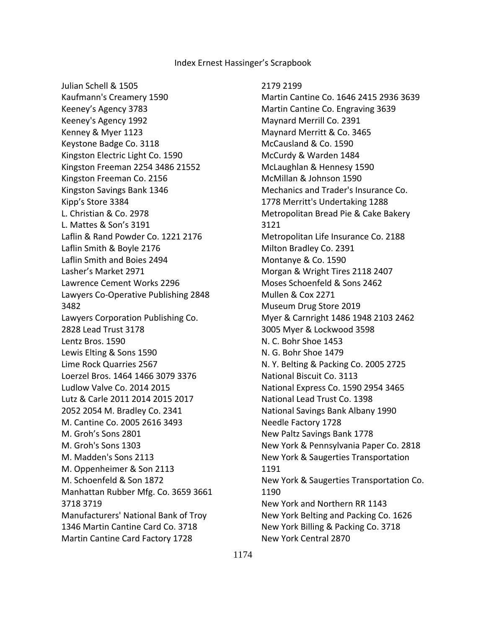Julian Schell & 1505 Kaufmann's Creamery 1590 Keeney's Agency 3783 Keeney's Agency 1992 Kenney & Myer 1123 Keystone Badge Co. 3118 Kingston Electric Light Co. 1590 Kingston Freeman 2254 3486 21552 Kingston Freeman Co. 2156 Kingston Savings Bank 1346 Kipp's Store 3384 L. Christian & Co. 2978 L. Mattes & Son's 3191 Laflin & Rand Powder Co. 1221 2176 Laflin Smith & Boyle 2176 Laflin Smith and Boies 2494 Lasher's Market 2971 Lawrence Cement Works 2296 Lawyers Co-Operative Publishing 2848 3482 Lawyers Corporation Publishing Co. 2828 Lead Trust 3178 Lentz Bros. 1590 Lewis Elting & Sons 1590 Lime Rock Quarries 2567 Loerzel Bros. 1464 1466 3079 3376 Ludlow Valve Co. 2014 2015 Lutz & Carle 2011 2014 2015 2017 2052 2054 M. Bradley Co. 2341 M. Cantine Co. 2005 2616 3493 M. Groh's Sons 2801 M. Groh's Sons 1303 M. Madden's Sons 2113 M. Oppenheimer & Son 2113 M. Schoenfeld & Son 1872 Manhattan Rubber Mfg. Co. 3659 3661 3718 3719 Manufacturers' National Bank of Troy 1346 Martin Cantine Card Co. 3718 Martin Cantine Card Factory 1728

#### 2179 2199

 Martin Cantine Co. 1646 2415 2936 3639 Martin Cantine Co. Engraving 3639 Maynard Merrill Co. 2391 Maynard Merritt & Co. 3465 McCausland & Co. 1590 McCurdy & Warden 1484 McLaughlan & Hennesy 1590 McMillan & Johnson 1590 Mechanics and Trader's Insurance Co. 1778 Merritt's Undertaking 1288 Metropolitan Bread Pie & Cake Bakery 3121 Metropolitan Life Insurance Co. 2188 Milton Bradley Co. 2391 Montanye & Co. 1590 Morgan & Wright Tires 2118 2407 Moses Schoenfeld & Sons 2462 Mullen & Cox 2271 Museum Drug Store 2019 Myer & Carnright 1486 1948 2103 2462 3005 Myer & Lockwood 3598 N. C. Bohr Shoe 1453 N. G. Bohr Shoe 1479 N. Y. Belting & Packing Co. 2005 2725 National Biscuit Co. 3113 National Express Co. 1590 2954 3465 National Lead Trust Co. 1398 National Savings Bank Albany 1990 Needle Factory 1728 New Paltz Savings Bank 1778 New York & Pennsylvania Paper Co. 2818 New York & Saugerties Transportation 1191 New York & Saugerties Transportation Co. 1190 New York and Northern RR 1143 New York Belting and Packing Co. 1626 New York Billing & Packing Co. 3718 New York Central 2870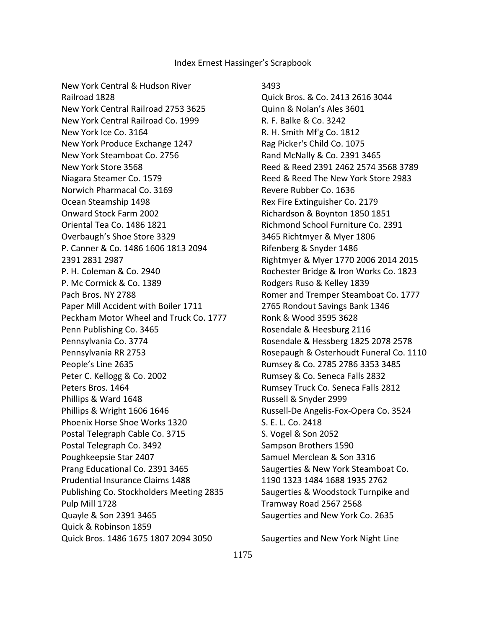New York Central & Hudson River Railroad 1828 New York Central Railroad 2753 3625 New York Central Railroad Co. 1999 New York Ice Co. 3164 New York Produce Exchange 1247 New York Steamboat Co. 2756 New York Store 3568 Niagara Steamer Co. 1579 Norwich Pharmacal Co. 3169 Ocean Steamship 1498 Onward Stock Farm 2002 Oriental Tea Co. 1486 1821 Overbaugh's Shoe Store 3329 P. Canner & Co. 1486 1606 1813 2094 2391 2831 2987 P. H. Coleman & Co. 2940 P. Mc Cormick & Co. 1389 Pach Bros. NY 2788 Paper Mill Accident with Boiler 1711 Peckham Motor Wheel and Truck Co. 1777 Penn Publishing Co. 3465 Pennsylvania Co. 3774 Pennsylvania RR 2753 People's Line 2635 Peter C. Kellogg & Co. 2002 Peters Bros. 1464 Phillips & Ward 1648 Phillips & Wright 1606 1646 Phoenix Horse Shoe Works 1320 Postal Telegraph Cable Co. 3715 Postal Telegraph Co. 3492 Poughkeepsie Star 2407 Prang Educational Co. 2391 3465 Prudential Insurance Claims 1488 Publishing Co. Stockholders Meeting 2835 Pulp Mill 1728 Quayle & Son 2391 3465 Quick & Robinson 1859 Quick Bros. 1486 1675 1807 2094 3050

 3493 Quick Bros. & Co. 2413 2616 3044 Quinn & Nolan's Ales 3601 R. F. Balke & Co. 3242 R. H. Smith Mf'g Co. 1812 Rag Picker's Child Co. 1075 Rand McNally & Co. 2391 3465 Reed & Reed 2391 2462 2574 3568 3789 Reed & Reed The New York Store 2983 Revere Rubber Co. 1636 Rex Fire Extinguisher Co. 2179 Richardson & Boynton 1850 1851 Richmond School Furniture Co. 2391 3465 Richtmyer & Myer 1806 Rifenberg & Snyder 1486 Rightmyer & Myer 1770 2006 2014 2015 Rochester Bridge & Iron Works Co. 1823 Rodgers Ruso & Kelley 1839 Romer and Tremper Steamboat Co. 1777 2765 Rondout Savings Bank 1346 Ronk & Wood 3595 3628 Rosendale & Heesburg 2116 Rosendale & Hessberg 1825 2078 2578 Rosepaugh & Osterhoudt Funeral Co. 1110 Rumsey & Co. 2785 2786 3353 3485 Rumsey & Co. Seneca Falls 2832 Rumsey Truck Co. Seneca Falls 2812 Russell & Snyder 2999 Russell-De Angelis-Fox-Opera Co. 3524 S. E. L. Co. 2418 S. Vogel & Son 2052 Sampson Brothers 1590 Samuel Merclean & Son 3316 Saugerties & New York Steamboat Co. 1190 1323 1484 1688 1935 2762 Saugerties & Woodstock Turnpike and Tramway Road 2567 2568 Saugerties and New York Co. 2635

Saugerties and New York Night Line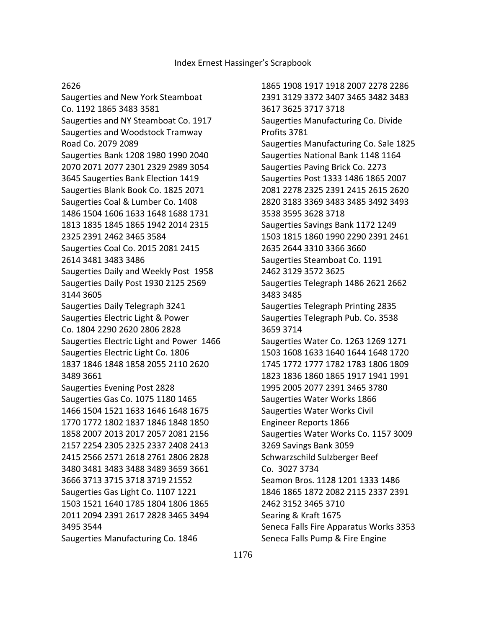# 2626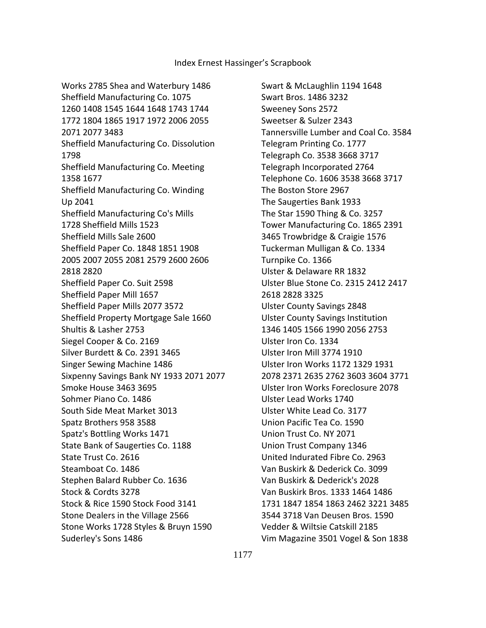Works 2785 Shea and Waterbury 1486 Sheffield Manufacturing Co. 1075 1260 1408 1545 1644 1648 1743 1744 1772 1804 1865 1917 1972 2006 2055 2071 2077 3483 Sheffield Manufacturing Co. Dissolution 1798 Sheffield Manufacturing Co. Meeting 1358 1677 Sheffield Manufacturing Co. Winding Up 2041 Sheffield Manufacturing Co's Mills 1728 Sheffield Mills 1523 Sheffield Mills Sale 2600 Sheffield Paper Co. 1848 1851 1908 2005 2007 2055 2081 2579 2600 2606 2818 2820 Sheffield Paper Co. Suit 2598 Sheffield Paper Mill 1657 Sheffield Paper Mills 2077 3572 Sheffield Property Mortgage Sale 1660 Shultis & Lasher 2753 Siegel Cooper & Co. 2169 Silver Burdett & Co. 2391 3465 Singer Sewing Machine 1486 Sixpenny Savings Bank NY 1933 2071 2077 Smoke House 3463 3695 Sohmer Piano Co. 1486 South Side Meat Market 3013 Spatz Brothers 958 3588 Spatz's Bottling Works 1471 State Bank of Saugerties Co. 1188 State Trust Co. 2616 Steamboat Co. 1486 Stephen Balard Rubber Co. 1636 Stock & Cordts 3278 Stock & Rice 1590 Stock Food 3141 Stone Dealers in the Village 2566 Stone Works 1728 Styles & Bruyn 1590 Suderley's Sons 1486

 Swart & McLaughlin 1194 1648 Swart Bros. 1486 3232 Sweeney Sons 2572 Sweetser & Sulzer 2343 Tannersville Lumber and Coal Co. 3584 Telegram Printing Co. 1777 Telegraph Co. 3538 3668 3717 Telegraph Incorporated 2764 Telephone Co. 1606 3538 3668 3717 The Boston Store 2967 The Saugerties Bank 1933 The Star 1590 Thing & Co. 3257 Tower Manufacturing Co. 1865 2391 3465 Trowbridge & Craigie 1576 Tuckerman Mulligan & Co. 1334 Turnpike Co. 1366 Ulster & Delaware RR 1832 Ulster Blue Stone Co. 2315 2412 2417 2618 2828 3325 Ulster County Savings 2848 Ulster County Savings Institution 1346 1405 1566 1990 2056 2753 Ulster Iron Co. 1334 Ulster Iron Mill 3774 1910 Ulster Iron Works 1172 1329 1931 2078 2371 2635 2762 3603 3604 3771 Ulster Iron Works Foreclosure 2078 Ulster Lead Works 1740 Ulster White Lead Co. 3177 Union Pacific Tea Co. 1590 Union Trust Co. NY 2071 Union Trust Company 1346 United Indurated Fibre Co. 2963 Van Buskirk & Dederick Co. 3099 Van Buskirk & Dederick's 2028 Van Buskirk Bros. 1333 1464 1486 1731 1847 1854 1863 2462 3221 3485 3544 3718 Van Deusen Bros. 1590 Vedder & Wiltsie Catskill 2185 Vim Magazine 3501 Vogel & Son 1838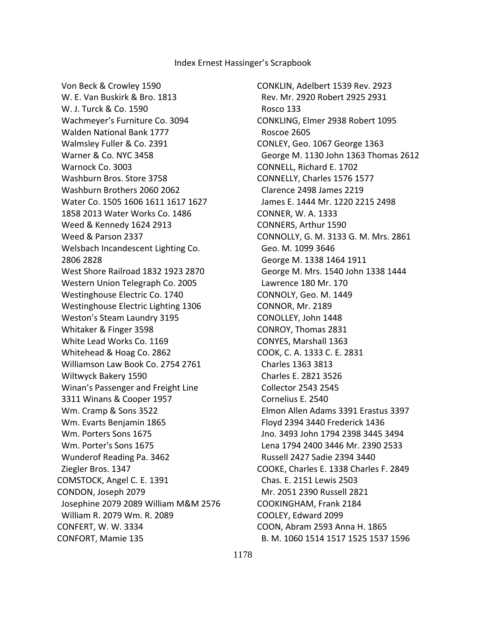Von Beck & Crowley 1590 W. E. Van Buskirk & Bro. 1813 W. J. Turck & Co. 1590 Wachmeyer's Furniture Co. 3094 Walden National Bank 1777 Walmsley Fuller & Co. 2391 Warner & Co. NYC 3458 Warnock Co. 3003 Washburn Bros. Store 3758 Washburn Brothers 2060 2062 Water Co. 1505 1606 1611 1617 1627 1858 2013 Water Works Co. 1486 Weed & Kennedy 1624 2913 Weed & Parson 2337 Welsbach Incandescent Lighting Co. 2806 2828 West Shore Railroad 1832 1923 2870 Western Union Telegraph Co. 2005 Westinghouse Electric Co. 1740 Westinghouse Electric Lighting 1306 Weston's Steam Laundry 3195 Whitaker & Finger 3598 White Lead Works Co. 1169 Whitehead & Hoag Co. 2862 Williamson Law Book Co. 2754 2761 Wiltwyck Bakery 1590 Winan's Passenger and Freight Line 3311 Winans & Cooper 1957 Wm. Cramp & Sons 3522 Wm. Evarts Benjamin 1865 Wm. Porters Sons 1675 Wm. Porter's Sons 1675 Wunderof Reading Pa. 3462 Ziegler Bros. 1347 COMSTOCK, Angel C. E. 1391 CONDON, Joseph 2079 Josephine 2079 2089 William M&M 2576 William R. 2079 Wm. R. 2089 CONFERT, W. W. 3334 CONFORT, Mamie 135

CONKLIN, Adelbert 1539 Rev. 2923 Rev. Mr. 2920 Robert 2925 2931 Rosco 133 CONKLING, Elmer 2938 Robert 1095 Roscoe 2605 CONLEY, Geo. 1067 George 1363 George M. 1130 John 1363 Thomas 2612 CONNELL, Richard E. 1702 CONNELLY, Charles 1576 1577 Clarence 2498 James 2219 James E. 1444 Mr. 1220 2215 2498 CONNER, W. A. 1333 CONNERS, Arthur 1590 CONNOLLY, G. M. 3133 G. M. Mrs. 2861 Geo. M. 1099 3646 George M. 1338 1464 1911 George M. Mrs. 1540 John 1338 1444 Lawrence 180 Mr. 170 CONNOLY, Geo. M. 1449 CONNOR, Mr. 2189 CONOLLEY, John 1448 CONROY, Thomas 2831 CONYES, Marshall 1363 COOK, C. A. 1333 C. E. 2831 Charles 1363 3813 Charles E. 2821 3526 Collector 2543 2545 Cornelius E. 2540 Elmon Allen Adams 3391 Erastus 3397 Floyd 2394 3440 Frederick 1436 Jno. 3493 John 1794 2398 3445 3494 Lena 1794 2400 3446 Mr. 2390 2533 Russell 2427 Sadie 2394 3440 COOKE, Charles E. 1338 Charles F. 2849 Chas. E. 2151 Lewis 2503 Mr. 2051 2390 Russell 2821 COOKINGHAM, Frank 2184 COOLEY, Edward 2099 COON, Abram 2593 Anna H. 1865 B. M. 1060 1514 1517 1525 1537 1596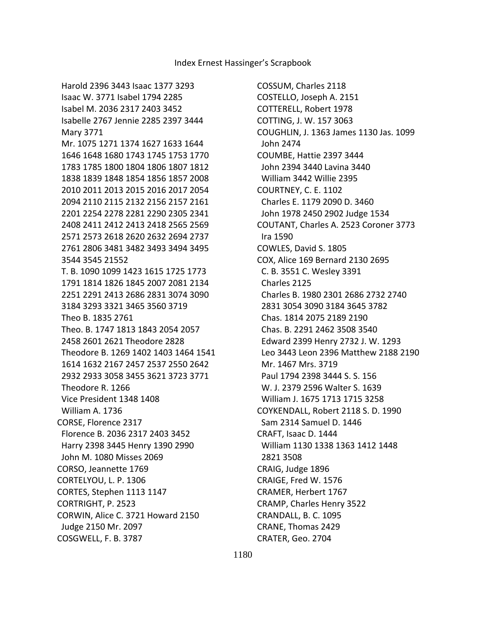COSSUM, Charles 2118 COSTELLO, Joseph A. 2151 COTTERELL, Robert 1978 COTTING, J. W. 157 3063 COUGHLIN, J. 1363 James 1130 Jas. 1099 John 2474 COUMBE, Hattie 2397 3444 John 2394 3440 Lavina 3440 William 3442 Willie 2395 COURTNEY, C. E. 1102 Charles E. 1179 2090 D. 3460 John 1978 2450 2902 Judge 1534 COUTANT, Charles A. 2523 Coroner 3773 Ira 1590 COWLES, David S. 1805 COX, Alice 169 Bernard 2130 2695 C. B. 3551 C. Wesley 3391 Charles 2125 Charles B. 1980 2301 2686 2732 2740 2831 3054 3090 3184 3645 3782 Chas. 1814 2075 2189 2190 Chas. B. 2291 2462 3508 3540 Edward 2399 Henry 2732 J. W. 1293 Leo 3443 Leon 2396 Matthew 2188 2190 Mr. 1467 Mrs. 3719 Paul 1794 2398 3444 S. S. 156 W. J. 2379 2596 Walter S. 1639 William J. 1675 1713 1715 3258 COYKENDALL, Robert 2118 S. D. 1990 Sam 2314 Samuel D. 1446 CRAFT, Isaac D. 1444 William 1130 1338 1363 1412 1448 2821 3508 CRAIG, Judge 1896 CRAIGE, Fred W. 1576 CRAMER, Herbert 1767 CRAMP, Charles Henry 3522 CRANDALL, B. C. 1095 CRANE, Thomas 2429 CRATER, Geo. 2704

1180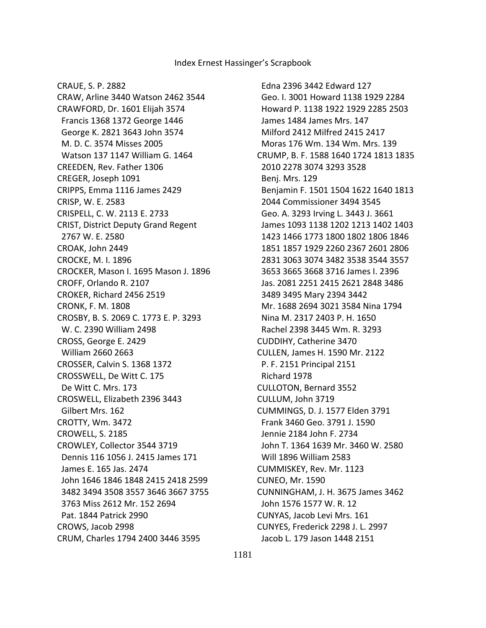CRAUE, S. P. 2882

CRAW, Arline 3440 Watson 2462 3544 CRAWFORD, Dr. 1601 Elijah 3574 Francis 1368 1372 George 1446 George K. 2821 3643 John 3574 M. D. C. 3574 Misses 2005 Watson 137 1147 William G. 1464 CREEDEN, Rev. Father 1306 CREGER, Joseph 1091 CRIPPS, Emma 1116 James 2429 CRISP, W. E. 2583 CRISPELL, C. W. 2113 E. 2733 CRIST, District Deputy Grand Regent 2767 W. E. 2580 CROAK, John 2449 CROCKE, M. I. 1896 CROCKER, Mason I. 1695 Mason J. 1896 CROFF, Orlando R. 2107 CROKER, Richard 2456 2519 CRONK, F. M. 1808 CROSBY, B. S. 2069 C. 1773 E. P. 3293 W. C. 2390 William 2498 CROSS, George E. 2429 William 2660 2663 CROSSER, Calvin S. 1368 1372 CROSSWELL, De Witt C. 175 De Witt C. Mrs. 173 CROSWELL, Elizabeth 2396 3443 Gilbert Mrs. 162 CROTTY, Wm. 3472 CROWELL, S. 2185 CROWLEY, Collector 3544 3719 Dennis 116 1056 J. 2415 James 171 James E. 165 Jas. 2474 John 1646 1846 1848 2415 2418 2599 3482 3494 3508 3557 3646 3667 3755 3763 Miss 2612 Mr. 152 2694 Pat. 1844 Patrick 2990 CROWS, Jacob 2998 CRUM, Charles 1794 2400 3446 3595

 Edna 2396 3442 Edward 127 Geo. I. 3001 Howard 1138 1929 2284 Howard P. 1138 1922 1929 2285 2503 James 1484 James Mrs. 147 Milford 2412 Milfred 2415 2417 Moras 176 Wm. 134 Wm. Mrs. 139 CRUMP, B. F. 1588 1640 1724 1813 1835 2010 2278 3074 3293 3528 Benj. Mrs. 129 Benjamin F. 1501 1504 1622 1640 1813 2044 Commissioner 3494 3545 Geo. A. 3293 Irving L. 3443 J. 3661 James 1093 1138 1202 1213 1402 1403 1423 1466 1773 1800 1802 1806 1846 1851 1857 1929 2260 2367 2601 2806 2831 3063 3074 3482 3538 3544 3557 3653 3665 3668 3716 James I. 2396 Jas. 2081 2251 2415 2621 2848 3486 3489 3495 Mary 2394 3442 Mr. 1688 2694 3021 3584 Nina 1794 Nina M. 2317 2403 P. H. 1650 Rachel 2398 3445 Wm. R. 3293 CUDDIHY, Catherine 3470 CULLEN, James H. 1590 Mr. 2122 P. F. 2151 Principal 2151 Richard 1978 CULLOTON, Bernard 3552 CULLUM, John 3719 CUMMINGS, D. J. 1577 Elden 3791 Frank 3460 Geo. 3791 J. 1590 Jennie 2184 John F. 2734 John T. 1364 1639 Mr. 3460 W. 2580 Will 1896 William 2583 CUMMISKEY, Rev. Mr. 1123 CUNEO, Mr. 1590 CUNNINGHAM, J. H. 3675 James 3462 John 1576 1577 W. R. 12 CUNYAS, Jacob Levi Mrs. 161 CUNYES, Frederick 2298 J. L. 2997 Jacob L. 179 Jason 1448 2151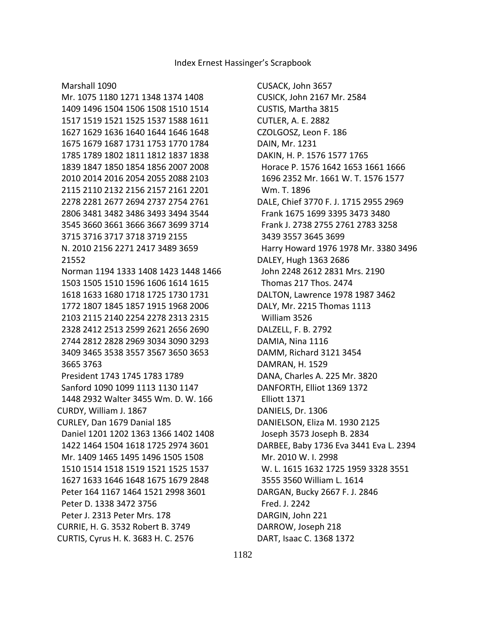Marshall 1090

CUSACK, John 3657 CUSICK, John 2167 Mr. 2584 CUSTIS, Martha 3815 CUTLER, A. E. 2882 CZOLGOSZ, Leon F. 186 DAIN, Mr. 1231 DAKIN, H. P. 1576 1577 1765 Horace P. 1576 1642 1653 1661 1666 1696 2352 Mr. 1661 W. T. 1576 1577 Wm. T. 1896 DALE, Chief 3770 F. J. 1715 2955 2969 Frank 1675 1699 3395 3473 3480 Frank J. 2738 2755 2761 2783 3258 3439 3557 3645 3699 Harry Howard 1976 1978 Mr. 3380 3496 DALEY, Hugh 1363 2686 John 2248 2612 2831 Mrs. 2190 Thomas 217 Thos. 2474 DALTON, Lawrence 1978 1987 3462 DALY, Mr. 2215 Thomas 1113 William 3526 DALZELL, F. B. 2792 DAMIA, Nina 1116 DAMM, Richard 3121 3454 DAMRAN, H. 1529 DANA, Charles A. 225 Mr. 3820 DANFORTH, Elliot 1369 1372 Elliott 1371 DANIELS, Dr. 1306 DANIELSON, Eliza M. 1930 2125 Joseph 3573 Joseph B. 2834 DARBEE, Baby 1736 Eva 3441 Eva L. 2394 Mr. 2010 W. I. 2998 W. L. 1615 1632 1725 1959 3328 3551 3555 3560 William L. 1614 DARGAN, Bucky 2667 F. J. 2846 Fred. J. 2242 DARGIN, John 221 DARROW, Joseph 218 DART, Isaac C. 1368 1372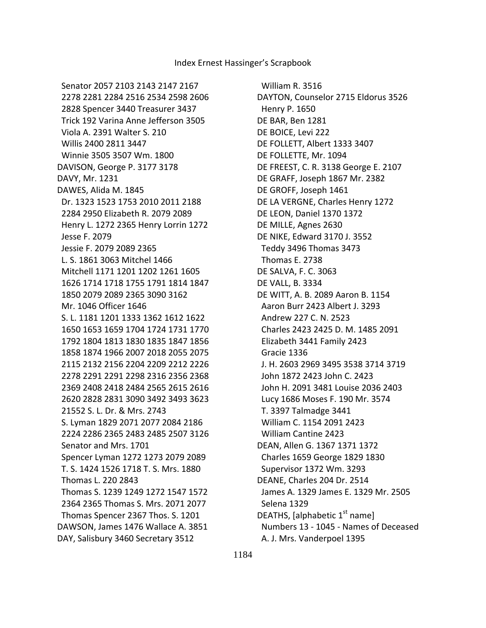William R. 3516 DAYTON, Counselor 2715 Eldorus 3526 Henry P. 1650 DE BAR, Ben 1281 DE BOICE, Levi 222 DE FOLLETT, Albert 1333 3407 DE FOLLETTE, Mr. 1094 DE FREEST, C. R. 3138 George E. 2107 DE GRAFF, Joseph 1867 Mr. 2382 DE GROFF, Joseph 1461 DE LA VERGNE, Charles Henry 1272 DE LEON, Daniel 1370 1372 DE MILLE, Agnes 2630 DE NIKE, Edward 3170 J. 3552 Teddy 3496 Thomas 3473 Thomas E. 2738 DE SALVA, F. C. 3063 DE VALL, B. 3334 DE WITT, A. B. 2089 Aaron B. 1154 Aaron Burr 2423 Albert J. 3293 Andrew 227 C. N. 2523 Charles 2423 2425 D. M. 1485 2091 Elizabeth 3441 Family 2423 Gracie 1336 J. H. 2603 2969 3495 3538 3714 3719 John 1872 2423 John C. 2423 John H. 2091 3481 Louise 2036 2403 Lucy 1686 Moses F. 190 Mr. 3574 T. 3397 Talmadge 3441 William C. 1154 2091 2423 William Cantine 2423 DEAN, Allen G. 1367 1371 1372 Charles 1659 George 1829 1830 Supervisor 1372 Wm. 3293 DEANE, Charles 204 Dr. 2514 James A. 1329 James E. 1329 Mr. 2505 Selena 1329 DEATHS, [alphabetic 1<sup>st</sup> name] Numbers 13 - 1045 - Names of Deceased A. J. Mrs. Vanderpoel 1395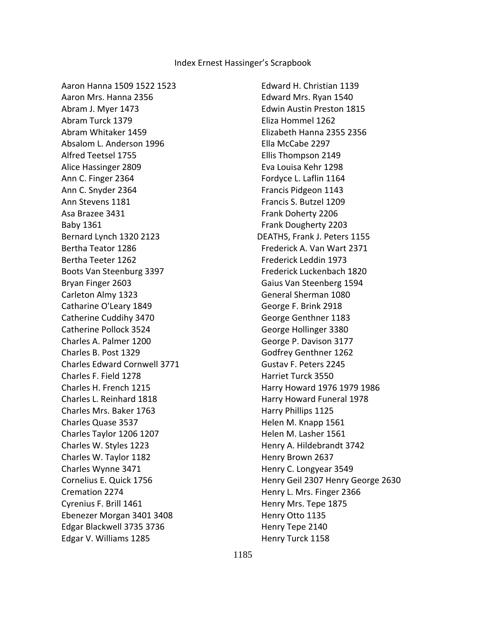Aaron Hanna 1509 1522 1523 Aaron Mrs. Hanna 2356 Abram J. Myer 1473 Abram Turck 1379 Abram Whitaker 1459 Absalom L. Anderson 1996 Alfred Teetsel 1755 Alice Hassinger 2809 Ann C. Finger 2364 Ann C. Snyder 2364 Ann Stevens 1181 Asa Brazee 3431 Baby 1361 Bernard Lynch 1320 2123 Bertha Teator 1286 Bertha Teeter 1262 Boots Van Steenburg 3397 Bryan Finger 2603 Carleton Almy 1323 Catharine O'Leary 1849 Catherine Cuddihy 3470 Catherine Pollock 3524 Charles A. Palmer 1200 Charles B. Post 1329 Charles Edward Cornwell 3771 Charles F. Field 1278 Charles H. French 1215 Charles L. Reinhard 1818 Charles Mrs. Baker 1763 Charles Quase 3537 Charles Taylor 1206 1207 Charles W. Styles 1223 Charles W. Taylor 1182 Charles Wynne 3471 Cornelius E. Quick 1756 Cremation 2274 Cyrenius F. Brill 1461 Ebenezer Morgan 3401 3408 Edgar Blackwell 3735 3736 Edgar V. Williams 1285

 Edward H. Christian 1139 Edward Mrs. Ryan 1540 Edwin Austin Preston 1815 Eliza Hommel 1262 Elizabeth Hanna 2355 2356 Ella McCabe 2297 Ellis Thompson 2149 Eva Louisa Kehr 1298 Fordyce L. Laflin 1164 Francis Pidgeon 1143 Francis S. Butzel 1209 Frank Doherty 2206 Frank Dougherty 2203 DEATHS, Frank J. Peters 1155 Frederick A. Van Wart 2371 Frederick Leddin 1973 Frederick Luckenbach 1820 Gaius Van Steenberg 1594 General Sherman 1080 George F. Brink 2918 George Genthner 1183 George Hollinger 3380 George P. Davison 3177 Godfrey Genthner 1262 Gustav F. Peters 2245 Harriet Turck 3550 Harry Howard 1976 1979 1986 Harry Howard Funeral 1978 Harry Phillips 1125 Helen M. Knapp 1561 Helen M. Lasher 1561 Henry A. Hildebrandt 3742 Henry Brown 2637 Henry C. Longyear 3549 Henry Geil 2307 Henry George 2630 Henry L. Mrs. Finger 2366 Henry Mrs. Tepe 1875 Henry Otto 1135 Henry Tepe 2140 Henry Turck 1158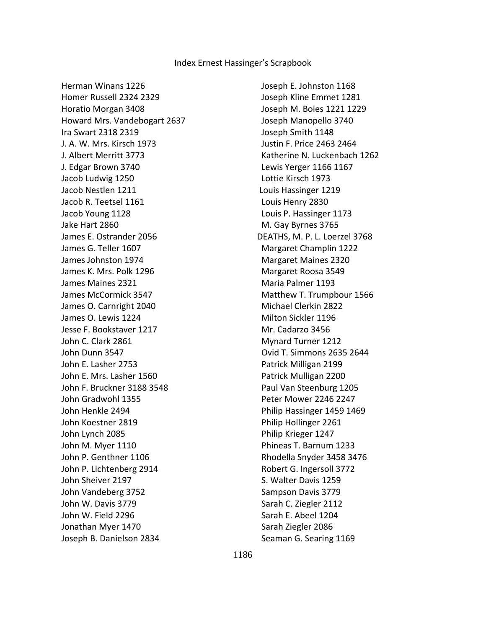Herman Winans 1226 Homer Russell 2324 2329 Horatio Morgan 3408 Howard Mrs. Vandebogart 2637 Ira Swart 2318 2319 J. A. W. Mrs. Kirsch 1973 J. Albert Merritt 3773 J. Edgar Brown 3740 Jacob Ludwig 1250 Jacob Nestlen 1211 Jacob R. Teetsel 1161 Jacob Young 1128 Jake Hart 2860 James E. Ostrander 2056 James G. Teller 1607 James Johnston 1974 James K. Mrs. Polk 1296 James Maines 2321 James McCormick 3547 James O. Carnright 2040 James O. Lewis 1224 Jesse F. Bookstaver 1217 John C. Clark 2861 John Dunn 3547 John E. Lasher 2753 John E. Mrs. Lasher 1560 John F. Bruckner 3188 3548 John Gradwohl 1355 John Henkle 2494 John Koestner 2819 John Lynch 2085 John M. Myer 1110 John P. Genthner 1106 John P. Lichtenberg 2914 John Sheiver 2197 John Vandeberg 3752 John W. Davis 3779 John W. Field 2296 Jonathan Myer 1470 Joseph B. Danielson 2834

 Joseph E. Johnston 1168 Joseph Kline Emmet 1281 Joseph M. Boies 1221 1229 Joseph Manopello 3740 Joseph Smith 1148 Justin F. Price 2463 2464 Katherine N. Luckenbach 1262 Lewis Yerger 1166 1167 Lottie Kirsch 1973 Louis Hassinger 1219 Louis Henry 2830 Louis P. Hassinger 1173 M. Gay Byrnes 3765 DEATHS, M. P. L. Loerzel 3768 Margaret Champlin 1222 Margaret Maines 2320 Margaret Roosa 3549 Maria Palmer 1193 Matthew T. Trumpbour 1566 Michael Clerkin 2822 Milton Sickler 1196 Mr. Cadarzo 3456 Mynard Turner 1212 Ovid T. Simmons 2635 2644 Patrick Milligan 2199 Patrick Mulligan 2200 Paul Van Steenburg 1205 Peter Mower 2246 2247 Philip Hassinger 1459 1469 Philip Hollinger 2261 Philip Krieger 1247 Phineas T. Barnum 1233 Rhodella Snyder 3458 3476 Robert G. Ingersoll 3772 S. Walter Davis 1259 Sampson Davis 3779 Sarah C. Ziegler 2112 Sarah E. Abeel 1204 Sarah Ziegler 2086 Seaman G. Searing 1169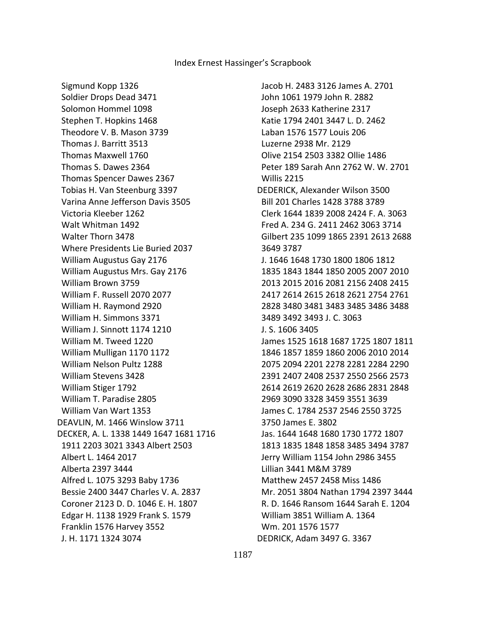Sigmund Kopp 1326 Soldier Drops Dead 3471 Solomon Hommel 1098 Stephen T. Hopkins 1468 Theodore V. B. Mason 3739 Thomas J. Barritt 3513 Thomas Maxwell 1760 Thomas S. Dawes 2364 Thomas Spencer Dawes 2367 Tobias H. Van Steenburg 3397 Varina Anne Jefferson Davis 3505 Victoria Kleeber 1262 Walt Whitman 1492 Walter Thorn 3478 Where Presidents Lie Buried 2037 William Augustus Gay 2176 William Augustus Mrs. Gay 2176 William Brown 3759 William F. Russell 2070 2077 William H. Raymond 2920 William H. Simmons 3371 William J. Sinnott 1174 1210 William M. Tweed 1220 William Mulligan 1170 1172 William Nelson Pultz 1288 William Stevens 3428 William Stiger 1792 William T. Paradise 2805 William Van Wart 1353 DEAVLIN, M. 1466 Winslow 3711 DECKER, A. L. 1338 1449 1647 1681 1716 1911 2203 3021 3343 Albert 2503 Albert L. 1464 2017 Alberta 2397 3444 Alfred L. 1075 3293 Baby 1736 Bessie 2400 3447 Charles V. A. 2837 Coroner 2123 D. D. 1046 E. H. 1807 Edgar H. 1138 1929 Frank S. 1579 Franklin 1576 Harvey 3552 J. H. 1171 1324 3074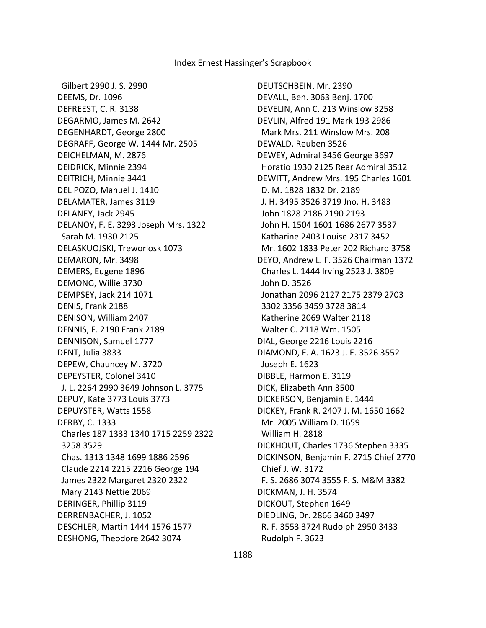Gilbert 2990 J. S. 2990 DEEMS, Dr. 1096 DEFREEST, C. R. 3138 DEGARMO, James M. 2642 DEGENHARDT, George 2800 DEGRAFF, George W. 1444 Mr. 2505 DEICHELMAN, M. 2876 DEIDRICK, Minnie 2394 DEITRICH, Minnie 3441 DEL POZO, Manuel J. 1410 DELAMATER, James 3119 DELANEY, Jack 2945 DELANOY, F. E. 3293 Joseph Mrs. 1322 Sarah M. 1930 2125 DELASKUOJSKI, Treworlosk 1073 DEMARON, Mr. 3498 DEMERS, Eugene 1896 DEMONG, Willie 3730 DEMPSEY, Jack 214 1071 DENIS, Frank 2188 DENISON, William 2407 DENNIS, F. 2190 Frank 2189 DENNISON, Samuel 1777 DENT, Julia 3833 DEPEW, Chauncey M. 3720 DEPEYSTER, Colonel 3410 J. L. 2264 2990 3649 Johnson L. 3775 DEPUY, Kate 3773 Louis 3773 DEPUYSTER, Watts 1558 DERBY, C. 1333 Charles 187 1333 1340 1715 2259 2322 3258 3529 Chas. 1313 1348 1699 1886 2596 Claude 2214 2215 2216 George 194 James 2322 Margaret 2320 2322 Mary 2143 Nettie 2069 DERINGER, Phillip 3119 DERRENBACHER, J. 1052 DESCHLER, Martin 1444 1576 1577 DESHONG, Theodore 2642 3074

DEUTSCHBEIN, Mr. 2390 DEVALL, Ben. 3063 Benj. 1700 DEVELIN, Ann C. 213 Winslow 3258 DEVLIN, Alfred 191 Mark 193 2986 Mark Mrs. 211 Winslow Mrs. 208 DEWALD, Reuben 3526 DEWEY, Admiral 3456 George 3697 Horatio 1930 2125 Rear Admiral 3512 DEWITT, Andrew Mrs. 195 Charles 1601 D. M. 1828 1832 Dr. 2189 J. H. 3495 3526 3719 Jno. H. 3483 John 1828 2186 2190 2193 John H. 1504 1601 1686 2677 3537 Katharine 2403 Louise 2317 3452 Mr. 1602 1833 Peter 202 Richard 3758 DEYO, Andrew L. F. 3526 Chairman 1372 Charles L. 1444 Irving 2523 J. 3809 John D. 3526 Jonathan 2096 2127 2175 2379 2703 3302 3356 3459 3728 3814 Katherine 2069 Walter 2118 Walter C. 2118 Wm. 1505 DIAL, George 2216 Louis 2216 DIAMOND, F. A. 1623 J. E. 3526 3552 Joseph E. 1623 DIBBLE, Harmon E. 3119 DICK, Elizabeth Ann 3500 DICKERSON, Benjamin E. 1444 DICKEY, Frank R. 2407 J. M. 1650 1662 Mr. 2005 William D. 1659 William H. 2818 DICKHOUT, Charles 1736 Stephen 3335 DICKINSON, Benjamin F. 2715 Chief 2770 Chief J. W. 3172 F. S. 2686 3074 3555 F. S. M&M 3382 DICKMAN, J. H. 3574 DICKOUT, Stephen 1649 DIEDLING, Dr. 2866 3460 3497 R. F. 3553 3724 Rudolph 2950 3433 Rudolph F. 3623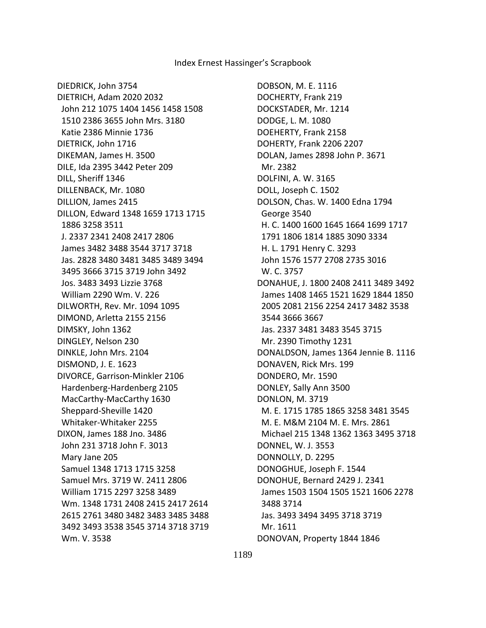DOBSON, M. E. 1116 DOCHERTY, Frank 219 DOCKSTADER, Mr. 1214 DODGE, L. M. 1080 DOEHERTY, Frank 2158 DOHERTY, Frank 2206 2207 DOLAN, James 2898 John P. 3671 Mr. 2382 DOLFINI, A. W. 3165 DOLL, Joseph C. 1502 DOLSON, Chas. W. 1400 Edna 1794 George 3540 H. C. 1400 1600 1645 1664 1699 1717 1791 1806 1814 1885 3090 3334 H. L. 1791 Henry C. 3293 John 1576 1577 2708 2735 3016 W. C. 3757 DONAHUE, J. 1800 2408 2411 3489 3492 James 1408 1465 1521 1629 1844 1850 2005 2081 2156 2254 2417 3482 3538 3544 3666 3667 Jas. 2337 3481 3483 3545 3715 Mr. 2390 Timothy 1231 DONALDSON, James 1364 Jennie B. 1116 DONAVEN, Rick Mrs. 199 DONDERO, Mr. 1590 DONLEY, Sally Ann 3500 DONLON, M. 3719 M. E. 1715 1785 1865 3258 3481 3545 M. E. M&M 2104 M. E. Mrs. 2861 Michael 215 1348 1362 1363 3495 3718 DONNEL, W. J. 3553 DONNOLLY, D. 2295 DONOGHUE, Joseph F. 1544 DONOHUE, Bernard 2429 J. 2341 James 1503 1504 1505 1521 1606 2278 3488 3714 Jas. 3493 3494 3495 3718 3719 Mr. 1611 DONOVAN, Property 1844 1846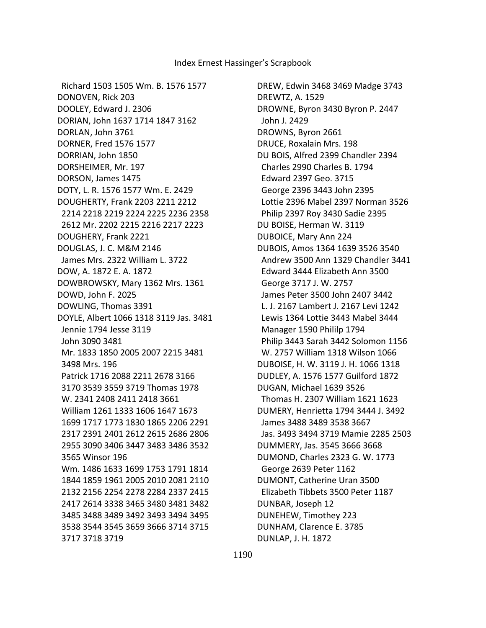DREW, Edwin 3468 3469 Madge 3743 DREWTZ, A. 1529 DROWNE, Byron 3430 Byron P. 2447 John J. 2429 DROWNS, Byron 2661 DRUCE, Roxalain Mrs. 198 DU BOIS, Alfred 2399 Chandler 2394 Charles 2990 Charles B. 1794 Edward 2397 Geo. 3715 George 2396 3443 John 2395 Lottie 2396 Mabel 2397 Norman 3526 Philip 2397 Roy 3430 Sadie 2395 DU BOISE, Herman W. 3119 DUBOICE, Mary Ann 224 DUBOIS, Amos 1364 1639 3526 3540 Andrew 3500 Ann 1329 Chandler 3441 Edward 3444 Elizabeth Ann 3500 George 3717 J. W. 2757 James Peter 3500 John 2407 3442 L. J. 2167 Lambert J. 2167 Levi 1242 Lewis 1364 Lottie 3443 Mabel 3444 Manager 1590 Phililp 1794 Philip 3443 Sarah 3442 Solomon 1156 W. 2757 William 1318 Wilson 1066 DUBOISE, H. W. 3119 J. H. 1066 1318 DUDLEY, A. 1576 1577 Guilford 1872 DUGAN, Michael 1639 3526 Thomas H. 2307 William 1621 1623 DUMERY, Henrietta 1794 3444 J. 3492 James 3488 3489 3538 3667 Jas. 3493 3494 3719 Mamie 2285 2503 DUMMERY, Jas. 3545 3666 3668 DUMOND, Charles 2323 G. W. 1773 George 2639 Peter 1162 DUMONT, Catherine Uran 3500 Elizabeth Tibbets 3500 Peter 1187 DUNBAR, Joseph 12 DUNEHEW, Timothey 223 DUNHAM, Clarence E. 3785 DUNLAP, J. H. 1872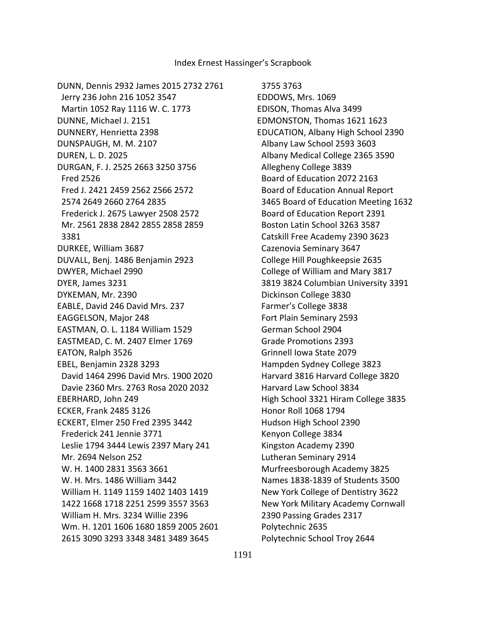DUNN, Dennis 2932 James 2015 2732 2761 Jerry 236 John 216 1052 3547 Martin 1052 Ray 1116 W. C. 1773 DUNNE, Michael J. 2151 DUNNERY, Henrietta 2398 DUNSPAUGH, M. M. 2107 DUREN, L. D. 2025 DURGAN, F. J. 2525 2663 3250 3756 Fred 2526 Fred J. 2421 2459 2562 2566 2572 2574 2649 2660 2764 2835 Frederick J. 2675 Lawyer 2508 2572 Mr. 2561 2838 2842 2855 2858 2859 3381 DURKEE, William 3687 DUVALL, Benj. 1486 Benjamin 2923 DWYER, Michael 2990 DYER, James 3231 DYKEMAN, Mr. 2390 EABLE, David 246 David Mrs. 237 EAGGELSON, Major 248 EASTMAN, O. L. 1184 William 1529 EASTMEAD, C. M. 2407 Elmer 1769 EATON, Ralph 3526 EBEL, Benjamin 2328 3293 David 1464 2996 David Mrs. 1900 2020 Davie 2360 Mrs. 2763 Rosa 2020 2032 EBERHARD, John 249 ECKER, Frank 2485 3126 ECKERT, Elmer 250 Fred 2395 3442 Frederick 241 Jennie 3771 Leslie 1794 3444 Lewis 2397 Mary 241 Mr. 2694 Nelson 252 W. H. 1400 2831 3563 3661 W. H. Mrs. 1486 William 3442 William H. 1149 1159 1402 1403 1419 1422 1668 1718 2251 2599 3557 3563 William H. Mrs. 3234 Willie 2396 Wm. H. 1201 1606 1680 1859 2005 2601 2615 3090 3293 3348 3481 3489 3645

3755 3763

EDDOWS, Mrs. 1069 EDISON, Thomas Alva 3499 EDMONSTON, Thomas 1621 1623 EDUCATION, Albany High School 2390 Albany Law School 2593 3603 Albany Medical College 2365 3590 Allegheny College 3839 Board of Education 2072 2163 Board of Education Annual Report 3465 Board of Education Meeting 1632 Board of Education Report 2391 Boston Latin School 3263 3587 Catskill Free Academy 2390 3623 Cazenovia Seminary 3647 College Hill Poughkeepsie 2635 College of William and Mary 3817 3819 3824 Columbian University 3391 Dickinson College 3830 Farmer's College 3838 Fort Plain Seminary 2593 German School 2904 Grade Promotions 2393 Grinnell Iowa State 2079 Hampden Sydney College 3823 Harvard 3816 Harvard College 3820 Harvard Law School 3834 High School 3321 Hiram College 3835 Honor Roll 1068 1794 Hudson High School 2390 Kenyon College 3834 Kingston Academy 2390 Lutheran Seminary 2914 Murfreesborough Academy 3825 Names 1838-1839 of Students 3500 New York College of Dentistry 3622 New York Military Academy Cornwall 2390 Passing Grades 2317 Polytechnic 2635 Polytechnic School Troy 2644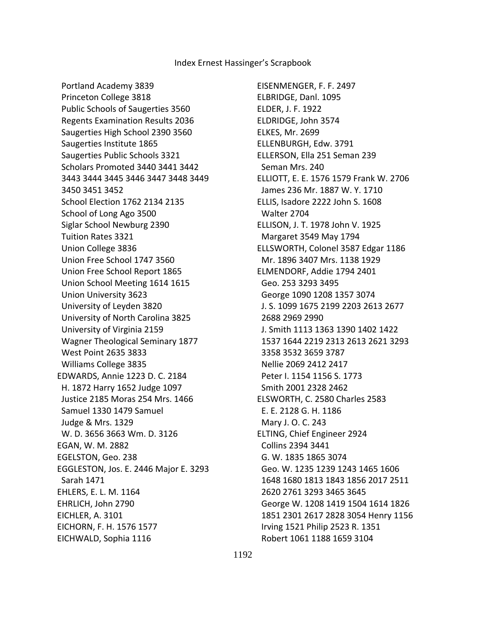Portland Academy 3839 Princeton College 3818 Public Schools of Saugerties 3560 Regents Examination Results 2036 Saugerties High School 2390 3560 Saugerties Institute 1865 Saugerties Public Schools 3321 Scholars Promoted 3440 3441 3442 3443 3444 3445 3446 3447 3448 3449 3450 3451 3452 School Election 1762 2134 2135 School of Long Ago 3500 Siglar School Newburg 2390 Tuition Rates 3321 Union College 3836 Union Free School 1747 3560 Union Free School Report 1865 Union School Meeting 1614 1615 Union University 3623 University of Leyden 3820 University of North Carolina 3825 University of Virginia 2159 Wagner Theological Seminary 1877 West Point 2635 3833 Williams College 3835 EDWARDS, Annie 1223 D. C. 2184 H. 1872 Harry 1652 Judge 1097 Justice 2185 Moras 254 Mrs. 1466 Samuel 1330 1479 Samuel Judge & Mrs. 1329 W. D. 3656 3663 Wm. D. 3126 EGAN, W. M. 2882 EGELSTON, Geo. 238 EGGLESTON, Jos. E. 2446 Major E. 3293 Sarah 1471 EHLERS, E. L. M. 1164 EHRLICH, John 2790 EICHLER, A. 3101 EICHORN, F. H. 1576 1577 EICHWALD, Sophia 1116

EISENMENGER, F. F. 2497 ELBRIDGE, Danl. 1095 ELDER, J. F. 1922 ELDRIDGE, John 3574 ELKES, Mr. 2699 ELLENBURGH, Edw. 3791 ELLERSON, Ella 251 Seman 239 Seman Mrs. 240 ELLIOTT, E. E. 1576 1579 Frank W. 2706 James 236 Mr. 1887 W. Y. 1710 ELLIS, Isadore 2222 John S. 1608 Walter 2704 ELLISON, J. T. 1978 John V. 1925 Margaret 3549 May 1794 ELLSWORTH, Colonel 3587 Edgar 1186 Mr. 1896 3407 Mrs. 1138 1929 ELMENDORF, Addie 1794 2401 Geo. 253 3293 3495 George 1090 1208 1357 3074 J. S. 1099 1675 2199 2203 2613 2677 2688 2969 2990 J. Smith 1113 1363 1390 1402 1422 1537 1644 2219 2313 2613 2621 3293 3358 3532 3659 3787 Nellie 2069 2412 2417 Peter I. 1154 1156 S. 1773 Smith 2001 2328 2462 ELSWORTH, C. 2580 Charles 2583 E. E. 2128 G. H. 1186 Mary J. O. C. 243 ELTING, Chief Engineer 2924 Collins 2394 3441 G. W. 1835 1865 3074 Geo. W. 1235 1239 1243 1465 1606 1648 1680 1813 1843 1856 2017 2511 2620 2761 3293 3465 3645 George W. 1208 1419 1504 1614 1826 1851 2301 2617 2828 3054 Henry 1156 Irving 1521 Philip 2523 R. 1351 Robert 1061 1188 1659 3104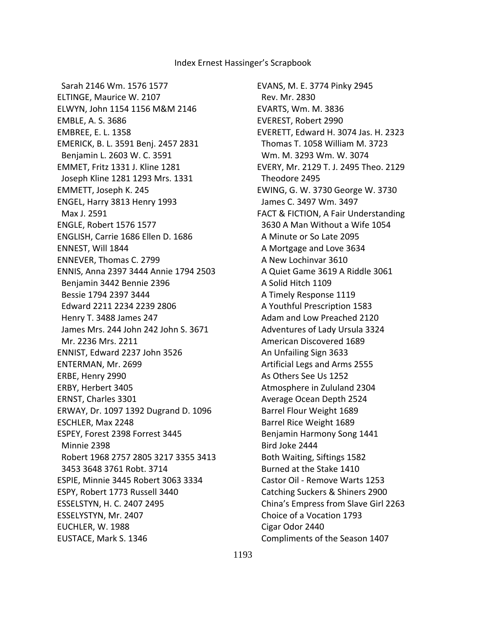Sarah 2146 Wm. 1576 1577 ELTINGE, Maurice W. 2107 ELWYN, John 1154 1156 M&M 2146 EMBLE, A. S. 3686 EMBREE, E. L. 1358 EMERICK, B. L. 3591 Benj. 2457 2831 Benjamin L. 2603 W. C. 3591 EMMET, Fritz 1331 J. Kline 1281 Joseph Kline 1281 1293 Mrs. 1331 EMMETT, Joseph K. 245 ENGEL, Harry 3813 Henry 1993 Max J. 2591 ENGLE, Robert 1576 1577 ENGLISH, Carrie 1686 Ellen D. 1686 ENNEST, Will 1844 ENNEVER, Thomas C. 2799 ENNIS, Anna 2397 3444 Annie 1794 2503 Benjamin 3442 Bennie 2396 Bessie 1794 2397 3444 Edward 2211 2234 2239 2806 Henry T. 3488 James 247 James Mrs. 244 John 242 John S. 3671 Mr. 2236 Mrs. 2211 ENNIST, Edward 2237 John 3526 ENTERMAN, Mr. 2699 ERBE, Henry 2990 ERBY, Herbert 3405 ERNST, Charles 3301 ERWAY, Dr. 1097 1392 Dugrand D. 1096 ESCHLER, Max 2248 ESPEY, Forest 2398 Forrest 3445 Minnie 2398 Robert 1968 2757 2805 3217 3355 3413 3453 3648 3761 Robt. 3714 ESPIE, Minnie 3445 Robert 3063 3334 ESPY, Robert 1773 Russell 3440 ESSELSTYN, H. C. 2407 2495 ESSELYSTYN, Mr. 2407 EUCHLER, W. 1988 EUSTACE, Mark S. 1346

EVANS, M. E. 3774 Pinky 2945 Rev. Mr. 2830 EVARTS, Wm. M. 3836 EVEREST, Robert 2990 EVERETT, Edward H. 3074 Jas. H. 2323 Thomas T. 1058 William M. 3723 Wm. M. 3293 Wm. W. 3074 EVERY, Mr. 2129 T. J. 2495 Theo. 2129 Theodore 2495 EWING, G. W. 3730 George W. 3730 James C. 3497 Wm. 3497 FACT & FICTION, A Fair Understanding 3630 A Man Without a Wife 1054 A Minute or So Late 2095 A Mortgage and Love 3634 A New Lochinvar 3610 A Quiet Game 3619 A Riddle 3061 A Solid Hitch 1109 A Timely Response 1119 A Youthful Prescription 1583 Adam and Low Preached 2120 Adventures of Lady Ursula 3324 American Discovered 1689 An Unfailing Sign 3633 Artificial Legs and Arms 2555 As Others See Us 1252 Atmosphere in Zululand 2304 Average Ocean Depth 2524 Barrel Flour Weight 1689 Barrel Rice Weight 1689 Benjamin Harmony Song 1441 Bird Joke 2444 Both Waiting, Siftings 1582 Burned at the Stake 1410 Castor Oil - Remove Warts 1253 Catching Suckers & Shiners 2900 China's Empress from Slave Girl 2263 Choice of a Vocation 1793 Cigar Odor 2440 Compliments of the Season 1407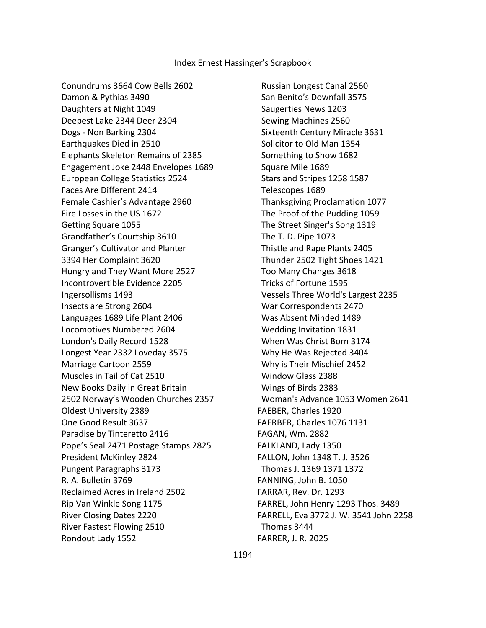Conundrums 3664 Cow Bells 2602 Damon & Pythias 3490 Daughters at Night 1049 Deepest Lake 2344 Deer 2304 Dogs - Non Barking 2304 Earthquakes Died in 2510 Elephants Skeleton Remains of 2385 Engagement Joke 2448 Envelopes 1689 European College Statistics 2524 Faces Are Different 2414 Female Cashier's Advantage 2960 Fire Losses in the US 1672 Getting Square 1055 Grandfather's Courtship 3610 Granger's Cultivator and Planter 3394 Her Complaint 3620 Hungry and They Want More 2527 Incontrovertible Evidence 2205 Ingersollisms 1493 Insects are Strong 2604 Languages 1689 Life Plant 2406 Locomotives Numbered 2604 London's Daily Record 1528 Longest Year 2332 Loveday 3575 Marriage Cartoon 2559 Muscles in Tail of Cat 2510 New Books Daily in Great Britain 2502 Norway's Wooden Churches 2357 Oldest University 2389 One Good Result 3637 Paradise by Tinteretto 2416 Pope's Seal 2471 Postage Stamps 2825 President McKinley 2824 Pungent Paragraphs 3173 R. A. Bulletin 3769 Reclaimed Acres in Ireland 2502 Rip Van Winkle Song 1175 River Closing Dates 2220 River Fastest Flowing 2510 Rondout Lady 1552

 Russian Longest Canal 2560 San Benito's Downfall 3575 Saugerties News 1203 Sewing Machines 2560 Sixteenth Century Miracle 3631 Solicitor to Old Man 1354 Something to Show 1682 Square Mile 1689 Stars and Stripes 1258 1587 Telescopes 1689 Thanksgiving Proclamation 1077 The Proof of the Pudding 1059 The Street Singer's Song 1319 The T. D. Pipe 1073 Thistle and Rape Plants 2405 Thunder 2502 Tight Shoes 1421 Too Many Changes 3618 Tricks of Fortune 1595 Vessels Three World's Largest 2235 War Correspondents 2470 Was Absent Minded 1489 Wedding Invitation 1831 When Was Christ Born 3174 Why He Was Rejected 3404 Why is Their Mischief 2452 Window Glass 2388 Wings of Birds 2383 Woman's Advance 1053 Women 2641 FAEBER, Charles 1920 FAERBER, Charles 1076 1131 FAGAN, Wm. 2882 FALKLAND, Lady 1350 FALLON, John 1348 T. J. 3526 Thomas J. 1369 1371 1372 FANNING, John B. 1050 FARRAR, Rev. Dr. 1293 FARREL, John Henry 1293 Thos. 3489 FARRELL, Eva 3772 J. W. 3541 John 2258 Thomas 3444 FARRER, J. R. 2025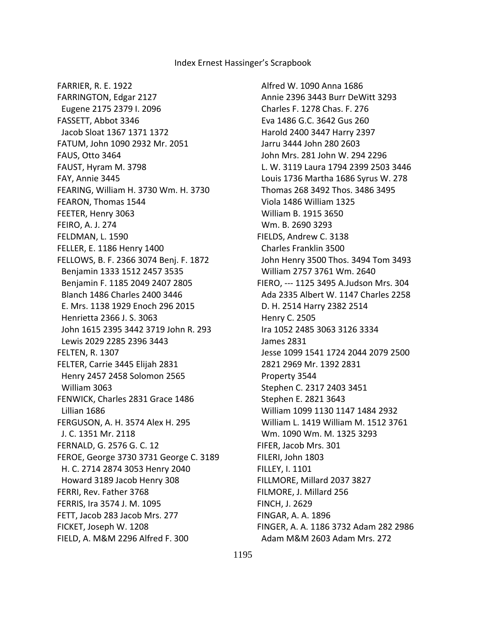FARRIER, R. E. 1922 FARRINGTON, Edgar 2127 Eugene 2175 2379 I. 2096 FASSETT, Abbot 3346 Jacob Sloat 1367 1371 1372 FATUM, John 1090 2932 Mr. 2051 FAUS, Otto 3464 FAUST, Hyram M. 3798 FAY, Annie 3445 FEARING, William H. 3730 Wm. H. 3730 FEARON, Thomas 1544 FEETER, Henry 3063 FEIRO, A. J. 274 FELDMAN, L. 1590 FELLER, E. 1186 Henry 1400 FELLOWS, B. F. 2366 3074 Benj. F. 1872 Benjamin 1333 1512 2457 3535 Benjamin F. 1185 2049 2407 2805 Blanch 1486 Charles 2400 3446 E. Mrs. 1138 1929 Enoch 296 2015 Henrietta 2366 J. S. 3063 John 1615 2395 3442 3719 John R. 293 Lewis 2029 2285 2396 3443 FELTEN, R. 1307 FELTER, Carrie 3445 Elijah 2831 Henry 2457 2458 Solomon 2565 William 3063 FENWICK, Charles 2831 Grace 1486 Lillian 1686 FERGUSON, A. H. 3574 Alex H. 295 J. C. 1351 Mr. 2118 FERNALD, G. 2576 G. C. 12 FEROE, George 3730 3731 George C. 3189 H. C. 2714 2874 3053 Henry 2040 Howard 3189 Jacob Henry 308 FERRI, Rev. Father 3768 FERRIS, Ira 3574 J. M. 1095 FETT, Jacob 283 Jacob Mrs. 277 FICKET, Joseph W. 1208 FIELD, A. M&M 2296 Alfred F. 300

 Alfred W. 1090 Anna 1686 Annie 2396 3443 Burr DeWitt 3293 Charles F. 1278 Chas. F. 276 Eva 1486 G.C. 3642 Gus 260 Harold 2400 3447 Harry 2397 Jarru 3444 John 280 2603 John Mrs. 281 John W. 294 2296 L. W. 3119 Laura 1794 2399 2503 3446 Louis 1736 Martha 1686 Syrus W. 278 Thomas 268 3492 Thos. 3486 3495 Viola 1486 William 1325 William B. 1915 3650 Wm. B. 2690 3293 FIELDS, Andrew C. 3138 Charles Franklin 3500 John Henry 3500 Thos. 3494 Tom 3493 William 2757 3761 Wm. 2640 FIERO, --- 1125 3495 A.Judson Mrs. 304 Ada 2335 Albert W. 1147 Charles 2258 D. H. 2514 Harry 2382 2514 Henry C. 2505 Ira 1052 2485 3063 3126 3334 James 2831 Jesse 1099 1541 1724 2044 2079 2500 2821 2969 Mr. 1392 2831 Property 3544 Stephen C. 2317 2403 3451 Stephen E. 2821 3643 William 1099 1130 1147 1484 2932 William L. 1419 William M. 1512 3761 Wm. 1090 Wm. M. 1325 3293 FIFER, Jacob Mrs. 301 FILERI, John 1803 FILLEY, I. 1101 FILLMORE, Millard 2037 3827 FILMORE, J. Millard 256 FINCH, J. 2629 FINGAR, A. A. 1896 FINGER, A. A. 1186 3732 Adam 282 2986 Adam M&M 2603 Adam Mrs. 272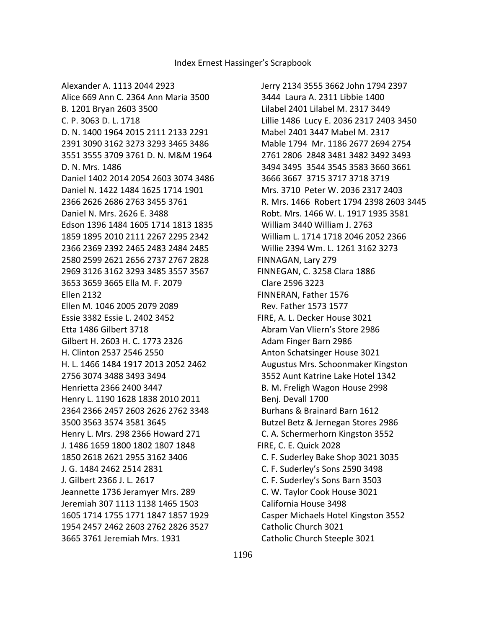Jerry 2134 3555 3662 John 1794 2397 3444 Laura A. 2311 Libbie 1400 Lilabel 2401 Lilabel M. 2317 3449 Lillie 1486 Lucy E. 2036 2317 2403 3450 Mabel 2401 3447 Mabel M. 2317 Mable 1794 Mr. 1186 2677 2694 2754 2761 2806 2848 3481 3482 3492 3493 3494 3495 3544 3545 3583 3660 3661 3666 3667 3715 3717 3718 3719 Mrs. 3710 Peter W. 2036 2317 2403 R. Mrs. 1466 Robert 1794 2398 2603 3445 Robt. Mrs. 1466 W. L. 1917 1935 3581 William 3440 William J. 2763 William L. 1714 1718 2046 2052 2366 Willie 2394 Wm. L. 1261 3162 3273 FINNAGAN, Lary 279 FINNEGAN, C. 3258 Clara 1886 Clare 2596 3223 FINNERAN, Father 1576 Rev. Father 1573 1577 FIRE, A. L. Decker House 3021 Abram Van Vliern's Store 2986 Adam Finger Barn 2986 Anton Schatsinger House 3021 Augustus Mrs. Schoonmaker Kingston 3552 Aunt Katrine Lake Hotel 1342 B. M. Freligh Wagon House 2998 Benj. Devall 1700 Burhans & Brainard Barn 1612 Butzel Betz & Jernegan Stores 2986 C. A. Schermerhorn Kingston 3552 FIRE, C. E. Quick 2028 C. F. Suderley Bake Shop 3021 3035 C. F. Suderley's Sons 2590 3498 C. F. Suderley's Sons Barn 3503 C. W. Taylor Cook House 3021 California House 3498 Casper Michaels Hotel Kingston 3552 Catholic Church 3021 Catholic Church Steeple 3021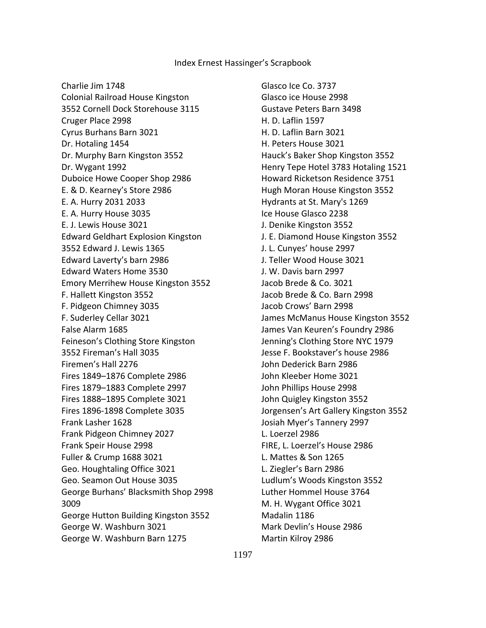Charlie Jim 1748 Colonial Railroad House Kingston 3552 Cornell Dock Storehouse 3115 Cruger Place 2998 Cyrus Burhans Barn 3021 Dr. Hotaling 1454 Dr. Murphy Barn Kingston 3552 Dr. Wygant 1992 Duboice Howe Cooper Shop 2986 E. & D. Kearney's Store 2986 E. A. Hurry 2031 2033 E. A. Hurry House 3035 E. J. Lewis House 3021 Edward Geldhart Explosion Kingston 3552 Edward J. Lewis 1365 Edward Laverty's barn 2986 Edward Waters Home 3530 Emory Merrihew House Kingston 3552 F. Hallett Kingston 3552 F. Pidgeon Chimney 3035 F. Suderley Cellar 3021 False Alarm 1685 Feineson's Clothing Store Kingston 3552 Fireman's Hall 3035 Firemen's Hall 2276 Fires 1849–1876 Complete 2986 Fires 1879–1883 Complete 2997 Fires 1888–1895 Complete 3021 Fires 1896-1898 Complete 3035 Frank Lasher 1628 Frank Pidgeon Chimney 2027 Frank Speir House 2998 Fuller & Crump 1688 3021 Geo. Houghtaling Office 3021 Geo. Seamon Out House 3035 George Burhans' Blacksmith Shop 2998 3009 George Hutton Building Kingston 3552 George W. Washburn 3021 George W. Washburn Barn 1275

 Glasco Ice Co. 3737 Glasco ice House 2998 Gustave Peters Barn 3498 H. D. Laflin 1597 H. D. Laflin Barn 3021 H. Peters House 3021 Hauck's Baker Shop Kingston 3552 Henry Tepe Hotel 3783 Hotaling 1521 Howard Ricketson Residence 3751 Hugh Moran House Kingston 3552 Hydrants at St. Mary's 1269 Ice House Glasco 2238 J. Denike Kingston 3552 J. E. Diamond House Kingston 3552 J. L. Cunyes' house 2997 J. Teller Wood House 3021 J. W. Davis barn 2997 Jacob Brede & Co. 3021 Jacob Brede & Co. Barn 2998 Jacob Crows' Barn 2998 James McManus House Kingston 3552 James Van Keuren's Foundry 2986 Jenning's Clothing Store NYC 1979 Jesse F. Bookstaver's house 2986 John Dederick Barn 2986 John Kleeber Home 3021 John Phillips House 2998 John Quigley Kingston 3552 Jorgensen's Art Gallery Kingston 3552 Josiah Myer's Tannery 2997 L. Loerzel 2986 FIRE, L. Loerzel's House 2986 L. Mattes & Son 1265 L. Ziegler's Barn 2986 Ludlum's Woods Kingston 3552 Luther Hommel House 3764 M. H. Wygant Office 3021 Madalin 1186 Mark Devlin's House 2986 Martin Kilroy 2986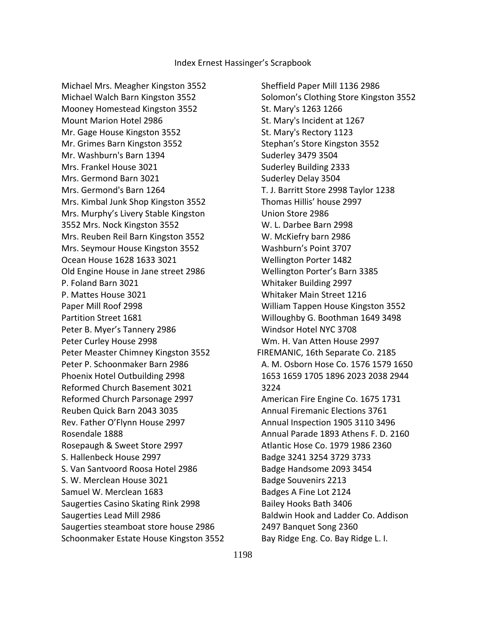Michael Mrs. Meagher Kingston 3552 Michael Walch Barn Kingston 3552 Mooney Homestead Kingston 3552 Mount Marion Hotel 2986 Mr. Gage House Kingston 3552 Mr. Grimes Barn Kingston 3552 Mr. Washburn's Barn 1394 Mrs. Frankel House 3021 Mrs. Germond Barn 3021 Mrs. Germond's Barn 1264 Mrs. Kimbal Junk Shop Kingston 3552 Mrs. Murphy's Livery Stable Kingston 3552 Mrs. Nock Kingston 3552 Mrs. Reuben Reil Barn Kingston 3552 Mrs. Seymour House Kingston 3552 Ocean House 1628 1633 3021 Old Engine House in Jane street 2986 P. Foland Barn 3021 P. Mattes House 3021 Paper Mill Roof 2998 Partition Street 1681 Peter B. Myer's Tannery 2986 Peter Curley House 2998 Peter Measter Chimney Kingston 3552 Peter P. Schoonmaker Barn 2986 Phoenix Hotel Outbuilding 2998 Reformed Church Basement 3021 Reformed Church Parsonage 2997 Reuben Quick Barn 2043 3035 Rev. Father O'Flynn House 2997 Rosendale 1888 Rosepaugh & Sweet Store 2997 S. Hallenbeck House 2997 S. Van Santvoord Roosa Hotel 2986 S. W. Merclean House 3021 Samuel W. Merclean 1683 Saugerties Casino Skating Rink 2998 Saugerties Lead Mill 2986 Saugerties steamboat store house 2986 Schoonmaker Estate House Kingston 3552

 Sheffield Paper Mill 1136 2986 Solomon's Clothing Store Kingston 3552 St. Mary's 1263 1266 St. Mary's Incident at 1267 St. Mary's Rectory 1123 Stephan's Store Kingston 3552 Suderley 3479 3504 Suderley Building 2333 Suderley Delay 3504 T. J. Barritt Store 2998 Taylor 1238 Thomas Hillis' house 2997 Union Store 2986 W. L. Darbee Barn 2998 W. McKiefry barn 2986 Washburn's Point 3707 Wellington Porter 1482 Wellington Porter's Barn 3385 Whitaker Building 2997 Whitaker Main Street 1216 William Tappen House Kingston 3552 Willoughby G. Boothman 1649 3498 Windsor Hotel NYC 3708 Wm. H. Van Atten House 2997 FIREMANIC, 16th Separate Co. 2185 A. M. Osborn Hose Co. 1576 1579 1650 1653 1659 1705 1896 2023 2038 2944 3224 American Fire Engine Co. 1675 1731 Annual Firemanic Elections 3761 Annual Inspection 1905 3110 3496 Annual Parade 1893 Athens F. D. 2160 Atlantic Hose Co. 1979 1986 2360 Badge 3241 3254 3729 3733 Badge Handsome 2093 3454 Badge Souvenirs 2213 Badges A Fine Lot 2124 Bailey Hooks Bath 3406 Baldwin Hook and Ladder Co. Addison 2497 Banquet Song 2360 Bay Ridge Eng. Co. Bay Ridge L. I.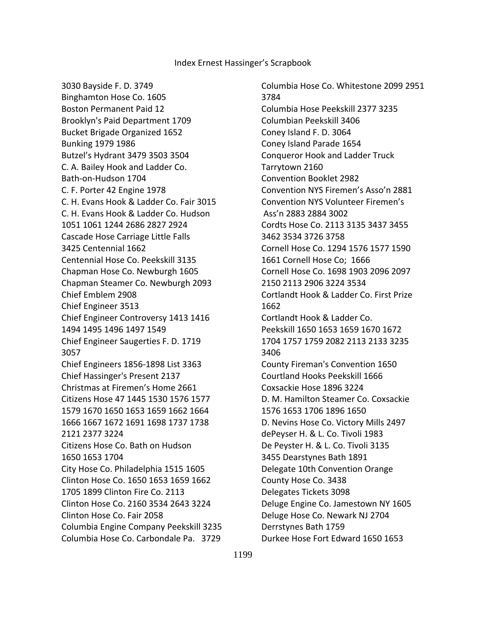3030 Bayside F. D. 3749 Binghamton Hose Co. 1605 Boston Permanent Paid 12 Brooklyn's Paid Department 1709 Bucket Brigade Organized 1652 Bunking 1979 1986 Butzel's Hydrant 3479 3503 3504 C. A. Bailey Hook and Ladder Co. Bath-on-Hudson 1704 C. F. Porter 42 Engine 1978 C. H. Evans Hook & Ladder Co. Fair 3015 C. H. Evans Hook & Ladder Co. Hudson 1051 1061 1244 2686 2827 2924 Cascade Hose Carriage Little Falls 3425 Centennial 1662 Centennial Hose Co. Peekskill 3135 Chapman Hose Co. Newburgh 1605 Chapman Steamer Co. Newburgh 2093 Chief Emblem 2908 Chief Engineer 3513 Chief Engineer Controversy 1413 1416 1494 1495 1496 1497 1549 Chief Engineer Saugerties F. D. 1719 3057 Chief Engineers 1856-1898 List 3363 Chief Hassinger's Present 2137 Christmas at Firemen's Home 2661 Citizens Hose 47 1445 1530 1576 1577 1579 1670 1650 1653 1659 1662 1664 1666 1667 1672 1691 1698 1737 1738 2121 2377 3224 Citizens Hose Co. Bath on Hudson 1650 1653 1704 City Hose Co. Philadelphia 1515 1605 Clinton Hose Co. 1650 1653 1659 1662 1705 1899 Clinton Fire Co. 2113 Clinton Hose Co. 2160 3534 2643 3224 Clinton Hose Co. Fair 2058 Columbia Engine Company Peekskill 3235 Columbia Hose Co. Carbondale Pa. 3729

 Columbia Hose Co. Whitestone 2099 2951 3784 Columbia Hose Peekskill 2377 3235 Columbian Peekskill 3406 Coney Island F. D. 3064 Coney Island Parade 1654 Conqueror Hook and Ladder Truck Tarrytown 2160 Convention Booklet 2982 Convention NYS Firemen's Asso'n 2881 Convention NYS Volunteer Firemen's Ass'n 2883 2884 3002 Cordts Hose Co. 2113 3135 3437 3455 3462 3534 3726 3758 Cornell Hose Co. 1294 1576 1577 1590 1661 Cornell Hose Co; 1666 Cornell Hose Co. 1698 1903 2096 2097 2150 2113 2906 3224 3534 Cortlandt Hook & Ladder Co. First Prize 1662 Cortlandt Hook & Ladder Co. Peekskill 1650 1653 1659 1670 1672 1704 1757 1759 2082 2113 2133 3235 3406 County Fireman's Convention 1650 Courtland Hooks Peekskill 1666 Coxsackie Hose 1896 3224 D. M. Hamilton Steamer Co. Coxsackie 1576 1653 1706 1896 1650 D. Nevins Hose Co. Victory Mills 2497 dePeyser H. & L. Co. Tivoli 1983 De Peyster H. & L. Co. Tivoli 3135 3455 Dearstynes Bath 1891 Delegate 10th Convention Orange County Hose Co. 3438 Delegates Tickets 3098 Deluge Engine Co. Jamestown NY 1605 Deluge Hose Co. Newark NJ 2704 Derrstynes Bath 1759 Durkee Hose Fort Edward 1650 1653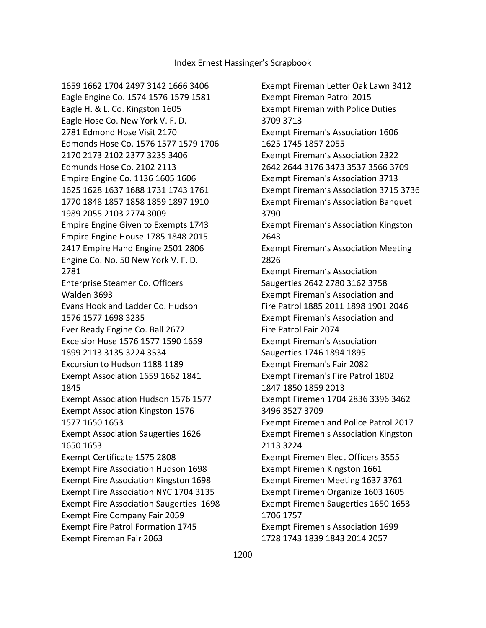1659 1662 1704 2497 3142 1666 3406 Eagle Engine Co. 1574 1576 1579 1581 Eagle H. & L. Co. Kingston 1605 Eagle Hose Co. New York V. F. D. 2781 Edmond Hose Visit 2170 Edmonds Hose Co. 1576 1577 1579 1706 2170 2173 2102 2377 3235 3406 Edmunds Hose Co. 2102 2113 Empire Engine Co. 1136 1605 1606 1625 1628 1637 1688 1731 1743 1761 1770 1848 1857 1858 1859 1897 1910 1989 2055 2103 2774 3009 Empire Engine Given to Exempts 1743 Empire Engine House 1785 1848 2015 2417 Empire Hand Engine 2501 2806 Engine Co. No. 50 New York V. F. D. 2781 Enterprise Steamer Co. Officers Walden 3693 Evans Hook and Ladder Co. Hudson 1576 1577 1698 3235 Ever Ready Engine Co. Ball 2672 Excelsior Hose 1576 1577 1590 1659 1899 2113 3135 3224 3534 Excursion to Hudson 1188 1189 Exempt Association 1659 1662 1841 1845 Exempt Association Hudson 1576 1577 Exempt Association Kingston 1576 1577 1650 1653 Exempt Association Saugerties 1626 1650 1653 Exempt Certificate 1575 2808 Exempt Fire Association Hudson 1698 Exempt Fire Association Kingston 1698 Exempt Fire Association NYC 1704 3135 Exempt Fire Association Saugerties 1698 Exempt Fire Company Fair 2059 Exempt Fire Patrol Formation 1745 Exempt Fireman Fair 2063

 Exempt Fireman Letter Oak Lawn 3412 Exempt Fireman Patrol 2015 Exempt Fireman with Police Duties 3709 3713 Exempt Fireman's Association 1606 1625 1745 1857 2055 Exempt Fireman's Association 2322 2642 2644 3176 3473 3537 3566 3709 Exempt Fireman's Association 3713 Exempt Fireman's Association 3715 3736 Exempt Fireman's Association Banquet 3790 Exempt Fireman's Association Kingston 2643 Exempt Fireman's Association Meeting 2826 Exempt Fireman's Association Saugerties 2642 2780 3162 3758 Exempt Fireman's Association and Fire Patrol 1885 2011 1898 1901 2046 Exempt Fireman's Association and Fire Patrol Fair 2074 Exempt Fireman's Association Saugerties 1746 1894 1895 Exempt Fireman's Fair 2082 Exempt Fireman's Fire Patrol 1802 1847 1850 1859 2013 Exempt Firemen 1704 2836 3396 3462 3496 3527 3709 Exempt Firemen and Police Patrol 2017 Exempt Firemen's Association Kingston 2113 3224 Exempt Firemen Elect Officers 3555 Exempt Firemen Kingston 1661 Exempt Firemen Meeting 1637 3761 Exempt Firemen Organize 1603 1605 Exempt Firemen Saugerties 1650 1653 1706 1757 Exempt Firemen's Association 1699 1728 1743 1839 1843 2014 2057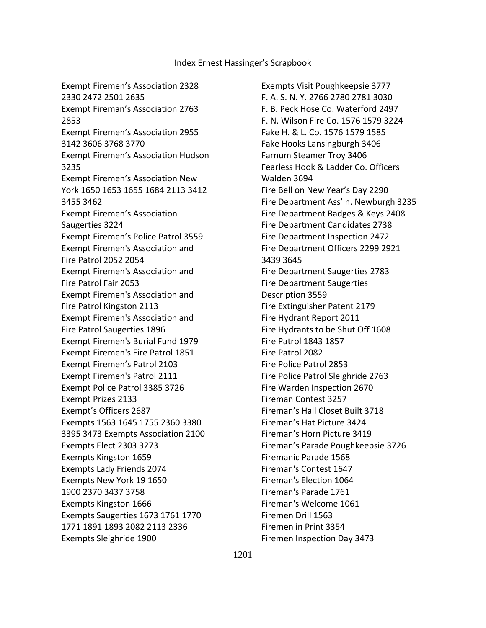Exempt Firemen's Association 2328 2330 2472 2501 2635 Exempt Fireman's Association 2763 2853 Exempt Firemen's Association 2955 3142 3606 3768 3770 Exempt Firemen's Association Hudson 3235 Exempt Firemen's Association New York 1650 1653 1655 1684 2113 3412 3455 3462 Exempt Firemen's Association Saugerties 3224 Exempt Firemen's Police Patrol 3559 Exempt Firemen's Association and Fire Patrol 2052 2054 Exempt Firemen's Association and Fire Patrol Fair 2053 Exempt Firemen's Association and Fire Patrol Kingston 2113 Exempt Firemen's Association and Fire Patrol Saugerties 1896 Exempt Firemen's Burial Fund 1979 Exempt Firemen's Fire Patrol 1851 Exempt Firemen's Patrol 2103 Exempt Firemen's Patrol 2111 Exempt Police Patrol 3385 3726 Exempt Prizes 2133 Exempt's Officers 2687 Exempts 1563 1645 1755 2360 3380 3395 3473 Exempts Association 2100 Exempts Elect 2303 3273 Exempts Kingston 1659 Exempts Lady Friends 2074 Exempts New York 19 1650 1900 2370 3437 3758 Exempts Kingston 1666 Exempts Saugerties 1673 1761 1770 1771 1891 1893 2082 2113 2336 Exempts Sleighride 1900

 Exempts Visit Poughkeepsie 3777 F. A. S. N. Y. 2766 2780 2781 3030 F. B. Peck Hose Co. Waterford 2497 F. N. Wilson Fire Co. 1576 1579 3224 Fake H. & L. Co. 1576 1579 1585 Fake Hooks Lansingburgh 3406 Farnum Steamer Troy 3406 Fearless Hook & Ladder Co. Officers Walden 3694 Fire Bell on New Year's Day 2290 Fire Department Ass' n. Newburgh 3235 Fire Department Badges & Keys 2408 Fire Department Candidates 2738 Fire Department Inspection 2472 Fire Department Officers 2299 2921 3439 3645 Fire Department Saugerties 2783 Fire Department Saugerties Description 3559 Fire Extinguisher Patent 2179 Fire Hydrant Report 2011 Fire Hydrants to be Shut Off 1608 Fire Patrol 1843 1857 Fire Patrol 2082 Fire Police Patrol 2853 Fire Police Patrol Sleighride 2763 Fire Warden Inspection 2670 Fireman Contest 3257 Fireman's Hall Closet Built 3718 Fireman's Hat Picture 3424 Fireman's Horn Picture 3419 Fireman's Parade Poughkeepsie 3726 Firemanic Parade 1568 Fireman's Contest 1647 Fireman's Election 1064 Fireman's Parade 1761 Fireman's Welcome 1061 Firemen Drill 1563 Firemen in Print 3354 Firemen Inspection Day 3473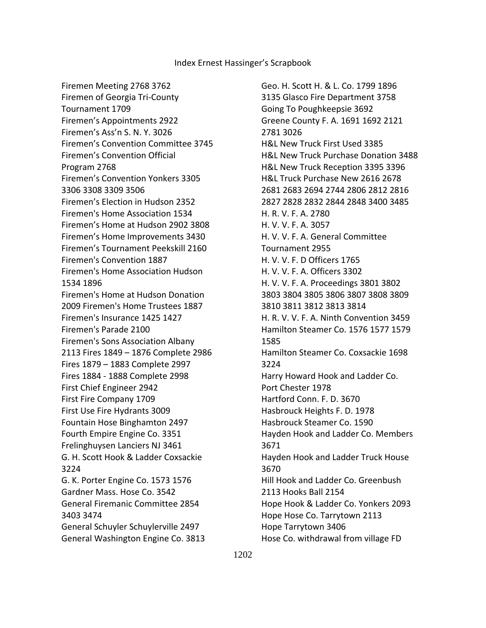Firemen Meeting 2768 3762 Firemen of Georgia Tri-County Tournament 1709 Firemen's Appointments 2922 Firemen's Ass'n S. N. Y. 3026 Firemen's Convention Committee 3745 Firemen's Convention Official Program 2768 Firemen's Convention Yonkers 3305 3306 3308 3309 3506 Firemen's Election in Hudson 2352 Firemen's Home Association 1534 Firemen's Home at Hudson 2902 3808 Firemen's Home Improvements 3430 Firemen's Tournament Peekskill 2160 Firemen's Convention 1887 Firemen's Home Association Hudson 1534 1896 Firemen's Home at Hudson Donation 2009 Firemen's Home Trustees 1887 Firemen's Insurance 1425 1427 Firemen's Parade 2100 Firemen's Sons Association Albany 2113 Fires 1849 – 1876 Complete 2986 Fires 1879 – 1883 Complete 2997 Fires 1884 - 1888 Complete 2998 First Chief Engineer 2942 First Fire Company 1709 First Use Fire Hydrants 3009 Fountain Hose Binghamton 2497 Fourth Empire Engine Co. 3351 Frelinghuysen Lanciers NJ 3461 G. H. Scott Hook & Ladder Coxsackie 3224 G. K. Porter Engine Co. 1573 1576 Gardner Mass. Hose Co. 3542 General Firemanic Committee 2854 3403 3474 General Schuyler Schuylerville 2497 General Washington Engine Co. 3813

 Geo. H. Scott H. & L. Co. 1799 1896 3135 Glasco Fire Department 3758 Going To Poughkeepsie 3692 Greene County F. A. 1691 1692 2121 2781 3026 H&L New Truck First Used 3385 H&L New Truck Purchase Donation 3488 H&L New Truck Reception 3395 3396 H&L Truck Purchase New 2616 2678 2681 2683 2694 2744 2806 2812 2816 2827 2828 2832 2844 2848 3400 3485 H. R. V. F. A. 2780 H. V. V. F. A. 3057 H. V. V. F. A. General Committee Tournament 2955 H. V. V. F. D Officers 1765 H. V. V. F. A. Officers 3302 H. V. V. F. A. Proceedings 3801 3802 3803 3804 3805 3806 3807 3808 3809 3810 3811 3812 3813 3814 H. R. V. V. F. A. Ninth Convention 3459 Hamilton Steamer Co. 1576 1577 1579 1585 Hamilton Steamer Co. Coxsackie 1698 3224 Harry Howard Hook and Ladder Co. Port Chester 1978 Hartford Conn. F. D. 3670 Hasbrouck Heights F. D. 1978 Hasbrouck Steamer Co. 1590 Hayden Hook and Ladder Co. Members 3671 Hayden Hook and Ladder Truck House 3670 Hill Hook and Ladder Co. Greenbush 2113 Hooks Ball 2154 Hope Hook & Ladder Co. Yonkers 2093 Hope Hose Co. Tarrytown 2113 Hope Tarrytown 3406 Hose Co. withdrawal from village FD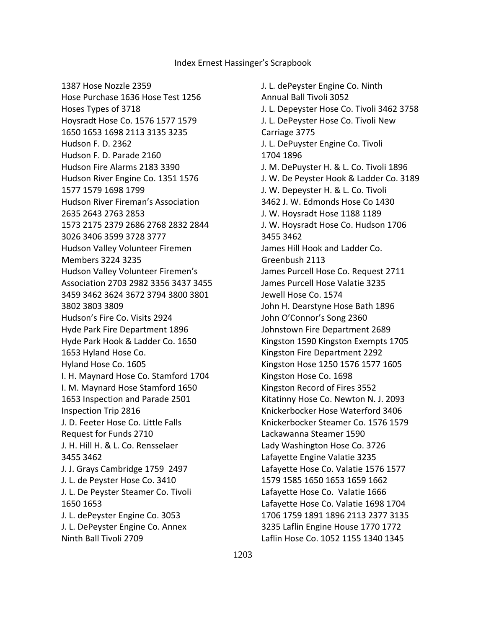1387 Hose Nozzle 2359 Hose Purchase 1636 Hose Test 1256 Hoses Types of 3718 Hoysradt Hose Co. 1576 1577 1579 1650 1653 1698 2113 3135 3235 Hudson F. D. 2362 Hudson F. D. Parade 2160 Hudson Fire Alarms 2183 3390 Hudson River Engine Co. 1351 1576 1577 1579 1698 1799 Hudson River Fireman's Association 2635 2643 2763 2853 1573 2175 2379 2686 2768 2832 2844 3026 3406 3599 3728 3777 Hudson Valley Volunteer Firemen Members 3224 3235 Hudson Valley Volunteer Firemen's Association 2703 2982 3356 3437 3455 3459 3462 3624 3672 3794 3800 3801 3802 3803 3809 Hudson's Fire Co. Visits 2924 Hyde Park Fire Department 1896 Hyde Park Hook & Ladder Co. 1650 1653 Hyland Hose Co. Hyland Hose Co. 1605 I. H. Maynard Hose Co. Stamford 1704 I. M. Maynard Hose Stamford 1650 1653 Inspection and Parade 2501 Inspection Trip 2816 J. D. Feeter Hose Co. Little Falls Request for Funds 2710 J. H. Hill H. & L. Co. Rensselaer 3455 3462 J. J. Grays Cambridge 1759 2497 J. L. de Peyster Hose Co. 3410 J. L. De Peyster Steamer Co. Tivoli 1650 1653 J. L. dePeyster Engine Co. 3053 J. L. DePeyster Engine Co. Annex Ninth Ball Tivoli 2709

 J. L. dePeyster Engine Co. Ninth Annual Ball Tivoli 3052 J. L. Depeyster Hose Co. Tivoli 3462 3758 J. L. DePeyster Hose Co. Tivoli New Carriage 3775 J. L. DePuyster Engine Co. Tivoli 1704 1896 J. M. DePuyster H. & L. Co. Tivoli 1896 J. W. De Peyster Hook & Ladder Co. 3189 J. W. Depeyster H. & L. Co. Tivoli 3462 J. W. Edmonds Hose Co 1430 J. W. Hoysradt Hose 1188 1189 J. W. Hoysradt Hose Co. Hudson 1706 3455 3462 James Hill Hook and Ladder Co. Greenbush 2113 James Purcell Hose Co. Request 2711 James Purcell Hose Valatie 3235 Jewell Hose Co. 1574 John H. Dearstyne Hose Bath 1896 John O'Connor's Song 2360 Johnstown Fire Department 2689 Kingston 1590 Kingston Exempts 1705 Kingston Fire Department 2292 Kingston Hose 1250 1576 1577 1605 Kingston Hose Co. 1698 Kingston Record of Fires 3552 Kitatinny Hose Co. Newton N. J. 2093 Knickerbocker Hose Waterford 3406 Knickerbocker Steamer Co. 1576 1579 Lackawanna Steamer 1590 Lady Washington Hose Co. 3726 Lafayette Engine Valatie 3235 Lafayette Hose Co. Valatie 1576 1577 1579 1585 1650 1653 1659 1662 Lafayette Hose Co. Valatie 1666 Lafayette Hose Co. Valatie 1698 1704 1706 1759 1891 1896 2113 2377 3135 3235 Laflin Engine House 1770 1772 Laflin Hose Co. 1052 1155 1340 1345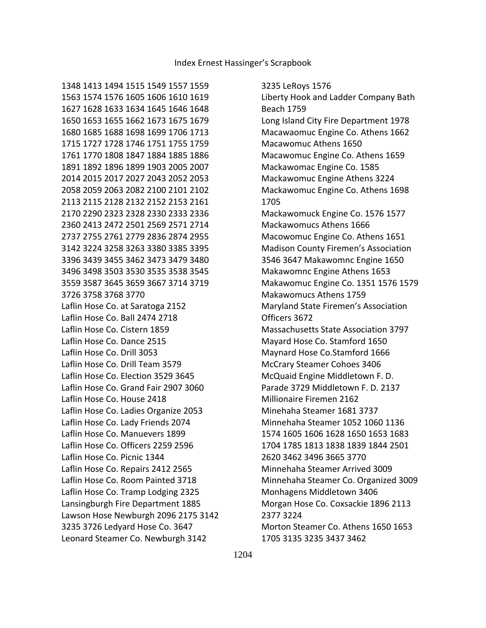3235 LeRoys 1576 Liberty Hook and Ladder Company Bath Beach 1759 Long Island City Fire Department 1978 Macawaomuc Engine Co. Athens 1662 Macawomuc Athens 1650 Macawomuc Engine Co. Athens 1659 Mackawomac Engine Co. 1585 Mackawomuc Engine Athens 3224 Mackawomuc Engine Co. Athens 1698 1705 Mackawomuck Engine Co. 1576 1577 Mackawomucs Athens 1666 Macowomuc Engine Co. Athens 1651 Madison County Firemen's Association 3546 3647 Makawomnc Engine 1650 Makawomnc Engine Athens 1653 Makawomuc Engine Co. 1351 1576 1579 Makawomucs Athens 1759 Maryland State Firemen's Association Officers 3672 Massachusetts State Association 3797 Mayard Hose Co. Stamford 1650 Maynard Hose Co.Stamford 1666 McCrary Steamer Cohoes 3406 McQuaid Engine Middletown F. D. Parade 3729 Middletown F. D. 2137 Millionaire Firemen 2162 Minehaha Steamer 1681 3737 Minnehaha Steamer 1052 1060 1136 1574 1605 1606 1628 1650 1653 1683 1704 1785 1813 1838 1839 1844 2501 2620 3462 3496 3665 3770 Minnehaha Steamer Arrived 3009 Minnehaha Steamer Co. Organized 3009 Monhagens Middletown 3406 Morgan Hose Co. Coxsackie 1896 2113 2377 3224 Morton Steamer Co. Athens 1650 1653 1705 3135 3235 3437 3462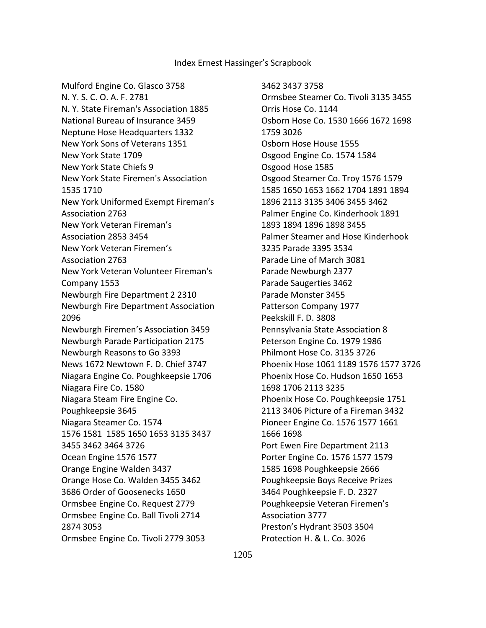Mulford Engine Co. Glasco 3758 N. Y. S. C. O. A. F. 2781 N. Y. State Fireman's Association 1885 National Bureau of Insurance 3459 Neptune Hose Headquarters 1332 New York Sons of Veterans 1351 New York State 1709 New York State Chiefs 9 New York State Firemen's Association 1535 1710 New York Uniformed Exempt Fireman's Association 2763 New York Veteran Fireman's Association 2853 3454 New York Veteran Firemen's Association 2763 New York Veteran Volunteer Fireman's Company 1553 Newburgh Fire Department 2 2310 Newburgh Fire Department Association 2096 Newburgh Firemen's Association 3459 Newburgh Parade Participation 2175 Newburgh Reasons to Go 3393 News 1672 Newtown F. D. Chief 3747 Niagara Engine Co. Poughkeepsie 1706 Niagara Fire Co. 1580 Niagara Steam Fire Engine Co. Poughkeepsie 3645 Niagara Steamer Co. 1574 1576 1581 1585 1650 1653 3135 3437 3455 3462 3464 3726 Ocean Engine 1576 1577 Orange Engine Walden 3437 Orange Hose Co. Walden 3455 3462 3686 Order of Goosenecks 1650 Ormsbee Engine Co. Request 2779 Ormsbee Engine Co. Ball Tivoli 2714 2874 3053 Ormsbee Engine Co. Tivoli 2779 3053

 3462 3437 3758 Ormsbee Steamer Co. Tivoli 3135 3455 Orris Hose Co. 1144 Osborn Hose Co. 1530 1666 1672 1698 1759 3026 Osborn Hose House 1555 Osgood Engine Co. 1574 1584 Osgood Hose 1585 Osgood Steamer Co. Troy 1576 1579 1585 1650 1653 1662 1704 1891 1894 1896 2113 3135 3406 3455 3462 Palmer Engine Co. Kinderhook 1891 1893 1894 1896 1898 3455 Palmer Steamer and Hose Kinderhook 3235 Parade 3395 3534 Parade Line of March 3081 Parade Newburgh 2377 Parade Saugerties 3462 Parade Monster 3455 Patterson Company 1977 Peekskill F. D. 3808 Pennsylvania State Association 8 Peterson Engine Co. 1979 1986 Philmont Hose Co. 3135 3726 Phoenix Hose 1061 1189 1576 1577 3726 Phoenix Hose Co. Hudson 1650 1653 1698 1706 2113 3235 Phoenix Hose Co. Poughkeepsie 1751 2113 3406 Picture of a Fireman 3432 Pioneer Engine Co. 1576 1577 1661 1666 1698 Port Ewen Fire Department 2113 Porter Engine Co. 1576 1577 1579 1585 1698 Poughkeepsie 2666 Poughkeepsie Boys Receive Prizes 3464 Poughkeepsie F. D. 2327 Poughkeepsie Veteran Firemen's Association 3777 Preston's Hydrant 3503 3504 Protection H. & L. Co. 3026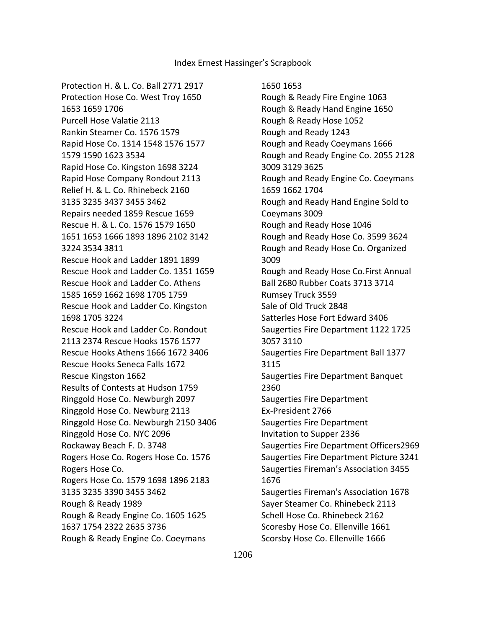Protection H. & L. Co. Ball 2771 2917 Protection Hose Co. West Troy 1650 1653 1659 1706 Purcell Hose Valatie 2113 Rankin Steamer Co. 1576 1579 Rapid Hose Co. 1314 1548 1576 1577 1579 1590 1623 3534 Rapid Hose Co. Kingston 1698 3224 Rapid Hose Company Rondout 2113 Relief H. & L. Co. Rhinebeck 2160 3135 3235 3437 3455 3462 Repairs needed 1859 Rescue 1659 Rescue H. & L. Co. 1576 1579 1650 1651 1653 1666 1893 1896 2102 3142 3224 3534 3811 Rescue Hook and Ladder 1891 1899 Rescue Hook and Ladder Co. 1351 1659 Rescue Hook and Ladder Co. Athens 1585 1659 1662 1698 1705 1759 Rescue Hook and Ladder Co. Kingston 1698 1705 3224 Rescue Hook and Ladder Co. Rondout 2113 2374 Rescue Hooks 1576 1577 Rescue Hooks Athens 1666 1672 3406 Rescue Hooks Seneca Falls 1672 Rescue Kingston 1662 Results of Contests at Hudson 1759 Ringgold Hose Co. Newburgh 2097 Ringgold Hose Co. Newburg 2113 Ringgold Hose Co. Newburgh 2150 3406 Ringgold Hose Co. NYC 2096 Rockaway Beach F. D. 3748 Rogers Hose Co. Rogers Hose Co. 1576 Rogers Hose Co. Rogers Hose Co. 1579 1698 1896 2183 3135 3235 3390 3455 3462 Rough & Ready 1989 Rough & Ready Engine Co. 1605 1625 1637 1754 2322 2635 3736 Rough & Ready Engine Co. Coeymans

1650 1653

 Rough & Ready Fire Engine 1063 Rough & Ready Hand Engine 1650 Rough & Ready Hose 1052 Rough and Ready 1243 Rough and Ready Coeymans 1666 Rough and Ready Engine Co. 2055 2128 3009 3129 3625 Rough and Ready Engine Co. Coeymans 1659 1662 1704 Rough and Ready Hand Engine Sold to Coeymans 3009 Rough and Ready Hose 1046 Rough and Ready Hose Co. 3599 3624 Rough and Ready Hose Co. Organized 3009 Rough and Ready Hose Co.First Annual Ball 2680 Rubber Coats 3713 3714 Rumsey Truck 3559 Sale of Old Truck 2848 Satterles Hose Fort Edward 3406 Saugerties Fire Department 1122 1725 3057 3110 Saugerties Fire Department Ball 1377 3115 Saugerties Fire Department Banquet 2360 Saugerties Fire Department Ex-President 2766 Saugerties Fire Department Invitation to Supper 2336 Saugerties Fire Department Officers2969 Saugerties Fire Department Picture 3241 Saugerties Fireman's Association 3455 1676 Saugerties Fireman's Association 1678 Sayer Steamer Co. Rhinebeck 2113 Schell Hose Co. Rhinebeck 2162 Scoresby Hose Co. Ellenville 1661 Scorsby Hose Co. Ellenville 1666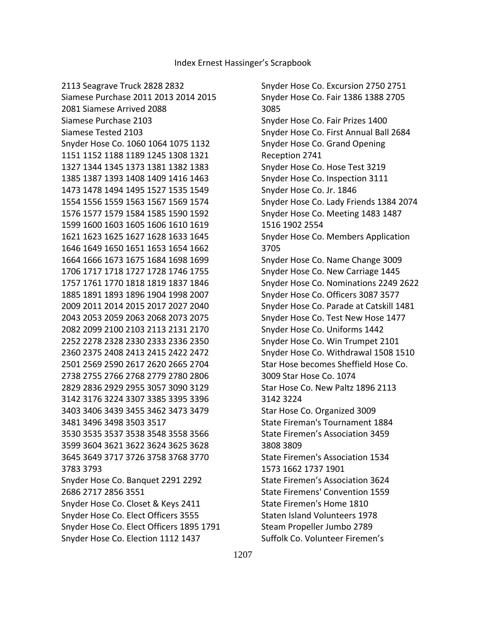2113 Seagrave Truck 2828 2832

 Snyder Hose Co. Excursion 2750 2751 Snyder Hose Co. Fair 1386 1388 2705 3085 Snyder Hose Co. Fair Prizes 1400 Snyder Hose Co. First Annual Ball 2684 Snyder Hose Co. Grand Opening Reception 2741 Snyder Hose Co. Hose Test 3219 Snyder Hose Co. Inspection 3111 Snyder Hose Co. Jr. 1846 Snyder Hose Co. Lady Friends 1384 2074 Snyder Hose Co. Meeting 1483 1487 1516 1902 2554 Snyder Hose Co. Members Application 3705 Snyder Hose Co. Name Change 3009 Snyder Hose Co. New Carriage 1445 Snyder Hose Co. Nominations 2249 2622 Snyder Hose Co. Officers 3087 3577 Snyder Hose Co. Parade at Catskill 1481 Snyder Hose Co. Test New Hose 1477 Snyder Hose Co. Uniforms 1442 Snyder Hose Co. Win Trumpet 2101 Snyder Hose Co. Withdrawal 1508 1510 Star Hose becomes Sheffield Hose Co. 3009 Star Hose Co. 1074 Star Hose Co. New Paltz 1896 2113 3142 3224 Star Hose Co. Organized 3009 State Fireman's Tournament 1884 State Firemen's Association 3459 3808 3809 State Firemen's Association 1534 1573 1662 1737 1901 State Firemen's Association 3624 State Firemens' Convention 1559 State Firemen's Home 1810 Staten Island Volunteers 1978 Steam Propeller Jumbo 2789 Suffolk Co. Volunteer Firemen's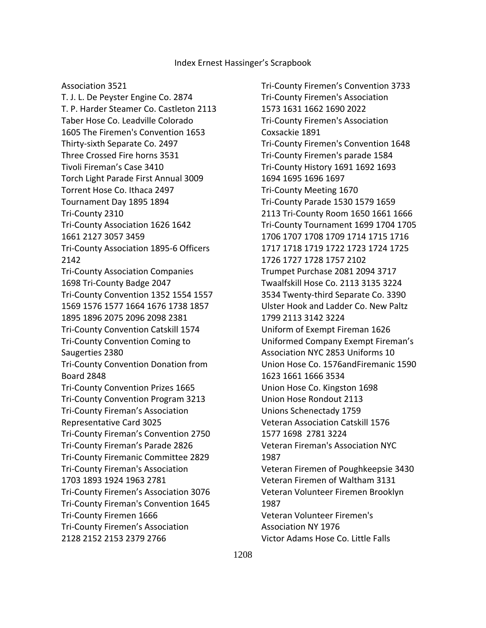#### Association 3521

 T. J. L. De Peyster Engine Co. 2874 T. P. Harder Steamer Co. Castleton 2113 Taber Hose Co. Leadville Colorado 1605 The Firemen's Convention 1653 Thirty-sixth Separate Co. 2497 Three Crossed Fire horns 3531 Tivoli Fireman's Case 3410 Torch Light Parade First Annual 3009 Torrent Hose Co. Ithaca 2497 Tournament Day 1895 1894 Tri-County 2310 Tri-County Association 1626 1642 1661 2127 3057 3459 Tri-County Association 1895-6 Officers 2142 Tri-County Association Companies 1698 Tri-County Badge 2047 Tri-County Convention 1352 1554 1557 1569 1576 1577 1664 1676 1738 1857 1895 1896 2075 2096 2098 2381 Tri-County Convention Catskill 1574 Tri-County Convention Coming to Saugerties 2380 Tri-County Convention Donation from Board 2848 Tri-County Convention Prizes 1665 Tri-County Convention Program 3213 Tri-County Fireman's Association Representative Card 3025 Tri-County Fireman's Convention 2750 Tri-County Fireman's Parade 2826 Tri-County Firemanic Committee 2829 Tri-County Fireman's Association 1703 1893 1924 1963 2781 Tri-County Firemen's Association 3076 Tri-County Fireman's Convention 1645 Tri-County Firemen 1666 Tri-County Firemen's Association 2128 2152 2153 2379 2766

 Tri-County Firemen's Convention 3733 Tri-County Firemen's Association 1573 1631 1662 1690 2022 Tri-County Firemen's Association Coxsackie 1891 Tri-County Firemen's Convention 1648 Tri-County Firemen's parade 1584 Tri-County History 1691 1692 1693 1694 1695 1696 1697 Tri-County Meeting 1670 Tri-County Parade 1530 1579 1659 2113 Tri-County Room 1650 1661 1666 Tri-County Tournament 1699 1704 1705 1706 1707 1708 1709 1714 1715 1716 1717 1718 1719 1722 1723 1724 1725 1726 1727 1728 1757 2102 Trumpet Purchase 2081 2094 3717 Twaalfskill Hose Co. 2113 3135 3224 3534 Twenty-third Separate Co. 3390 Ulster Hook and Ladder Co. New Paltz 1799 2113 3142 3224 Uniform of Exempt Fireman 1626 Uniformed Company Exempt Fireman's Association NYC 2853 Uniforms 10 Union Hose Co. 1576andFiremanic 1590 1623 1661 1666 3534 Union Hose Co. Kingston 1698 Union Hose Rondout 2113 Unions Schenectady 1759 Veteran Association Catskill 1576 1577 1698 2781 3224 Veteran Fireman's Association NYC 1987 Veteran Firemen of Poughkeepsie 3430 Veteran Firemen of Waltham 3131 Veteran Volunteer Firemen Brooklyn 1987 Veteran Volunteer Firemen's Association NY 1976 Victor Adams Hose Co. Little Falls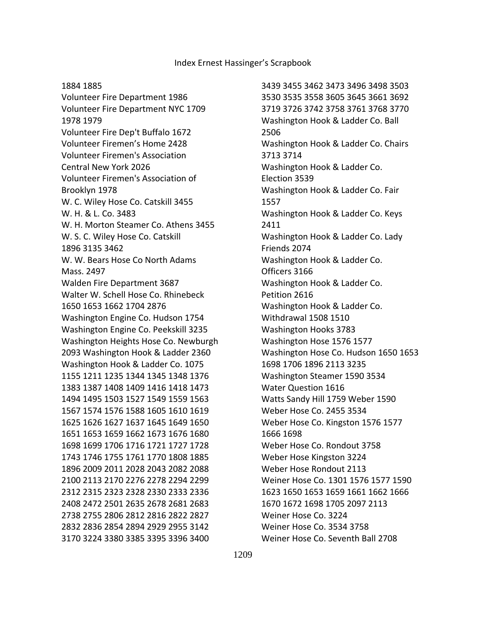#### 1884 1885

 Volunteer Fire Department 1986 Volunteer Fire Department NYC 1709 1978 1979 Volunteer Fire Dep't Buffalo 1672 Volunteer Firemen's Home 2428 Volunteer Firemen's Association Central New York 2026 Volunteer Firemen's Association of Brooklyn 1978 W. C. Wiley Hose Co. Catskill 3455 W. H. & L. Co. 3483 W. H. Morton Steamer Co. Athens 3455 W. S. C. Wiley Hose Co. Catskill 1896 3135 3462 W. W. Bears Hose Co North Adams Mass. 2497 Walden Fire Department 3687 Walter W. Schell Hose Co. Rhinebeck 1650 1653 1662 1704 2876 Washington Engine Co. Hudson 1754 Washington Engine Co. Peekskill 3235 Washington Heights Hose Co. Newburgh 2093 Washington Hook & Ladder 2360 Washington Hook & Ladder Co. 1075 1155 1211 1235 1344 1345 1348 1376 1383 1387 1408 1409 1416 1418 1473 1494 1495 1503 1527 1549 1559 1563 1567 1574 1576 1588 1605 1610 1619 1625 1626 1627 1637 1645 1649 1650 1651 1653 1659 1662 1673 1676 1680 1698 1699 1706 1716 1721 1727 1728 1743 1746 1755 1761 1770 1808 1885 1896 2009 2011 2028 2043 2082 2088 2100 2113 2170 2276 2278 2294 2299 2312 2315 2323 2328 2330 2333 2336 2408 2472 2501 2635 2678 2681 2683 2738 2755 2806 2812 2816 2822 2827 2832 2836 2854 2894 2929 2955 3142 3170 3224 3380 3385 3395 3396 3400

 3439 3455 3462 3473 3496 3498 3503 3530 3535 3558 3605 3645 3661 3692 3719 3726 3742 3758 3761 3768 3770 Washington Hook & Ladder Co. Ball 2506 Washington Hook & Ladder Co. Chairs 3713 3714 Washington Hook & Ladder Co. Election 3539 Washington Hook & Ladder Co. Fair 1557 Washington Hook & Ladder Co. Keys 2411 Washington Hook & Ladder Co. Lady Friends 2074 Washington Hook & Ladder Co. Officers 3166 Washington Hook & Ladder Co. Petition 2616 Washington Hook & Ladder Co. Withdrawal 1508 1510 Washington Hooks 3783 Washington Hose 1576 1577 Washington Hose Co. Hudson 1650 1653 1698 1706 1896 2113 3235 Washington Steamer 1590 3534 Water Question 1616 Watts Sandy Hill 1759 Weber 1590 Weber Hose Co. 2455 3534 Weber Hose Co. Kingston 1576 1577 1666 1698 Weber Hose Co. Rondout 3758 Weber Hose Kingston 3224 Weber Hose Rondout 2113 Weiner Hose Co. 1301 1576 1577 1590 1623 1650 1653 1659 1661 1662 1666 1670 1672 1698 1705 2097 2113 Weiner Hose Co. 3224 Weiner Hose Co. 3534 3758 Weiner Hose Co. Seventh Ball 2708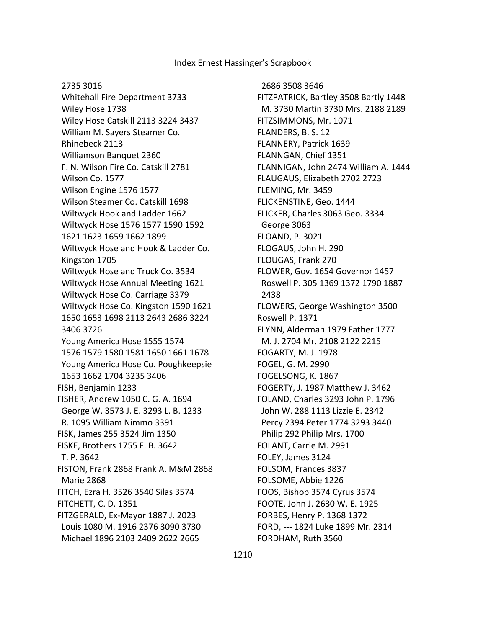#### 2735 3016

 Whitehall Fire Department 3733 Wiley Hose 1738 Wiley Hose Catskill 2113 3224 3437 William M. Sayers Steamer Co. Rhinebeck 2113 Williamson Banquet 2360 F. N. Wilson Fire Co. Catskill 2781 Wilson Co. 1577 Wilson Engine 1576 1577 Wilson Steamer Co. Catskill 1698 Wiltwyck Hook and Ladder 1662 Wiltwyck Hose 1576 1577 1590 1592 1621 1623 1659 1662 1899 Wiltwyck Hose and Hook & Ladder Co. Kingston 1705 Wiltwyck Hose and Truck Co. 3534 Wiltwyck Hose Annual Meeting 1621 Wiltwyck Hose Co. Carriage 3379 Wiltwyck Hose Co. Kingston 1590 1621 1650 1653 1698 2113 2643 2686 3224 3406 3726 Young America Hose 1555 1574 1576 1579 1580 1581 1650 1661 1678 Young America Hose Co. Poughkeepsie 1653 1662 1704 3235 3406 FISH, Benjamin 1233 FISHER, Andrew 1050 C. G. A. 1694 George W. 3573 J. E. 3293 L. B. 1233 R. 1095 William Nimmo 3391 FISK, James 255 3524 Jim 1350 FISKE, Brothers 1755 F. B. 3642 T. P. 3642 FISTON, Frank 2868 Frank A. M&M 2868 Marie 2868 FITCH, Ezra H. 3526 3540 Silas 3574 FITCHETT, C. D. 1351 FITZGERALD, Ex-Mayor 1887 J. 2023 Louis 1080 M. 1916 2376 3090 3730 Michael 1896 2103 2409 2622 2665

 2686 3508 3646 FITZPATRICK, Bartley 3508 Bartly 1448 M. 3730 Martin 3730 Mrs. 2188 2189 FITZSIMMONS, Mr. 1071 FLANDERS, B. S. 12 FLANNERY, Patrick 1639 FLANNGAN, Chief 1351 FLANNIGAN, John 2474 William A. 1444 FLAUGAUS, Elizabeth 2702 2723 FLEMING, Mr. 3459 FLICKENSTINE, Geo. 1444 FLICKER, Charles 3063 Geo. 3334 George 3063 FLOAND, P. 3021 FLOGAUS, John H. 290 FLOUGAS, Frank 270 FLOWER, Gov. 1654 Governor 1457 Roswell P. 305 1369 1372 1790 1887 2438 FLOWERS, George Washington 3500 Roswell P. 1371 FLYNN, Alderman 1979 Father 1777 M. J. 2704 Mr. 2108 2122 2215 FOGARTY, M. J. 1978 FOGEL, G. M. 2990 FOGELSONG, K. 1867 FOGERTY, J. 1987 Matthew J. 3462 FOLAND, Charles 3293 John P. 1796 John W. 288 1113 Lizzie E. 2342 Percy 2394 Peter 1774 3293 3440 Philip 292 Philip Mrs. 1700 FOLANT, Carrie M. 2991 FOLEY, James 3124 FOLSOM, Frances 3837 FOLSOME, Abbie 1226 FOOS, Bishop 3574 Cyrus 3574 FOOTE, John J. 2630 W. E. 1925 FORBES, Henry P. 1368 1372 FORD, --- 1824 Luke 1899 Mr. 2314 FORDHAM, Ruth 3560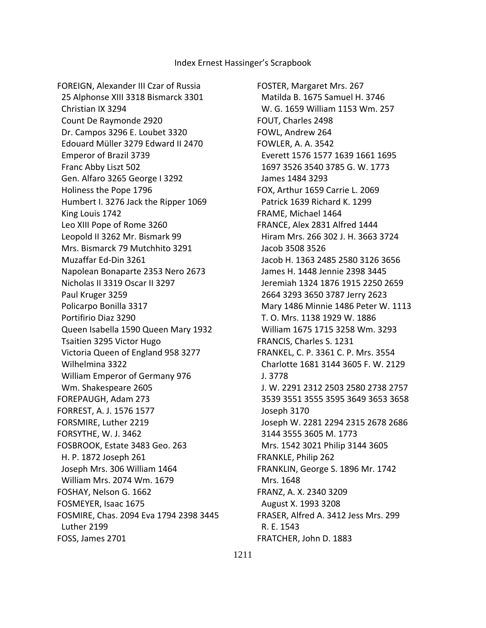FOREIGN, Alexander III Czar of Russia 25 Alphonse XIII 3318 Bismarck 3301 Christian IX 3294 Count De Raymonde 2920 Dr. Campos 3296 E. Loubet 3320 Edouard Müller 3279 Edward II 2470 Emperor of Brazil 3739 Franc Abby Liszt 502 Gen. Alfaro 3265 George I 3292 Holiness the Pope 1796 Humbert I. 3276 Jack the Ripper 1069 King Louis 1742 Leo XIII Pope of Rome 3260 Leopold II 3262 Mr. Bismark 99 Mrs. Bismarck 79 Mutchhito 3291 Muzaffar Ed-Din 3261 Napolean Bonaparte 2353 Nero 2673 Nicholas II 3319 Oscar II 3297 Paul Kruger 3259 Policarpo Bonilla 3317 Portifirio Diaz 3290 Queen Isabella 1590 Queen Mary 1932 Tsaitien 3295 Victor Hugo Victoria Queen of England 958 3277 Wilhelmina 3322 William Emperor of Germany 976 Wm. Shakespeare 2605 FOREPAUGH, Adam 273 FORREST, A. J. 1576 1577 FORSMIRE, Luther 2219 FORSYTHE, W. J. 3462 FOSBROOK, Estate 3483 Geo. 263 H. P. 1872 Joseph 261 Joseph Mrs. 306 William 1464 William Mrs. 2074 Wm. 1679 FOSHAY, Nelson G. 1662 FOSMEYER, Isaac 1675 FOSMIRE, Chas. 2094 Eva 1794 2398 3445 Luther 2199 FOSS, James 2701

FOSTER, Margaret Mrs. 267 Matilda B. 1675 Samuel H. 3746 W. G. 1659 William 1153 Wm. 257 FOUT, Charles 2498 FOWL, Andrew 264 FOWLER, A. A. 3542 Everett 1576 1577 1639 1661 1695 1697 3526 3540 3785 G. W. 1773 James 1484 3293 FOX, Arthur 1659 Carrie L. 2069 Patrick 1639 Richard K. 1299 FRAME, Michael 1464 FRANCE, Alex 2831 Alfred 1444 Hiram Mrs. 266 302 J. H. 3663 3724 Jacob 3508 3526 Jacob H. 1363 2485 2580 3126 3656 James H. 1448 Jennie 2398 3445 Jeremiah 1324 1876 1915 2250 2659 2664 3293 3650 3787 Jerry 2623 Mary 1486 Minnie 1486 Peter W. 1113 T. O. Mrs. 1138 1929 W. 1886 William 1675 1715 3258 Wm. 3293 FRANCIS, Charles S. 1231 FRANKEL, C. P. 3361 C. P. Mrs. 3554 Charlotte 1681 3144 3605 F. W. 2129 J. 3778 J. W. 2291 2312 2503 2580 2738 2757 3539 3551 3555 3595 3649 3653 3658 Joseph 3170 Joseph W. 2281 2294 2315 2678 2686 3144 3555 3605 M. 1773 Mrs. 1542 3021 Philip 3144 3605 FRANKLE, Philip 262 FRANKLIN, George S. 1896 Mr. 1742 Mrs. 1648 FRANZ, A. X. 2340 3209 August X. 1993 3208 FRASER, Alfred A. 3412 Jess Mrs. 299 R. E. 1543 FRATCHER, John D. 1883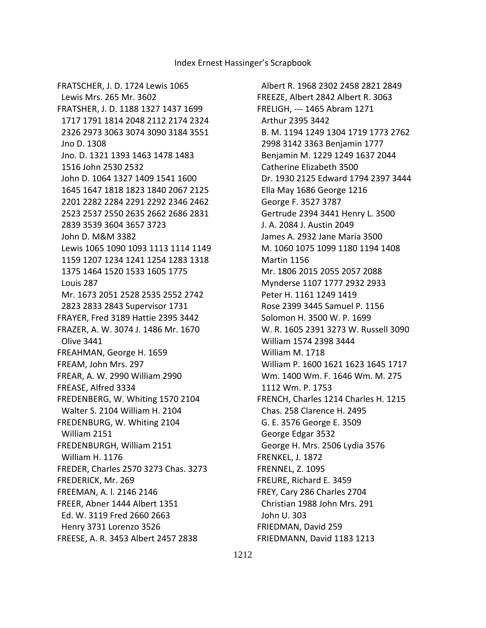Albert R. 1968 2302 2458 2821 2849 FREEZE, Albert 2842 Albert R. 3063 FRELIGH, --- 1465 Abram 1271 Arthur 2395 3442 B. M. 1194 1249 1304 1719 1773 2762 2998 3142 3363 Benjamin 1777 Benjamin M. 1229 1249 1637 2044 Catherine Elizabeth 3500 Dr. 1930 2125 Edward 1794 2397 3444 Ella May 1686 George 1216 George F. 3527 3787 Gertrude 2394 3441 Henry L. 3500 J. A. 2084 J. Austin 2049 James A. 2932 Jane Maria 3500 M. 1060 1075 1099 1180 1194 1408 Martin 1156 Mr. 1806 2015 2055 2057 2088 Mynderse 1107 1777 2932 2933 Peter H. 1161 1249 1419 Rose 2399 3445 Samuel P. 1156 Solomon H. 3500 W. P. 1699 W. R. 1605 2391 3273 W. Russell 3090 William 1574 2398 3444 William M. 1718 William P. 1600 1621 1623 1645 1717 Wm. 1400 Wm. F. 1646 Wm. M. 275 1112 Wm. P. 1753 FRENCH, Charles 1214 Charles H. 1215 Chas. 258 Clarence H. 2495 G. E. 3576 George E. 3509 George Edgar 3532 George H. Mrs. 2506 Lydia 3576 FRENKEL, J. 1872 FRENNEL, Z. 1095 FREURE, Richard E. 3459 FREY, Cary 286 Charles 2704 Christian 1988 John Mrs. 291 John U. 303 FRIEDMAN, David 259 FRIEDMANN, David 1183 1213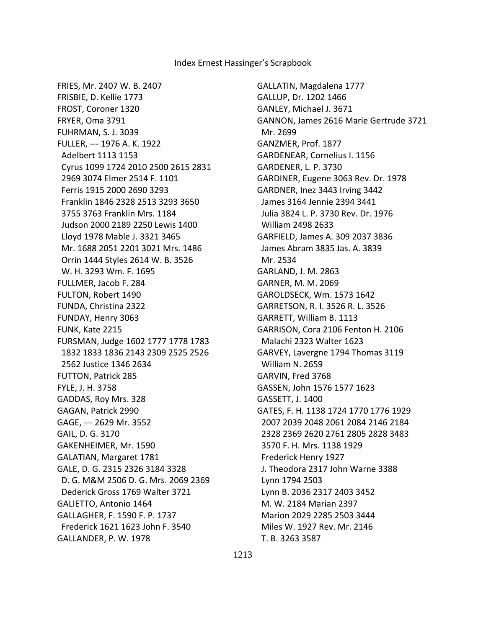FRIES, Mr. 2407 W. B. 2407 FRISBIE, D. Kellie 1773 FROST, Coroner 1320 FRYER, Oma 3791 FUHRMAN, S. J. 3039 FULLER, --- 1976 A. K. 1922 Adelbert 1113 1153 Cyrus 1099 1724 2010 2500 2615 2831 2969 3074 Elmer 2514 F. 1101 Ferris 1915 2000 2690 3293 Franklin 1846 2328 2513 3293 3650 3755 3763 Franklin Mrs. 1184 Judson 2000 2189 2250 Lewis 1400 Lloyd 1978 Mable J. 3321 3465 Mr. 1688 2051 2201 3021 Mrs. 1486 Orrin 1444 Styles 2614 W. B. 3526 W. H. 3293 Wm. F. 1695 FULLMER, Jacob F. 284 FULTON, Robert 1490 FUNDA, Christina 2322 FUNDAY, Henry 3063 FUNK, Kate 2215 FURSMAN, Judge 1602 1777 1778 1783 1832 1833 1836 2143 2309 2525 2526 2562 Justice 1346 2634 FUTTON, Patrick 285 FYLE, J. H. 3758 GADDAS, Roy Mrs. 328 GAGAN, Patrick 2990 GAGE, --- 2629 Mr. 3552 GAIL, D. G. 3170 GAKENHEIMER, Mr. 1590 GALATIAN, Margaret 1781 GALE, D. G. 2315 2326 3184 3328 D. G. M&M 2506 D. G. Mrs. 2069 2369 Dederick Gross 1769 Walter 3721 GALIETTO, Antonio 1464 GALLAGHER, F. 1590 F. P. 1737 Frederick 1621 1623 John F. 3540 GALLANDER, P. W. 1978

GALLATIN, Magdalena 1777 GALLUP, Dr. 1202 1466 GANLEY, Michael J. 3671 GANNON, James 2616 Marie Gertrude 3721 Mr. 2699 GANZMER, Prof. 1877 GARDENEAR, Cornelius I. 1156 GARDENER, L. P. 3730 GARDINER, Eugene 3063 Rev. Dr. 1978 GARDNER, Inez 3443 Irving 3442 James 3164 Jennie 2394 3441 Julia 3824 L. P. 3730 Rev. Dr. 1976 William 2498 2633 GARFIELD, James A. 309 2037 3836 James Abram 3835 Jas. A. 3839 Mr. 2534 GARLAND, J. M. 2863 GARNER, M. M. 2069 GAROLDSECK, Wm. 1573 1642 GARRETSON, R. I. 3526 R. L. 3526 GARRETT, William B. 1113 GARRISON, Cora 2106 Fenton H. 2106 Malachi 2323 Walter 1623 GARVEY, Lavergne 1794 Thomas 3119 William N. 2659 GARVIN, Fred 3768 GASSEN, John 1576 1577 1623 GASSETT, J. 1400 GATES, F. H. 1138 1724 1770 1776 1929 2007 2039 2048 2061 2084 2146 2184 2328 2369 2620 2761 2805 2828 3483 3570 F. H. Mrs. 1138 1929 Frederick Henry 1927 J. Theodora 2317 John Warne 3388 Lynn 1794 2503 Lynn B. 2036 2317 2403 3452 M. W. 2184 Marian 2397 Marion 2029 2285 2503 3444 Miles W. 1927 Rev. Mr. 2146 T. B. 3263 3587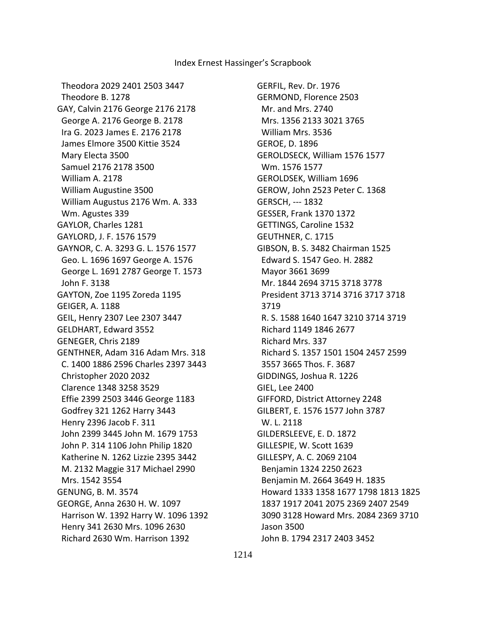Theodora 2029 2401 2503 3447 Theodore B. 1278 GAY, Calvin 2176 George 2176 2178 George A. 2176 George B. 2178 Ira G. 2023 James E. 2176 2178 James Elmore 3500 Kittie 3524 Mary Electa 3500 Samuel 2176 2178 3500 William A. 2178 William Augustine 3500 William Augustus 2176 Wm. A. 333 Wm. Agustes 339 GAYLOR, Charles 1281 GAYLORD, J. F. 1576 1579 GAYNOR, C. A. 3293 G. L. 1576 1577 Geo. L. 1696 1697 George A. 1576 George L. 1691 2787 George T. 1573 John F. 3138 GAYTON, Zoe 1195 Zoreda 1195 GEIGER, A. 1188 GEIL, Henry 2307 Lee 2307 3447 GELDHART, Edward 3552 GENEGER, Chris 2189 GENTHNER, Adam 316 Adam Mrs. 318 C. 1400 1886 2596 Charles 2397 3443 Christopher 2020 2032 Clarence 1348 3258 3529 Effie 2399 2503 3446 George 1183 Godfrey 321 1262 Harry 3443 Henry 2396 Jacob F. 311 John 2399 3445 John M. 1679 1753 John P. 314 1106 John Philip 1820 Katherine N. 1262 Lizzie 2395 3442 M. 2132 Maggie 317 Michael 2990 Mrs. 1542 3554 GENUNG, B. M. 3574 GEORGE, Anna 2630 H. W. 1097 Harrison W. 1392 Harry W. 1096 1392 Henry 341 2630 Mrs. 1096 2630 Richard 2630 Wm. Harrison 1392

GERFIL, Rev. Dr. 1976 GERMOND, Florence 2503 Mr. and Mrs. 2740 Mrs. 1356 2133 3021 3765 William Mrs. 3536 GEROE, D. 1896 GEROLDSECK, William 1576 1577 Wm. 1576 1577 GEROLDSEK, William 1696 GEROW, John 2523 Peter C. 1368 GERSCH, --- 1832 GESSER, Frank 1370 1372 GETTINGS, Caroline 1532 GEUTHNER, C. 1715 GIBSON, B. S. 3482 Chairman 1525 Edward S. 1547 Geo. H. 2882 Mayor 3661 3699 Mr. 1844 2694 3715 3718 3778 President 3713 3714 3716 3717 3718 3719 R. S. 1588 1640 1647 3210 3714 3719 Richard 1149 1846 2677 Richard Mrs. 337 Richard S. 1357 1501 1504 2457 2599 3557 3665 Thos. F. 3687 GIDDINGS, Joshua R. 1226 GIEL, Lee 2400 GIFFORD, District Attorney 2248 GILBERT, E. 1576 1577 John 3787 W. L. 2118 GILDERSLEEVE, E. D. 1872 GILLESPIE, W. Scott 1639 GILLESPY, A. C. 2069 2104 Benjamin 1324 2250 2623 Benjamin M. 2664 3649 H. 1835 Howard 1333 1358 1677 1798 1813 1825 1837 1917 2041 2075 2369 2407 2549 3090 3128 Howard Mrs. 2084 2369 3710 Jason 3500 John B. 1794 2317 2403 3452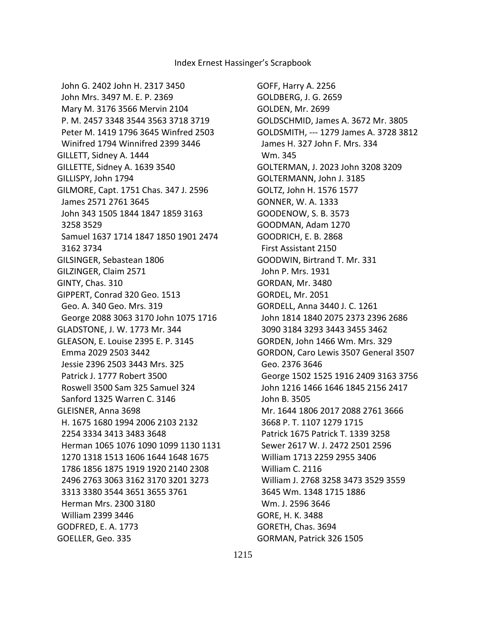GOFF, Harry A. 2256 GOLDBERG, J. G. 2659 GOLDEN, Mr. 2699 GOLDSCHMID, James A. 3672 Mr. 3805 GOLDSMITH, --- 1279 James A. 3728 3812 James H. 327 John F. Mrs. 334 Wm. 345 GOLTERMAN, J. 2023 John 3208 3209 GOLTERMANN, John J. 3185 GOLTZ, John H. 1576 1577 GONNER, W. A. 1333 GOODENOW, S. B. 3573 GOODMAN, Adam 1270 GOODRICH, E. B. 2868 First Assistant 2150 GOODWIN, Birtrand T. Mr. 331 John P. Mrs. 1931 GORDAN, Mr. 3480 GORDEL, Mr. 2051 GORDELL, Anna 3440 J. C. 1261 John 1814 1840 2075 2373 2396 2686 3090 3184 3293 3443 3455 3462 GORDEN, John 1466 Wm. Mrs. 329 GORDON, Caro Lewis 3507 General 3507 Geo. 2376 3646 George 1502 1525 1916 2409 3163 3756 John 1216 1466 1646 1845 2156 2417 John B. 3505 Mr. 1644 1806 2017 2088 2761 3666 3668 P. T. 1107 1279 1715 Patrick 1675 Patrick T. 1339 3258 Sewer 2617 W. J. 2472 2501 2596 William 1713 2259 2955 3406 William C. 2116 William J. 2768 3258 3473 3529 3559 3645 Wm. 1348 1715 1886 Wm. J. 2596 3646 GORE, H. K. 3488 GORETH, Chas. 3694 GORMAN, Patrick 326 1505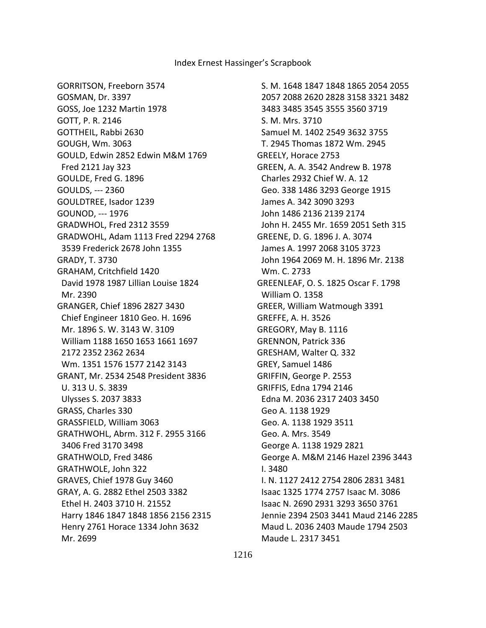GORRITSON, Freeborn 3574 GOSMAN, Dr. 3397 GOSS, Joe 1232 Martin 1978 GOTT, P. R. 2146 GOTTHEIL, Rabbi 2630 GOUGH, Wm. 3063 GOULD, Edwin 2852 Edwin M&M 1769 Fred 2121 Jay 323 GOULDE, Fred G. 1896 GOULDS, --- 2360 GOULDTREE, Isador 1239 GOUNOD, --- 1976 GRADWHOL, Fred 2312 3559 GRADWOHL, Adam 1113 Fred 2294 2768 3539 Frederick 2678 John 1355 GRADY, T. 3730 GRAHAM, Critchfield 1420 David 1978 1987 Lillian Louise 1824 Mr. 2390 GRANGER, Chief 1896 2827 3430 Chief Engineer 1810 Geo. H. 1696 Mr. 1896 S. W. 3143 W. 3109 William 1188 1650 1653 1661 1697 2172 2352 2362 2634 Wm. 1351 1576 1577 2142 3143 GRANT, Mr. 2534 2548 President 3836 U. 313 U. S. 3839 Ulysses S. 2037 3833 GRASS, Charles 330 GRASSFIELD, William 3063 GRATHWOHL, Abrm. 312 F. 2955 3166 3406 Fred 3170 3498 GRATHWOLD, Fred 3486 GRATHWOLE, John 322 GRAVES, Chief 1978 Guy 3460 GRAY, A. G. 2882 Ethel 2503 3382 Ethel H. 2403 3710 H. 21552 Harry 1846 1847 1848 1856 2156 2315 Henry 2761 Horace 1334 John 3632 Mr. 2699

 S. M. 1648 1847 1848 1865 2054 2055 2057 2088 2620 2828 3158 3321 3482 3483 3485 3545 3555 3560 3719 S. M. Mrs. 3710 Samuel M. 1402 2549 3632 3755 T. 2945 Thomas 1872 Wm. 2945 GREELY, Horace 2753 GREEN, A. A. 3542 Andrew B. 1978 Charles 2932 Chief W. A. 12 Geo. 338 1486 3293 George 1915 James A. 342 3090 3293 John 1486 2136 2139 2174 John H. 2455 Mr. 1659 2051 Seth 315 GREENE, D. G. 1896 J. A. 3074 James A. 1997 2068 3105 3723 John 1964 2069 M. H. 1896 Mr. 2138 Wm. C. 2733 GREENLEAF, O. S. 1825 Oscar F. 1798 William O. 1358 GREER, William Watmough 3391 GREFFE, A. H. 3526 GREGORY, May B. 1116 GRENNON, Patrick 336 GRESHAM, Walter Q. 332 GREY, Samuel 1486 GRIFFIN, George P. 2553 GRIFFIS, Edna 1794 2146 Edna M. 2036 2317 2403 3450 Geo A. 1138 1929 Geo. A. 1138 1929 3511 Geo. A. Mrs. 3549 George A. 1138 1929 2821 George A. M&M 2146 Hazel 2396 3443 I. 3480 I. N. 1127 2412 2754 2806 2831 3481 Isaac 1325 1774 2757 Isaac M. 3086 Isaac N. 2690 2931 3293 3650 3761 Jennie 2394 2503 3441 Maud 2146 2285 Maud L. 2036 2403 Maude 1794 2503 Maude L. 2317 3451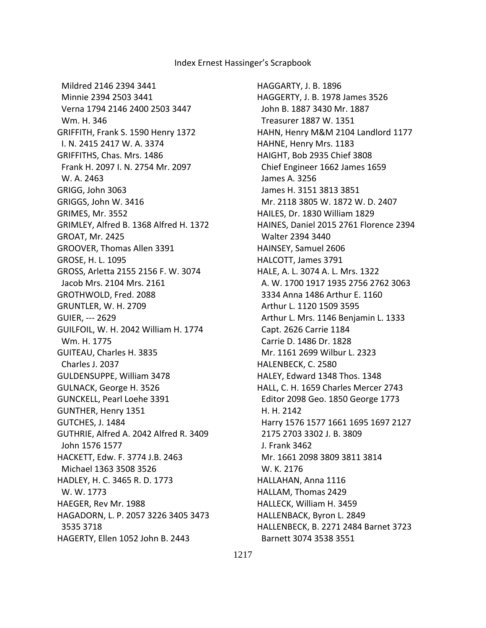Mildred 2146 2394 3441 Minnie 2394 2503 3441 Verna 1794 2146 2400 2503 3447 Wm. H. 346 GRIFFITH, Frank S. 1590 Henry 1372 I. N. 2415 2417 W. A. 3374 GRIFFITHS, Chas. Mrs. 1486 Frank H. 2097 I. N. 2754 Mr. 2097 W. A. 2463 GRIGG, John 3063 GRIGGS, John W. 3416 GRIMES, Mr. 3552 GRIMLEY, Alfred B. 1368 Alfred H. 1372 GROAT, Mr. 2425 GROOVER, Thomas Allen 3391 GROSE, H. L. 1095 GROSS, Arletta 2155 2156 F. W. 3074 Jacob Mrs. 2104 Mrs. 2161 GROTHWOLD, Fred. 2088 GRUNTLER, W. H. 2709 GUIER, --- 2629 GUILFOIL, W. H. 2042 William H. 1774 Wm. H. 1775 GUITEAU, Charles H. 3835 Charles J. 2037 GULDENSUPPE, William 3478 GULNACK, George H. 3526 GUNCKELL, Pearl Loehe 3391 GUNTHER, Henry 1351 GUTCHES, J. 1484 GUTHRIE, Alfred A. 2042 Alfred R. 3409 John 1576 1577 HACKETT, Edw. F. 3774 J.B. 2463 Michael 1363 3508 3526 HADLEY, H. C. 3465 R. D. 1773 W. W. 1773 HAEGER, Rev Mr. 1988 HAGADORN, L. P. 2057 3226 3405 3473 3535 3718 HAGERTY, Ellen 1052 John B. 2443

HAGGARTY, J. B. 1896 HAGGERTY, J. B. 1978 James 3526 John B. 1887 3430 Mr. 1887 Treasurer 1887 W. 1351 HAHN, Henry M&M 2104 Landlord 1177 HAHNE, Henry Mrs. 1183 HAIGHT, Bob 2935 Chief 3808 Chief Engineer 1662 James 1659 James A. 3256 James H. 3151 3813 3851 Mr. 2118 3805 W. 1872 W. D. 2407 HAILES, Dr. 1830 William 1829 HAINES, Daniel 2015 2761 Florence 2394 Walter 2394 3440 HAINSEY, Samuel 2606 HALCOTT, James 3791 HALE, A. L. 3074 A. L. Mrs. 1322 A. W. 1700 1917 1935 2756 2762 3063 3334 Anna 1486 Arthur E. 1160 Arthur L. 1120 1509 3595 Arthur L. Mrs. 1146 Benjamin L. 1333 Capt. 2626 Carrie 1184 Carrie D. 1486 Dr. 1828 Mr. 1161 2699 Wilbur L. 2323 HALENBECK, C. 2580 HALEY, Edward 1348 Thos. 1348 HALL, C. H. 1659 Charles Mercer 2743 Editor 2098 Geo. 1850 George 1773 H. H. 2142 Harry 1576 1577 1661 1695 1697 2127 2175 2703 3302 J. B. 3809 J. Frank 3462 Mr. 1661 2098 3809 3811 3814 W. K. 2176 HALLAHAN, Anna 1116 HALLAM, Thomas 2429 HALLECK, William H. 3459 HALLENBACK, Byron L. 2849 HALLENBECK, B. 2271 2484 Barnet 3723 Barnett 3074 3538 3551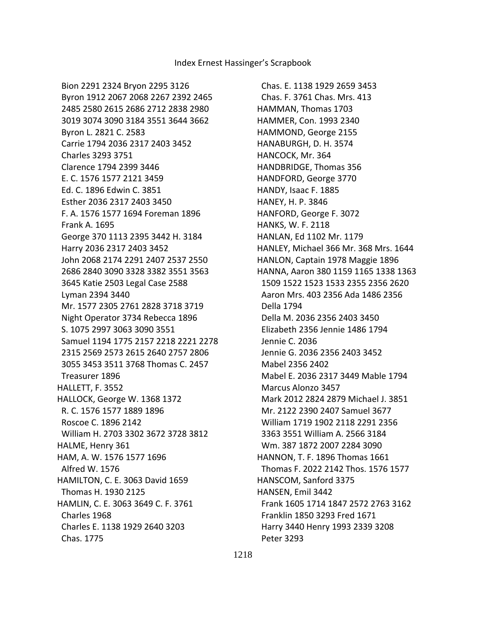Chas. E. 1138 1929 2659 3453 Chas. F. 3761 Chas. Mrs. 413 HAMMAN, Thomas 1703 HAMMER, Con. 1993 2340 HAMMOND, George 2155 HANABURGH, D. H. 3574 HANCOCK, Mr. 364 HANDBRIDGE, Thomas 356 HANDFORD, George 3770 HANDY, Isaac F. 1885 HANEY, H. P. 3846 HANFORD, George F. 3072 HANKS, W. F. 2118 HANLAN, Ed 1102 Mr. 1179 HANLEY, Michael 366 Mr. 368 Mrs. 1644 HANLON, Captain 1978 Maggie 1896 HANNA, Aaron 380 1159 1165 1338 1363 1509 1522 1523 1533 2355 2356 2620 Aaron Mrs. 403 2356 Ada 1486 2356 Della 1794 Della M. 2036 2356 2403 3450 Elizabeth 2356 Jennie 1486 1794 Jennie C. 2036 Jennie G. 2036 2356 2403 3452 Mabel 2356 2402 Mabel E. 2036 2317 3449 Mable 1794 Marcus Alonzo 3457 Mark 2012 2824 2879 Michael J. 3851 Mr. 2122 2390 2407 Samuel 3677 William 1719 1902 2118 2291 2356 3363 3551 William A. 2566 3184 Wm. 387 1872 2007 2284 3090 HANNON, T. F. 1896 Thomas 1661 Thomas F. 2022 2142 Thos. 1576 1577 HANSCOM, Sanford 3375 HANSEN, Emil 3442 Frank 1605 1714 1847 2572 2763 3162 Franklin 1850 3293 Fred 1671 Harry 3440 Henry 1993 2339 3208 Peter 3293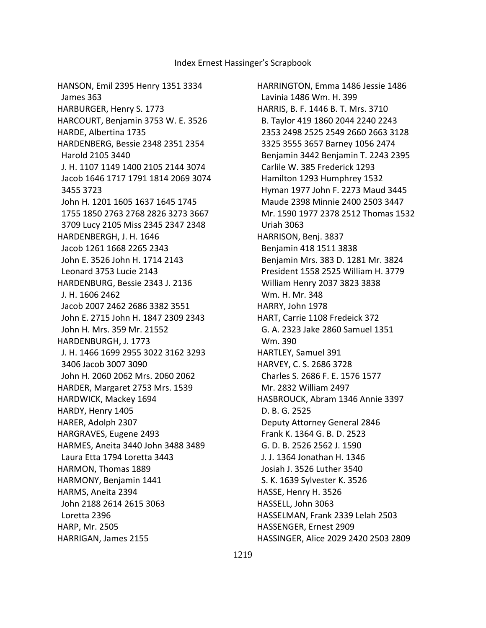HANSON, Emil 2395 Henry 1351 3334 James 363 HARBURGER, Henry S. 1773 HARCOURT, Benjamin 3753 W. E. 3526 HARDE, Albertina 1735 HARDENBERG, Bessie 2348 2351 2354 Harold 2105 3440 J. H. 1107 1149 1400 2105 2144 3074 Jacob 1646 1717 1791 1814 2069 3074 3455 3723 John H. 1201 1605 1637 1645 1745 1755 1850 2763 2768 2826 3273 3667 3709 Lucy 2105 Miss 2345 2347 2348 HARDENBERGH, J. H. 1646 Jacob 1261 1668 2265 2343 John E. 3526 John H. 1714 2143 Leonard 3753 Lucie 2143 HARDENBURG, Bessie 2343 J. 2136 J. H. 1606 2462 Jacob 2007 2462 2686 3382 3551 John E. 2715 John H. 1847 2309 2343 John H. Mrs. 359 Mr. 21552 HARDENBURGH, J. 1773 J. H. 1466 1699 2955 3022 3162 3293 3406 Jacob 3007 3090 John H. 2060 2062 Mrs. 2060 2062 HARDER, Margaret 2753 Mrs. 1539 HARDWICK, Mackey 1694 HARDY, Henry 1405 HARER, Adolph 2307 HARGRAVES, Eugene 2493 HARMES, Aneita 3440 John 3488 3489 Laura Etta 1794 Loretta 3443 HARMON, Thomas 1889 HARMONY, Benjamin 1441 HARMS, Aneita 2394 John 2188 2614 2615 3063 Loretta 2396 HARP, Mr. 2505 HARRIGAN, James 2155

HARRINGTON, Emma 1486 Jessie 1486 Lavinia 1486 Wm. H. 399 HARRIS, B. F. 1446 B. T. Mrs. 3710 B. Taylor 419 1860 2044 2240 2243 2353 2498 2525 2549 2660 2663 3128 3325 3555 3657 Barney 1056 2474 Benjamin 3442 Benjamin T. 2243 2395 Carlile W. 385 Frederick 1293 Hamilton 1293 Humphrey 1532 Hyman 1977 John F. 2273 Maud 3445 Maude 2398 Minnie 2400 2503 3447 Mr. 1590 1977 2378 2512 Thomas 1532 Uriah 3063 HARRISON, Benj. 3837 Benjamin 418 1511 3838 Benjamin Mrs. 383 D. 1281 Mr. 3824 President 1558 2525 William H. 3779 William Henry 2037 3823 3838 Wm. H. Mr. 348 HARRY, John 1978 HART, Carrie 1108 Fredeick 372 G. A. 2323 Jake 2860 Samuel 1351 Wm. 390 HARTLEY, Samuel 391 HARVEY, C. S. 2686 3728 Charles S. 2686 F. E. 1576 1577 Mr. 2832 William 2497 HASBROUCK, Abram 1346 Annie 3397 D. B. G. 2525 Deputy Attorney General 2846 Frank K. 1364 G. B. D. 2523 G. D. B. 2526 2562 J. 1590 J. J. 1364 Jonathan H. 1346 Josiah J. 3526 Luther 3540 S. K. 1639 Sylvester K. 3526 HASSE, Henry H. 3526 HASSELL, John 3063 HASSELMAN, Frank 2339 Lelah 2503 HASSENGER, Ernest 2909 HASSINGER, Alice 2029 2420 2503 2809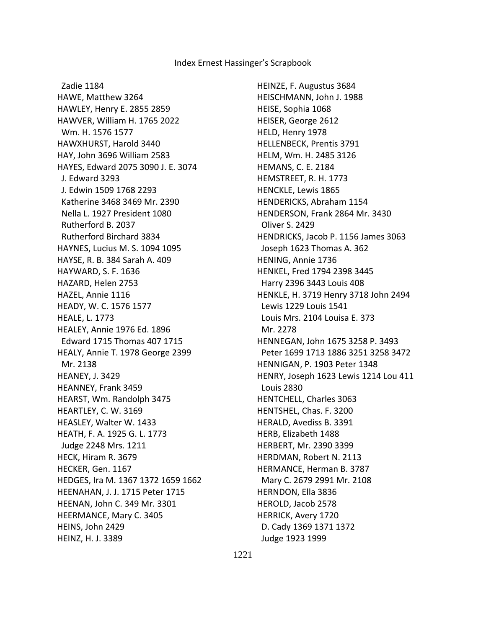Zadie 1184 HAWE, Matthew 3264 HAWLEY, Henry E. 2855 2859 HAWVER, William H. 1765 2022 Wm. H. 1576 1577 HAWXHURST, Harold 3440 HAY, John 3696 William 2583 HAYES, Edward 2075 3090 J. E. 3074 J. Edward 3293 J. Edwin 1509 1768 2293 Katherine 3468 3469 Mr. 2390 Nella L. 1927 President 1080 Rutherford B. 2037 Rutherford Birchard 3834 HAYNES, Lucius M. S. 1094 1095 HAYSE, R. B. 384 Sarah A. 409 HAYWARD, S. F. 1636 HAZARD, Helen 2753 HAZEL, Annie 1116 HEADY, W. C. 1576 1577 HEALE, L. 1773 HEALEY, Annie 1976 Ed. 1896 Edward 1715 Thomas 407 1715 HEALY, Annie T. 1978 George 2399 Mr. 2138 HEANEY, J. 3429 HEANNEY, Frank 3459 HEARST, Wm. Randolph 3475 HEARTLEY, C. W. 3169 HEASLEY, Walter W. 1433 HEATH, F. A. 1925 G. L. 1773 Judge 2248 Mrs. 1211 HECK, Hiram R. 3679 HECKER, Gen. 1167 HEDGES, Ira M. 1367 1372 1659 1662 HEENAHAN, J. J. 1715 Peter 1715 HEENAN, John C. 349 Mr. 3301 HEERMANCE, Mary C. 3405 HEINS, John 2429 HEINZ, H. J. 3389

HEINZE, F. Augustus 3684 HEISCHMANN, John J. 1988 HEISE, Sophia 1068 HEISER, George 2612 HELD, Henry 1978 HELLENBECK, Prentis 3791 HELM, Wm. H. 2485 3126 HEMANS, C. E. 2184 HEMSTREET, R. H. 1773 HENCKLE, Lewis 1865 HENDERICKS, Abraham 1154 HENDERSON, Frank 2864 Mr. 3430 Oliver S. 2429 HENDRICKS, Jacob P. 1156 James 3063 Joseph 1623 Thomas A. 362 HENING, Annie 1736 HENKEL, Fred 1794 2398 3445 Harry 2396 3443 Louis 408 HENKLE, H. 3719 Henry 3718 John 2494 Lewis 1229 Louis 1541 Louis Mrs. 2104 Louisa E. 373 Mr. 2278 HENNEGAN, John 1675 3258 P. 3493 Peter 1699 1713 1886 3251 3258 3472 HENNIGAN, P. 1903 Peter 1348 HENRY, Joseph 1623 Lewis 1214 Lou 411 Louis 2830 HENTCHELL, Charles 3063 HENTSHEL, Chas. F. 3200 HERALD, Avediss B. 3391 HERB, Elizabeth 1488 HERBERT, Mr. 2390 3399 HERDMAN, Robert N. 2113 HERMANCE, Herman B. 3787 Mary C. 2679 2991 Mr. 2108 HERNDON, Ella 3836 HEROLD, Jacob 2578 HERRICK, Avery 1720 D. Cady 1369 1371 1372 Judge 1923 1999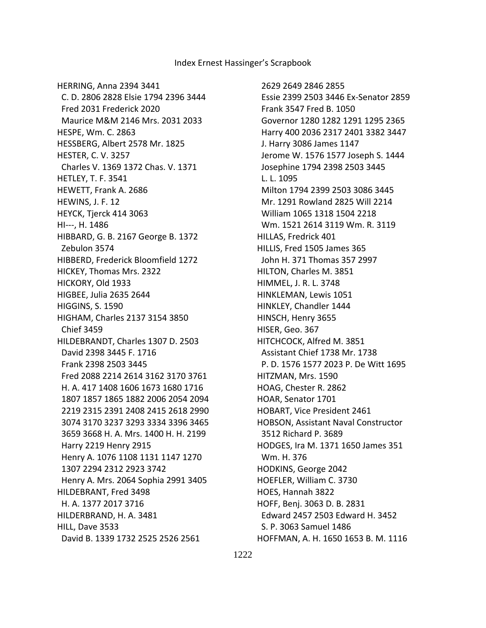HERRING, Anna 2394 3441 C. D. 2806 2828 Elsie 1794 2396 3444 Fred 2031 Frederick 2020 Maurice M&M 2146 Mrs. 2031 2033 HESPE, Wm. C. 2863 HESSBERG, Albert 2578 Mr. 1825 HESTER, C. V. 3257 Charles V. 1369 1372 Chas. V. 1371 HETLEY, T. F. 3541 HEWETT, Frank A. 2686 HEWINS, J. F. 12 HEYCK, Tjerck 414 3063 HI---, H. 1486 HIBBARD, G. B. 2167 George B. 1372 Zebulon 3574 HIBBERD, Frederick Bloomfield 1272 HICKEY, Thomas Mrs. 2322 HICKORY, Old 1933 HIGBEE, Julia 2635 2644 HIGGINS, S. 1590 HIGHAM, Charles 2137 3154 3850 Chief 3459 HILDEBRANDT, Charles 1307 D. 2503 David 2398 3445 F. 1716 Frank 2398 2503 3445 Fred 2088 2214 2614 3162 3170 3761 H. A. 417 1408 1606 1673 1680 1716 1807 1857 1865 1882 2006 2054 2094 2219 2315 2391 2408 2415 2618 2990 3074 3170 3237 3293 3334 3396 3465 3659 3668 H. A. Mrs. 1400 H. H. 2199 Harry 2219 Henry 2915 Henry A. 1076 1108 1131 1147 1270 1307 2294 2312 2923 3742 Henry A. Mrs. 2064 Sophia 2991 3405 HILDEBRANT, Fred 3498 H. A. 1377 2017 3716 HILDERBRAND, H. A. 3481 HILL, Dave 3533 David B. 1339 1732 2525 2526 2561

 2629 2649 2846 2855 Essie 2399 2503 3446 Ex-Senator 2859 Frank 3547 Fred B. 1050 Governor 1280 1282 1291 1295 2365 Harry 400 2036 2317 2401 3382 3447 J. Harry 3086 James 1147 Jerome W. 1576 1577 Joseph S. 1444 Josephine 1794 2398 2503 3445 L. L. 1095 Milton 1794 2399 2503 3086 3445 Mr. 1291 Rowland 2825 Will 2214 William 1065 1318 1504 2218 Wm. 1521 2614 3119 Wm. R. 3119 HILLAS, Fredrick 401 HILLIS, Fred 1505 James 365 John H. 371 Thomas 357 2997 HILTON, Charles M. 3851 HIMMEL, J. R. L. 3748 HINKLEMAN, Lewis 1051 HINKLEY, Chandler 1444 HINSCH, Henry 3655 HISER, Geo. 367 HITCHCOCK, Alfred M. 3851 Assistant Chief 1738 Mr. 1738 P. D. 1576 1577 2023 P. De Witt 1695 HITZMAN, Mrs. 1590 HOAG, Chester R. 2862 HOAR, Senator 1701 HOBART, Vice President 2461 HOBSON, Assistant Naval Constructor 3512 Richard P. 3689 HODGES, Ira M. 1371 1650 James 351 Wm. H. 376 HODKINS, George 2042 HOEFLER, William C. 3730 HOES, Hannah 3822 HOFF, Benj. 3063 D. B. 2831 Edward 2457 2503 Edward H. 3452 S. P. 3063 Samuel 1486 HOFFMAN, A. H. 1650 1653 B. M. 1116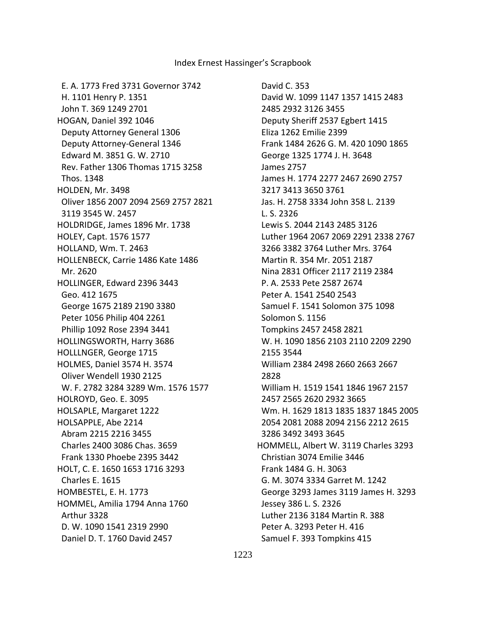E. A. 1773 Fred 3731 Governor 3742 H. 1101 Henry P. 1351 John T. 369 1249 2701 HOGAN, Daniel 392 1046 Deputy Attorney General 1306 Deputy Attorney-General 1346 Edward M. 3851 G. W. 2710 Rev. Father 1306 Thomas 1715 3258 Thos. 1348 HOLDEN, Mr. 3498 Oliver 1856 2007 2094 2569 2757 2821 3119 3545 W. 2457 HOLDRIDGE, James 1896 Mr. 1738 HOLEY, Capt. 1576 1577 HOLLAND, Wm. T. 2463 HOLLENBECK, Carrie 1486 Kate 1486 Mr. 2620 HOLLINGER, Edward 2396 3443 Geo. 412 1675 George 1675 2189 2190 3380 Peter 1056 Philip 404 2261 Phillip 1092 Rose 2394 3441 HOLLINGSWORTH, Harry 3686 HOLLLNGER, George 1715 HOLMES, Daniel 3574 H. 3574 Oliver Wendell 1930 2125 W. F. 2782 3284 3289 Wm. 1576 1577 HOLROYD, Geo. E. 3095 HOLSAPLE, Margaret 1222 HOLSAPPLE, Abe 2214 Abram 2215 2216 3455 Charles 2400 3086 Chas. 3659 Frank 1330 Phoebe 2395 3442 HOLT, C. E. 1650 1653 1716 3293 Charles E. 1615 HOMBESTEL, E. H. 1773 HOMMEL, Amilia 1794 Anna 1760 Arthur 3328 D. W. 1090 1541 2319 2990 Daniel D. T. 1760 David 2457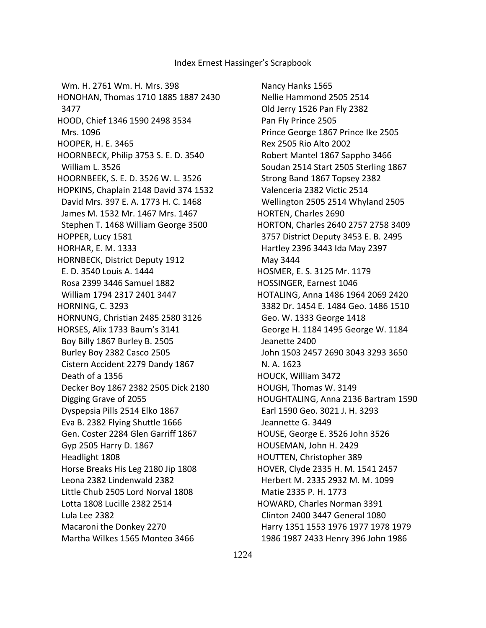Wm. H. 2761 Wm. H. Mrs. 398 HONOHAN, Thomas 1710 1885 1887 2430 3477 HOOD, Chief 1346 1590 2498 3534 Mrs. 1096 HOOPER, H. E. 3465 HOORNBECK, Philip 3753 S. E. D. 3540 William L. 3526 HOORNBEEK, S. E. D. 3526 W. L. 3526 HOPKINS, Chaplain 2148 David 374 1532 David Mrs. 397 E. A. 1773 H. C. 1468 James M. 1532 Mr. 1467 Mrs. 1467 Stephen T. 1468 William George 3500 HOPPER, Lucy 1581 HORHAR, E. M. 1333 HORNBECK, District Deputy 1912 E. D. 3540 Louis A. 1444 Rosa 2399 3446 Samuel 1882 William 1794 2317 2401 3447 HORNING, C. 3293 HORNUNG, Christian 2485 2580 3126 HORSES, Alix 1733 Baum's 3141 Boy Billy 1867 Burley B. 2505 Burley Boy 2382 Casco 2505 Cistern Accident 2279 Dandy 1867 Death of a 1356 Decker Boy 1867 2382 2505 Dick 2180 Digging Grave of 2055 Dyspepsia Pills 2514 Elko 1867 Eva B. 2382 Flying Shuttle 1666 Gen. Coster 2284 Glen Garriff 1867 Gyp 2505 Harry D. 1867 Headlight 1808 Horse Breaks His Leg 2180 Jip 1808 Leona 2382 Lindenwald 2382 Little Chub 2505 Lord Norval 1808 Lotta 1808 Lucille 2382 2514 Lula Lee 2382 Macaroni the Donkey 2270 Martha Wilkes 1565 Monteo 3466

 Nancy Hanks 1565 Nellie Hammond 2505 2514 Old Jerry 1526 Pan Fly 2382 Pan Fly Prince 2505 Prince George 1867 Prince Ike 2505 Rex 2505 Rio Alto 2002 Robert Mantel 1867 Sappho 3466 Soudan 2514 Start 2505 Sterling 1867 Strong Band 1867 Topsey 2382 Valenceria 2382 Victic 2514 Wellington 2505 2514 Whyland 2505 HORTEN, Charles 2690 HORTON, Charles 2640 2757 2758 3409 3757 District Deputy 3453 E. B. 2495 Hartley 2396 3443 Ida May 2397 May 3444 HOSMER, E. S. 3125 Mr. 1179 HOSSINGER, Earnest 1046 HOTALING, Anna 1486 1964 2069 2420 3382 Dr. 1454 E. 1484 Geo. 1486 1510 Geo. W. 1333 George 1418 George H. 1184 1495 George W. 1184 Jeanette 2400 John 1503 2457 2690 3043 3293 3650 N. A. 1623 HOUCK, William 3472 HOUGH, Thomas W. 3149 HOUGHTALING, Anna 2136 Bartram 1590 Earl 1590 Geo. 3021 J. H. 3293 Jeannette G. 3449 HOUSE, George E. 3526 John 3526 HOUSEMAN, John H. 2429 HOUTTEN, Christopher 389 HOVER, Clyde 2335 H. M. 1541 2457 Herbert M. 2335 2932 M. M. 1099 Matie 2335 P. H. 1773 HOWARD, Charles Norman 3391 Clinton 2400 3447 General 1080 Harry 1351 1553 1976 1977 1978 1979 1986 1987 2433 Henry 396 John 1986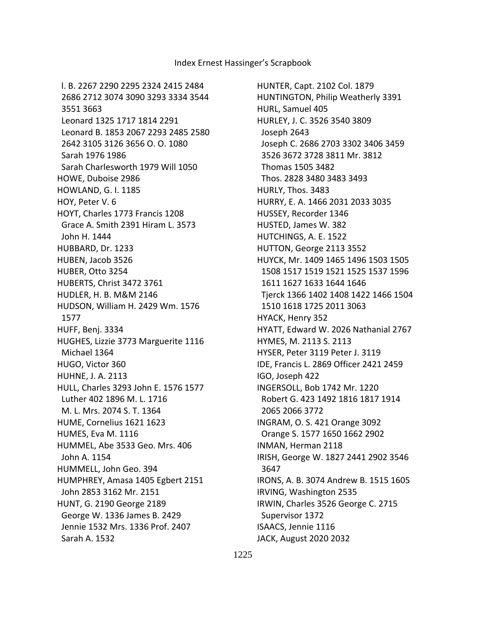l. B. 2267 2290 2295 2324 2415 2484 2686 2712 3074 3090 3293 3334 3544 3551 3663 Leonard 1325 1717 1814 2291 Leonard B. 1853 2067 2293 2485 2580 2642 3105 3126 3656 O. O. 1080 Sarah 1976 1986 Sarah Charlesworth 1979 Will 1050 HOWE, Duboise 2986 HOWLAND, G. I. 1185 HOY, Peter V. 6 HOYT, Charles 1773 Francis 1208 Grace A. Smith 2391 Hiram L. 3573 John H. 1444 HUBBARD, Dr. 1233 HUBEN, Jacob 3526 HUBER, Otto 3254 HUBERTS, Christ 3472 3761 HUDLER, H. B. M&M 2146 HUDSON, William H. 2429 Wm. 1576 1577 HUFF, Benj. 3334 HUGHES, Lizzie 3773 Marguerite 1116 Michael 1364 HUGO, Victor 360 HUHNE, J. A. 2113 HULL, Charles 3293 John E. 1576 1577 Luther 402 1896 M. L. 1716 M. L. Mrs. 2074 S. T. 1364 HUME, Cornelius 1621 1623 HUMES, Eva M. 1116 HUMMEL, Abe 3533 Geo. Mrs. 406 John A. 1154 HUMMELL, John Geo. 394 HUMPHREY, Amasa 1405 Egbert 2151 John 2853 3162 Mr. 2151 HUNT, G. 2190 George 2189 George W. 1336 James B. 2429 Jennie 1532 Mrs. 1336 Prof. 2407 Sarah A. 1532

HUNTER, Capt. 2102 Col. 1879 HUNTINGTON, Philip Weatherly 3391 HURL, Samuel 405 HURLEY, J. C. 3526 3540 3809 Joseph 2643 Joseph C. 2686 2703 3302 3406 3459 3526 3672 3728 3811 Mr. 3812 Thomas 1505 3482 Thos. 2828 3480 3483 3493 HURLY, Thos. 3483 HURRY, E. A. 1466 2031 2033 3035 HUSSEY, Recorder 1346 HUSTED, James W. 382 HUTCHINGS, A. E. 1522 HUTTON, George 2113 3552 HUYCK, Mr. 1409 1465 1496 1503 1505 1508 1517 1519 1521 1525 1537 1596 1611 1627 1633 1644 1646 Tjerck 1366 1402 1408 1422 1466 1504 1510 1618 1725 2011 3063 HYACK, Henry 352 HYATT, Edward W. 2026 Nathanial 2767 HYMES, M. 2113 S. 2113 HYSER, Peter 3119 Peter J. 3119 IDE, Francis L. 2869 Officer 2421 2459 IGO, Joseph 422 INGERSOLL, Bob 1742 Mr. 1220 Robert G. 423 1492 1816 1817 1914 2065 2066 3772 INGRAM, O. S. 421 Orange 3092 Orange S. 1577 1650 1662 2902 INMAN, Herman 2118 IRISH, George W. 1827 2441 2902 3546 3647 IRONS, A. B. 3074 Andrew B. 1515 1605 IRVING, Washington 2535 IRWIN, Charles 3526 George C. 2715 Supervisor 1372 ISAACS, Jennie 1116 JACK, August 2020 2032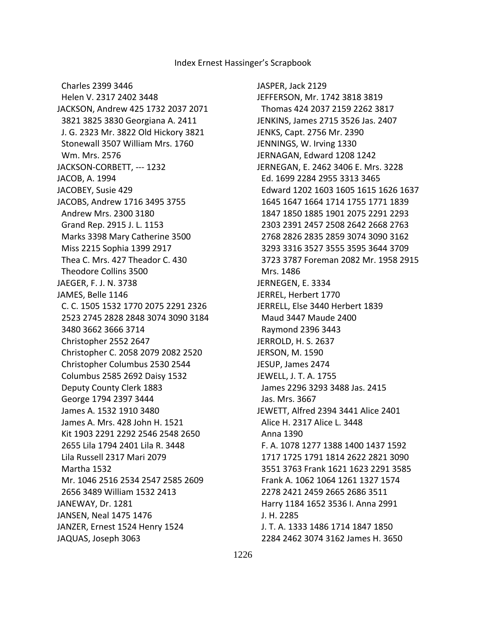Charles 2399 3446 Helen V. 2317 2402 3448 JACKSON, Andrew 425 1732 2037 2071 3821 3825 3830 Georgiana A. 2411 J. G. 2323 Mr. 3822 Old Hickory 3821 Stonewall 3507 William Mrs. 1760 Wm. Mrs. 2576 JACKSON-CORBETT, --- 1232 JACOB, A. 1994 JACOBEY, Susie 429 JACOBS, Andrew 1716 3495 3755 Andrew Mrs. 2300 3180 Grand Rep. 2915 J. L. 1153 Marks 3398 Mary Catherine 3500 Miss 2215 Sophia 1399 2917 Thea C. Mrs. 427 Theador C. 430 Theodore Collins 3500 JAEGER, F. J. N. 3738 JAMES, Belle 1146 C. C. 1505 1532 1770 2075 2291 2326 2523 2745 2828 2848 3074 3090 3184 3480 3662 3666 3714 Christopher 2552 2647 Christopher C. 2058 2079 2082 2520 Christopher Columbus 2530 2544 Columbus 2585 2692 Daisy 1532 Deputy County Clerk 1883 George 1794 2397 3444 James A. 1532 1910 3480 James A. Mrs. 428 John H. 1521 Kit 1903 2291 2292 2546 2548 2650 2655 Lila 1794 2401 Lila R. 3448 Lila Russell 2317 Mari 2079 Martha 1532 Mr. 1046 2516 2534 2547 2585 2609 2656 3489 William 1532 2413 JANEWAY, Dr. 1281 JANSEN, Neal 1475 1476 JANZER, Ernest 1524 Henry 1524 JAQUAS, Joseph 3063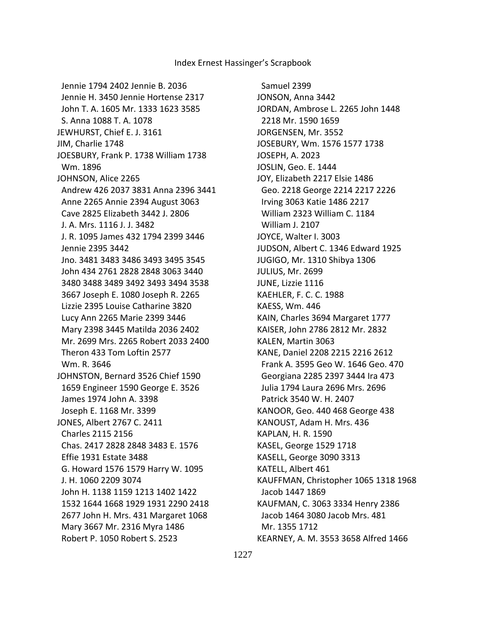Jennie 1794 2402 Jennie B. 2036 Jennie H. 3450 Jennie Hortense 2317 John T. A. 1605 Mr. 1333 1623 3585 S. Anna 1088 T. A. 1078 JEWHURST, Chief E. J. 3161 JIM, Charlie 1748 JOESBURY, Frank P. 1738 William 1738 Wm. 1896 JOHNSON, Alice 2265 Andrew 426 2037 3831 Anna 2396 3441 Anne 2265 Annie 2394 August 3063 Cave 2825 Elizabeth 3442 J. 2806 J. A. Mrs. 1116 J. J. 3482 J. R. 1095 James 432 1794 2399 3446 Jennie 2395 3442 Jno. 3481 3483 3486 3493 3495 3545 John 434 2761 2828 2848 3063 3440 3480 3488 3489 3492 3493 3494 3538 3667 Joseph E. 1080 Joseph R. 2265 Lizzie 2395 Louise Catharine 3820 Lucy Ann 2265 Marie 2399 3446 Mary 2398 3445 Matilda 2036 2402 Mr. 2699 Mrs. 2265 Robert 2033 2400 Theron 433 Tom Loftin 2577 Wm. R. 3646 JOHNSTON, Bernard 3526 Chief 1590 1659 Engineer 1590 George E. 3526 James 1974 John A. 3398 Joseph E. 1168 Mr. 3399 JONES, Albert 2767 C. 2411 Charles 2115 2156 Chas. 2417 2828 2848 3483 E. 1576 Effie 1931 Estate 3488 G. Howard 1576 1579 Harry W. 1095 J. H. 1060 2209 3074 John H. 1138 1159 1213 1402 1422 1532 1644 1668 1929 1931 2290 2418 2677 John H. Mrs. 431 Margaret 1068 Mary 3667 Mr. 2316 Myra 1486 Robert P. 1050 Robert S. 2523

 Samuel 2399 JONSON, Anna 3442 JORDAN, Ambrose L. 2265 John 1448 2218 Mr. 1590 1659 JORGENSEN, Mr. 3552 JOSEBURY, Wm. 1576 1577 1738 JOSEPH, A. 2023 JOSLIN, Geo. E. 1444 JOY, Elizabeth 2217 Elsie 1486 Geo. 2218 George 2214 2217 2226 Irving 3063 Katie 1486 2217 William 2323 William C. 1184 William J. 2107 JOYCE, Walter I. 3003 JUDSON, Albert C. 1346 Edward 1925 JUGIGO, Mr. 1310 Shibya 1306 JULIUS, Mr. 2699 JUNE, Lizzie 1116 KAEHLER, F. C. C. 1988 KAESS, Wm. 446 KAIN, Charles 3694 Margaret 1777 KAISER, John 2786 2812 Mr. 2832 KALEN, Martin 3063 KANE, Daniel 2208 2215 2216 2612 Frank A. 3595 Geo W. 1646 Geo. 470 Georgiana 2285 2397 3444 Ira 473 Julia 1794 Laura 2696 Mrs. 2696 Patrick 3540 W. H. 2407 KANOOR, Geo. 440 468 George 438 KANOUST, Adam H. Mrs. 436 KAPLAN, H. R. 1590 KASEL, George 1529 1718 KASELL, George 3090 3313 KATELL, Albert 461 KAUFFMAN, Christopher 1065 1318 1968 Jacob 1447 1869 KAUFMAN, C. 3063 3334 Henry 2386 Jacob 1464 3080 Jacob Mrs. 481 Mr. 1355 1712 KEARNEY, A. M. 3553 3658 Alfred 1466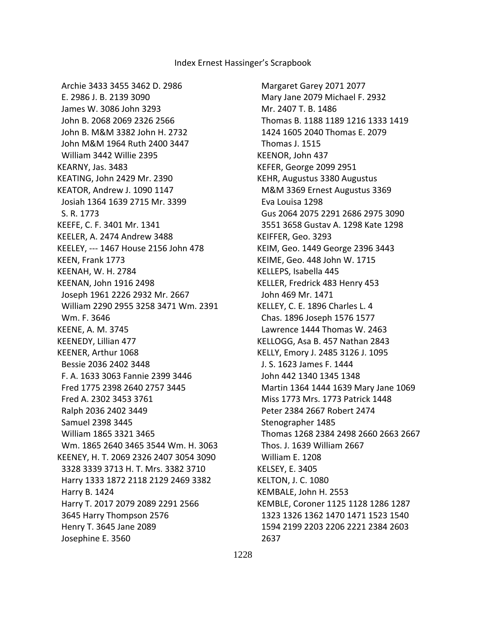Archie 3433 3455 3462 D. 2986 E. 2986 J. B. 2139 3090 James W. 3086 John 3293 John B. 2068 2069 2326 2566 John B. M&M 3382 John H. 2732 John M&M 1964 Ruth 2400 3447 William 3442 Willie 2395 KEARNY, Jas. 3483 KEATING, John 2429 Mr. 2390 KEATOR, Andrew J. 1090 1147 Josiah 1364 1639 2715 Mr. 3399 S. R. 1773 KEEFE, C. F. 3401 Mr. 1341 KEELER, A. 2474 Andrew 3488 KEELEY, --- 1467 House 2156 John 478 KEEN, Frank 1773 KEENAH, W. H. 2784 KEENAN, John 1916 2498 Joseph 1961 2226 2932 Mr. 2667 William 2290 2955 3258 3471 Wm. 2391 Wm. F. 3646 KEENE, A. M. 3745 KEENEDY, Lillian 477 KEENER, Arthur 1068 Bessie 2036 2402 3448 F. A. 1633 3063 Fannie 2399 3446 Fred 1775 2398 2640 2757 3445 Fred A. 2302 3453 3761 Ralph 2036 2402 3449 Samuel 2398 3445 William 1865 3321 3465 Wm. 1865 2640 3465 3544 Wm. H. 3063 KEENEY, H. T. 2069 2326 2407 3054 3090 3328 3339 3713 H. T. Mrs. 3382 3710 Harry 1333 1872 2118 2129 2469 3382 Harry B. 1424 Harry T. 2017 2079 2089 2291 2566 3645 Harry Thompson 2576 Henry T. 3645 Jane 2089 Josephine E. 3560

 Margaret Garey 2071 2077 Mary Jane 2079 Michael F. 2932 Mr. 2407 T. B. 1486 Thomas B. 1188 1189 1216 1333 1419 1424 1605 2040 Thomas E. 2079 Thomas J. 1515 KEENOR, John 437 KEFER, George 2099 2951 KEHR, Augustus 3380 Augustus M&M 3369 Ernest Augustus 3369 Eva Louisa 1298 Gus 2064 2075 2291 2686 2975 3090 3551 3658 Gustav A. 1298 Kate 1298 KEIFFER, Geo. 3293 KEIM, Geo. 1449 George 2396 3443 KEIME, Geo. 448 John W. 1715 KELLEPS, Isabella 445 KELLER, Fredrick 483 Henry 453 John 469 Mr. 1471 KELLEY, C. E. 1896 Charles L. 4 Chas. 1896 Joseph 1576 1577 Lawrence 1444 Thomas W. 2463 KELLOGG, Asa B. 457 Nathan 2843 KELLY, Emory J. 2485 3126 J. 1095 J. S. 1623 James F. 1444 John 442 1340 1345 1348 Martin 1364 1444 1639 Mary Jane 1069 Miss 1773 Mrs. 1773 Patrick 1448 Peter 2384 2667 Robert 2474 Stenographer 1485 Thomas 1268 2384 2498 2660 2663 2667 Thos. J. 1639 William 2667 William E. 1208 KELSEY, E. 3405 KELTON, J. C. 1080 KEMBALE, John H. 2553 KEMBLE, Coroner 1125 1128 1286 1287 1323 1326 1362 1470 1471 1523 1540 1594 2199 2203 2206 2221 2384 2603 2637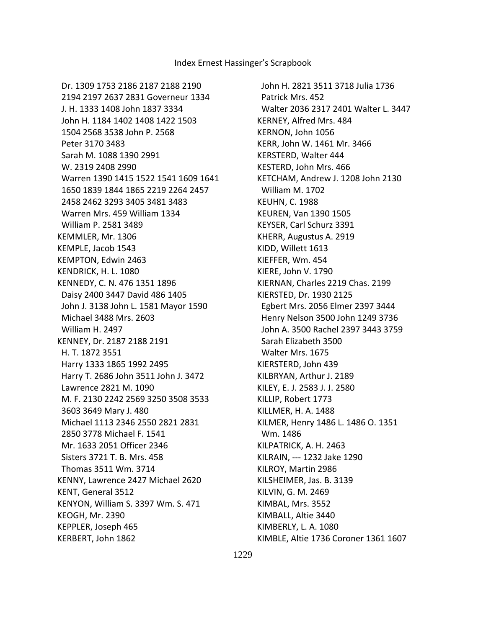Dr. 1309 1753 2186 2187 2188 2190 2194 2197 2637 2831 Governeur 1334 J. H. 1333 1408 John 1837 3334 John H. 1184 1402 1408 1422 1503 1504 2568 3538 John P. 2568 Peter 3170 3483 Sarah M. 1088 1390 2991 W. 2319 2408 2990 Warren 1390 1415 1522 1541 1609 1641 1650 1839 1844 1865 2219 2264 2457 2458 2462 3293 3405 3481 3483 Warren Mrs. 459 William 1334 William P. 2581 3489 KEMMLER, Mr. 1306 KEMPLE, Jacob 1543 KEMPTON, Edwin 2463 KENDRICK, H. L. 1080 KENNEDY, C. N. 476 1351 1896 Daisy 2400 3447 David 486 1405 John J. 3138 John L. 1581 Mayor 1590 Michael 3488 Mrs. 2603 William H. 2497 KENNEY, Dr. 2187 2188 2191 H. T. 1872 3551 Harry 1333 1865 1992 2495 Harry T. 2686 John 3511 John J. 3472 Lawrence 2821 M. 1090 M. F. 2130 2242 2569 3250 3508 3533 3603 3649 Mary J. 480 Michael 1113 2346 2550 2821 2831 2850 3778 Michael F. 1541 Mr. 1633 2051 Officer 2346 Sisters 3721 T. B. Mrs. 458 Thomas 3511 Wm. 3714 KENNY, Lawrence 2427 Michael 2620 KENT, General 3512 KENYON, William S. 3397 Wm. S. 471 KEOGH, Mr. 2390 KEPPLER, Joseph 465 KERBERT, John 1862

 John H. 2821 3511 3718 Julia 1736 Patrick Mrs. 452 Walter 2036 2317 2401 Walter L. 3447 KERNEY, Alfred Mrs. 484 KERNON, John 1056 KERR, John W. 1461 Mr. 3466 KERSTERD, Walter 444 KESTERD, John Mrs. 466 KETCHAM, Andrew J. 1208 John 2130 William M. 1702 KEUHN, C. 1988 KEUREN, Van 1390 1505 KEYSER, Carl Schurz 3391 KHERR, Augustus A. 2919 KIDD, Willett 1613 KIEFFER, Wm. 454 KIERE, John V. 1790 KIERNAN, Charles 2219 Chas. 2199 KIERSTED, Dr. 1930 2125 Egbert Mrs. 2056 Elmer 2397 3444 Henry Nelson 3500 John 1249 3736 John A. 3500 Rachel 2397 3443 3759 Sarah Elizabeth 3500 Walter Mrs. 1675 KIERSTERD, John 439 KILBRYAN, Arthur J. 2189 KILEY, E. J. 2583 J. J. 2580 KILLIP, Robert 1773 KILLMER, H. A. 1488 KILMER, Henry 1486 L. 1486 O. 1351 Wm. 1486 KILPATRICK, A. H. 2463 KILRAIN, --- 1232 Jake 1290 KILROY, Martin 2986 KILSHEIMER, Jas. B. 3139 KILVIN, G. M. 2469 KIMBAL, Mrs. 3552 KIMBALL, Altie 3440 KIMBERLY, L. A. 1080 KIMBLE, Altie 1736 Coroner 1361 1607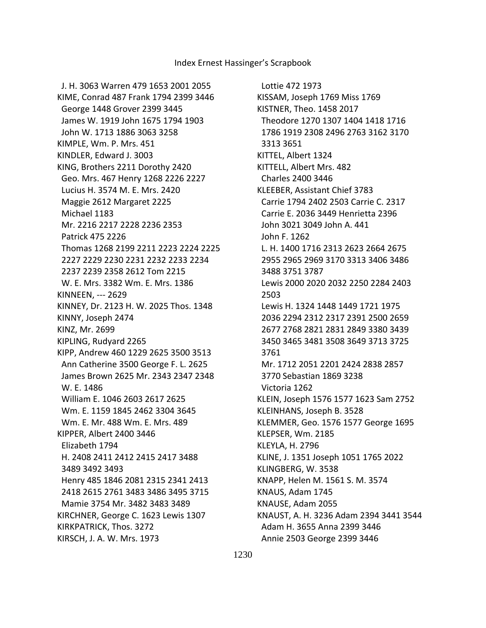J. H. 3063 Warren 479 1653 2001 2055 KIME, Conrad 487 Frank 1794 2399 3446 George 1448 Grover 2399 3445 James W. 1919 John 1675 1794 1903 John W. 1713 1886 3063 3258 KIMPLE, Wm. P. Mrs. 451 KINDLER, Edward J. 3003 KING, Brothers 2211 Dorothy 2420 Geo. Mrs. 467 Henry 1268 2226 2227 Lucius H. 3574 M. E. Mrs. 2420 Maggie 2612 Margaret 2225 Michael 1183 Mr. 2216 2217 2228 2236 2353 Patrick 475 2226 Thomas 1268 2199 2211 2223 2224 2225 2227 2229 2230 2231 2232 2233 2234 2237 2239 2358 2612 Tom 2215 W. E. Mrs. 3382 Wm. E. Mrs. 1386 KINNEEN, --- 2629 KINNEY, Dr. 2123 H. W. 2025 Thos. 1348 KINNY, Joseph 2474 KINZ, Mr. 2699 KIPLING, Rudyard 2265 KIPP, Andrew 460 1229 2625 3500 3513 Ann Catherine 3500 George F. L. 2625 James Brown 2625 Mr. 2343 2347 2348 W. E. 1486 William E. 1046 2603 2617 2625 Wm. E. 1159 1845 2462 3304 3645 Wm. E. Mr. 488 Wm. E. Mrs. 489 KIPPER, Albert 2400 3446 Elizabeth 1794 H. 2408 2411 2412 2415 2417 3488 3489 3492 3493 Henry 485 1846 2081 2315 2341 2413 2418 2615 2761 3483 3486 3495 3715 Mamie 3754 Mr. 3482 3483 3489 KIRCHNER, George C. 1623 Lewis 1307 KIRKPATRICK, Thos. 3272 KIRSCH, J. A. W. Mrs. 1973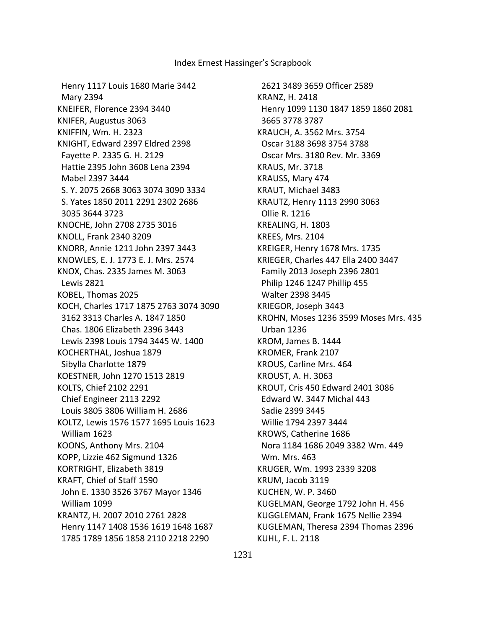Henry 1117 Louis 1680 Marie 3442 Mary 2394 KNEIFER, Florence 2394 3440 KNIFER, Augustus 3063 KNIFFIN, Wm. H. 2323 KNIGHT, Edward 2397 Eldred 2398 Fayette P. 2335 G. H. 2129 Hattie 2395 John 3608 Lena 2394 Mabel 2397 3444 S. Y. 2075 2668 3063 3074 3090 3334 S. Yates 1850 2011 2291 2302 2686 3035 3644 3723 KNOCHE, John 2708 2735 3016 KNOLL, Frank 2340 3209 KNORR, Annie 1211 John 2397 3443 KNOWLES, E. J. 1773 E. J. Mrs. 2574 KNOX, Chas. 2335 James M. 3063 Lewis 2821 KOBEL, Thomas 2025 KOCH, Charles 1717 1875 2763 3074 3090 3162 3313 Charles A. 1847 1850 Chas. 1806 Elizabeth 2396 3443 Lewis 2398 Louis 1794 3445 W. 1400 KOCHERTHAL, Joshua 1879 Sibylla Charlotte 1879 KOESTNER, John 1270 1513 2819 KOLTS, Chief 2102 2291 Chief Engineer 2113 2292 Louis 3805 3806 William H. 2686 KOLTZ, Lewis 1576 1577 1695 Louis 1623 William 1623 KOONS, Anthony Mrs. 2104 KOPP, Lizzie 462 Sigmund 1326 KORTRIGHT, Elizabeth 3819 KRAFT, Chief of Staff 1590 John E. 1330 3526 3767 Mayor 1346 William 1099 KRANTZ, H. 2007 2010 2761 2828 Henry 1147 1408 1536 1619 1648 1687 1785 1789 1856 1858 2110 2218 2290

 2621 3489 3659 Officer 2589 KRANZ, H. 2418 Henry 1099 1130 1847 1859 1860 2081 3665 3778 3787 KRAUCH, A. 3562 Mrs. 3754 Oscar 3188 3698 3754 3788 Oscar Mrs. 3180 Rev. Mr. 3369 KRAUS, Mr. 3718 KRAUSS, Mary 474 KRAUT, Michael 3483 KRAUTZ, Henry 1113 2990 3063 Ollie R. 1216 KREALING, H. 1803 KREES, Mrs. 2104 KREIGER, Henry 1678 Mrs. 1735 KRIEGER, Charles 447 Ella 2400 3447 Family 2013 Joseph 2396 2801 Philip 1246 1247 Phillip 455 Walter 2398 3445 KRIEGOR, Joseph 3443 KROHN, Moses 1236 3599 Moses Mrs. 435 Urban 1236 KROM, James B. 1444 KROMER, Frank 2107 KROUS, Carline Mrs. 464 KROUST, A. H. 3063 KROUT, Cris 450 Edward 2401 3086 Edward W. 3447 Michal 443 Sadie 2399 3445 Willie 1794 2397 3444 KROWS, Catherine 1686 Nora 1184 1686 2049 3382 Wm. 449 Wm. Mrs. 463 KRUGER, Wm. 1993 2339 3208 KRUM, Jacob 3119 KUCHEN, W. P. 3460 KUGELMAN, George 1792 John H. 456 KUGGLEMAN, Frank 1675 Nellie 2394 KUGLEMAN, Theresa 2394 Thomas 2396 KUHL, F. L. 2118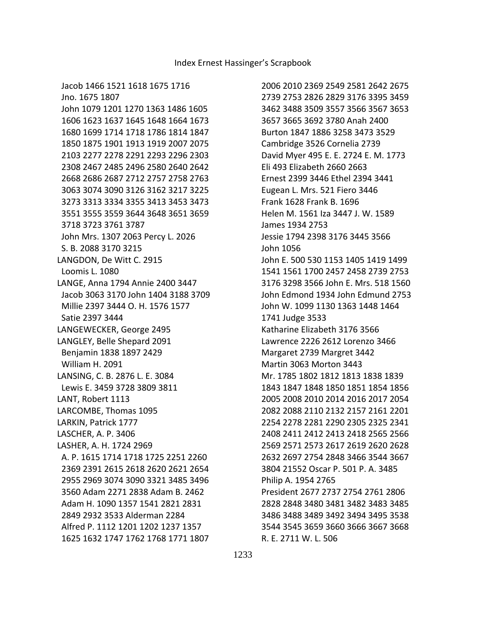Jacob 1466 1521 1618 1675 1716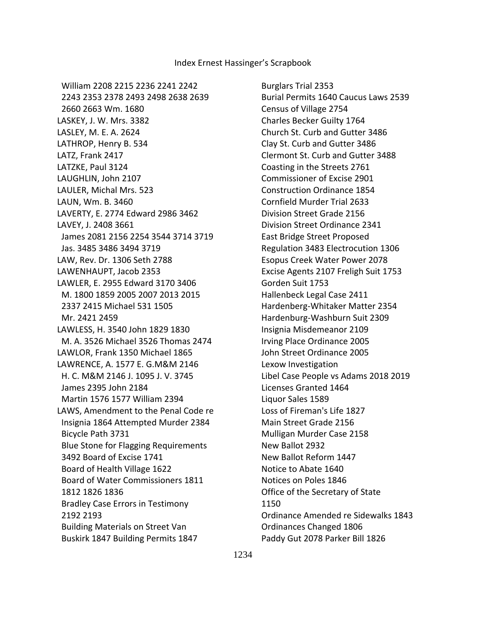William 2208 2215 2236 2241 2242 2243 2353 2378 2493 2498 2638 2639 2660 2663 Wm. 1680 LASKEY, J. W. Mrs. 3382 LASLEY, M. E. A. 2624 LATHROP, Henry B. 534 LATZ, Frank 2417 LATZKE, Paul 3124 LAUGHLIN, John 2107 LAULER, Michal Mrs. 523 LAUN, Wm. B. 3460 LAVERTY, E. 2774 Edward 2986 3462 LAVEY, J. 2408 3661 James 2081 2156 2254 3544 3714 3719 Jas. 3485 3486 3494 3719 LAW, Rev. Dr. 1306 Seth 2788 LAWENHAUPT, Jacob 2353 LAWLER, E. 2955 Edward 3170 3406 M. 1800 1859 2005 2007 2013 2015 2337 2415 Michael 531 1505 Mr. 2421 2459 LAWLESS, H. 3540 John 1829 1830 M. A. 3526 Michael 3526 Thomas 2474 LAWLOR, Frank 1350 Michael 1865 LAWRENCE, A. 1577 E. G.M&M 2146 H. C. M&M 2146 J. 1095 J. V. 3745 James 2395 John 2184 Martin 1576 1577 William 2394 LAWS, Amendment to the Penal Code re Insignia 1864 Attempted Murder 2384 Bicycle Path 3731 Blue Stone for Flagging Requirements 3492 Board of Excise 1741 Board of Health Village 1622 Board of Water Commissioners 1811 1812 1826 1836 Bradley Case Errors in Testimony 2192 2193 Building Materials on Street Van Buskirk 1847 Building Permits 1847

 Burglars Trial 2353 Burial Permits 1640 Caucus Laws 2539 Census of Village 2754 Charles Becker Guilty 1764 Church St. Curb and Gutter 3486 Clay St. Curb and Gutter 3486 Clermont St. Curb and Gutter 3488 Coasting in the Streets 2761 Commissioner of Excise 2901 Construction Ordinance 1854 Cornfield Murder Trial 2633 Division Street Grade 2156 Division Street Ordinance 2341 East Bridge Street Proposed Regulation 3483 Electrocution 1306 Esopus Creek Water Power 2078 Excise Agents 2107 Freligh Suit 1753 Gorden Suit 1753 Hallenbeck Legal Case 2411 Hardenberg-Whitaker Matter 2354 Hardenburg-Washburn Suit 2309 Insignia Misdemeanor 2109 Irving Place Ordinance 2005 John Street Ordinance 2005 Lexow Investigation Libel Case People vs Adams 2018 2019 Licenses Granted 1464 Liquor Sales 1589 Loss of Fireman's Life 1827 Main Street Grade 2156 Mulligan Murder Case 2158 New Ballot 2932 New Ballot Reform 1447 Notice to Abate 1640 Notices on Poles 1846 Office of the Secretary of State 1150 Ordinance Amended re Sidewalks 1843 Ordinances Changed 1806 Paddy Gut 2078 Parker Bill 1826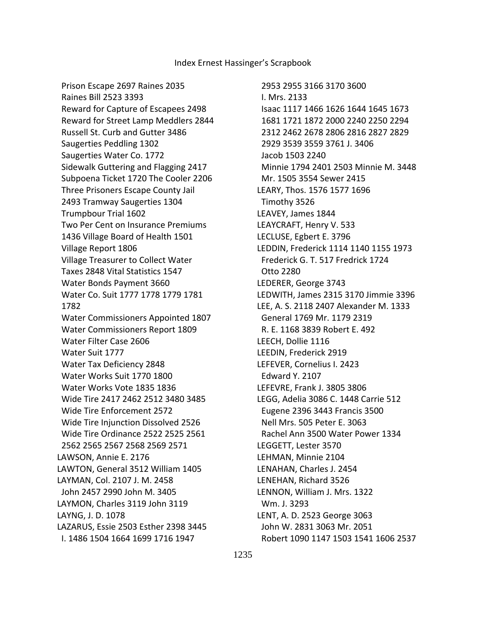Prison Escape 2697 Raines 2035 Raines Bill 2523 3393 Reward for Capture of Escapees 2498 Reward for Street Lamp Meddlers 2844 Russell St. Curb and Gutter 3486 Saugerties Peddling 1302 Saugerties Water Co. 1772 Sidewalk Guttering and Flagging 2417 Subpoena Ticket 1720 The Cooler 2206 Three Prisoners Escape County Jail 2493 Tramway Saugerties 1304 Trumpbour Trial 1602 Two Per Cent on Insurance Premiums 1436 Village Board of Health 1501 Village Report 1806 Village Treasurer to Collect Water Taxes 2848 Vital Statistics 1547 Water Bonds Payment 3660 Water Co. Suit 1777 1778 1779 1781 1782 Water Commissioners Appointed 1807 Water Commissioners Report 1809 Water Filter Case 2606 Water Suit 1777 Water Tax Deficiency 2848 Water Works Suit 1770 1800 Water Works Vote 1835 1836 Wide Tire 2417 2462 2512 3480 3485 Wide Tire Enforcement 2572 Wide Tire Injunction Dissolved 2526 Wide Tire Ordinance 2522 2525 2561 2562 2565 2567 2568 2569 2571 LAWSON, Annie E. 2176 LAWTON, General 3512 William 1405 LAYMAN, Col. 2107 J. M. 2458 John 2457 2990 John M. 3405 LAYMON, Charles 3119 John 3119 LAYNG, J. D. 1078 LAZARUS, Essie 2503 Esther 2398 3445 I. 1486 1504 1664 1699 1716 1947

 2953 2955 3166 3170 3600 I. Mrs. 2133 Isaac 1117 1466 1626 1644 1645 1673 1681 1721 1872 2000 2240 2250 2294 2312 2462 2678 2806 2816 2827 2829 2929 3539 3559 3761 J. 3406 Jacob 1503 2240 Minnie 1794 2401 2503 Minnie M. 3448 Mr. 1505 3554 Sewer 2415 LEARY, Thos. 1576 1577 1696 Timothy 3526 LEAVEY, James 1844 LEAYCRAFT, Henry V. 533 LECLUSE, Egbert E. 3796 LEDDIN, Frederick 1114 1140 1155 1973 Frederick G. T. 517 Fredrick 1724 Otto 2280 LEDERER, George 3743 LEDWITH, James 2315 3170 Jimmie 3396 LEE, A. S. 2118 2407 Alexander M. 1333 General 1769 Mr. 1179 2319 R. E. 1168 3839 Robert E. 492 LEECH, Dollie 1116 LEEDIN, Frederick 2919 LEFEVER, Cornelius I. 2423 Edward Y. 2107 LEFEVRE, Frank J. 3805 3806 LEGG, Adelia 3086 C. 1448 Carrie 512 Eugene 2396 3443 Francis 3500 Nell Mrs. 505 Peter E. 3063 Rachel Ann 3500 Water Power 1334 LEGGETT, Lester 3570 LEHMAN, Minnie 2104 LENAHAN, Charles J. 2454 LENEHAN, Richard 3526 LENNON, William J. Mrs. 1322 Wm. J. 3293 LENT, A. D. 2523 George 3063 John W. 2831 3063 Mr. 2051 Robert 1090 1147 1503 1541 1606 2537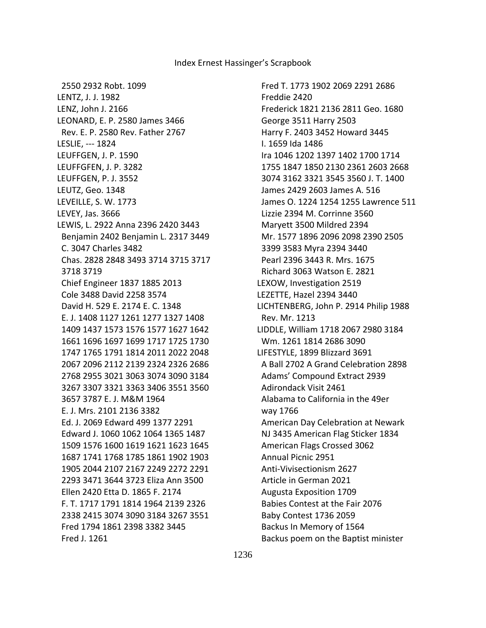Fred T. 1773 1902 2069 2291 2686 Freddie 2420 Frederick 1821 2136 2811 Geo. 1680 George 3511 Harry 2503 Harry F. 2403 3452 Howard 3445 I. 1659 Ida 1486 Ira 1046 1202 1397 1402 1700 1714 1755 1847 1850 2130 2361 2603 2668 3074 3162 3321 3545 3560 J. T. 1400 James 2429 2603 James A. 516 James O. 1224 1254 1255 Lawrence 511 Lizzie 2394 M. Corrinne 3560 Maryett 3500 Mildred 2394 Mr. 1577 1896 2096 2098 2390 2505 3399 3583 Myra 2394 3440 Pearl 2396 3443 R. Mrs. 1675 Richard 3063 Watson E. 2821 LEXOW, Investigation 2519 LEZETTE, Hazel 2394 3440 LICHTENBERG, John P. 2914 Philip 1988 Rev. Mr. 1213 LIDDLE, William 1718 2067 2980 3184 Wm. 1261 1814 2686 3090 LIFESTYLE, 1899 Blizzard 3691 A Ball 2702 A Grand Celebration 2898 Adams' Compound Extract 2939 Adirondack Visit 2461 Alabama to California in the 49er way 1766 American Day Celebration at Newark NJ 3435 American Flag Sticker 1834 American Flags Crossed 3062 Annual Picnic 2951 Anti-Vivisectionism 2627 Article in German 2021 Augusta Exposition 1709 Babies Contest at the Fair 2076 Baby Contest 1736 2059 Backus In Memory of 1564 Backus poem on the Baptist minister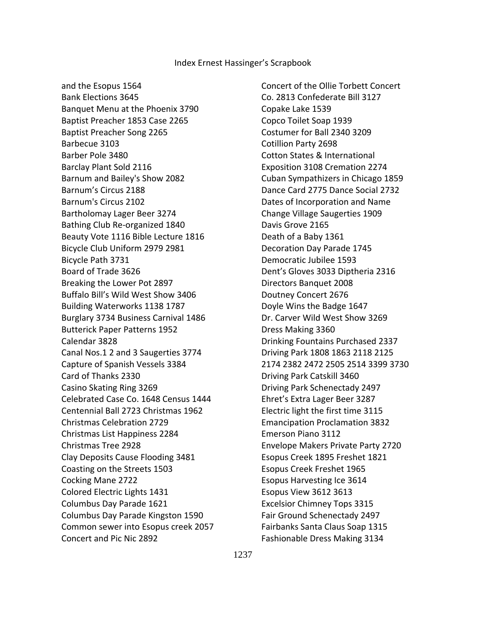and the Esopus 1564 Bank Elections 3645 Banquet Menu at the Phoenix 3790 Baptist Preacher 1853 Case 2265 Baptist Preacher Song 2265 Barbecue 3103 Barber Pole 3480 Barclay Plant Sold 2116 Barnum and Bailey's Show 2082 Barnum's Circus 2188 Barnum's Circus 2102 Bartholomay Lager Beer 3274 Bathing Club Re-organized 1840 Beauty Vote 1116 Bible Lecture 1816 Bicycle Club Uniform 2979 2981 Bicycle Path 3731 Board of Trade 3626 Breaking the Lower Pot 2897 Buffalo Bill's Wild West Show 3406 Building Waterworks 1138 1787 Burglary 3734 Business Carnival 1486 Butterick Paper Patterns 1952 Calendar 3828 Canal Nos.1 2 and 3 Saugerties 3774 Capture of Spanish Vessels 3384 Card of Thanks 2330 Casino Skating Ring 3269 Celebrated Case Co. 1648 Census 1444 Centennial Ball 2723 Christmas 1962 Christmas Celebration 2729 Christmas List Happiness 2284 Christmas Tree 2928 Clay Deposits Cause Flooding 3481 Coasting on the Streets 1503 Cocking Mane 2722 Colored Electric Lights 1431 Columbus Day Parade 1621 Columbus Day Parade Kingston 1590 Common sewer into Esopus creek 2057 Concert and Pic Nic 2892

 Concert of the Ollie Torbett Concert Co. 2813 Confederate Bill 3127 Copake Lake 1539 Copco Toilet Soap 1939 Costumer for Ball 2340 3209 Cotillion Party 2698 Cotton States & International Exposition 3108 Cremation 2274 Cuban Sympathizers in Chicago 1859 Dance Card 2775 Dance Social 2732 Dates of Incorporation and Name Change Village Saugerties 1909 Davis Grove 2165 Death of a Baby 1361 Decoration Day Parade 1745 Democratic Jubilee 1593 Dent's Gloves 3033 Diptheria 2316 Directors Banquet 2008 Doutney Concert 2676 Doyle Wins the Badge 1647 Dr. Carver Wild West Show 3269 Dress Making 3360 Drinking Fountains Purchased 2337 Driving Park 1808 1863 2118 2125 2174 2382 2472 2505 2514 3399 3730 Driving Park Catskill 3460 Driving Park Schenectady 2497 Ehret's Extra Lager Beer 3287 Electric light the first time 3115 Emancipation Proclamation 3832 Emerson Piano 3112 Envelope Makers Private Party 2720 Esopus Creek 1895 Freshet 1821 Esopus Creek Freshet 1965 Esopus Harvesting Ice 3614 Esopus View 3612 3613 Excelsior Chimney Tops 3315 Fair Ground Schenectady 2497 Fairbanks Santa Claus Soap 1315 Fashionable Dress Making 3134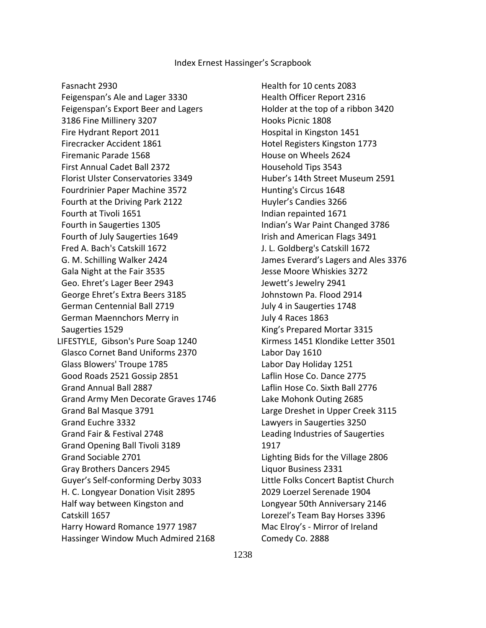Fasnacht 2930

 Feigenspan's Ale and Lager 3330 Feigenspan's Export Beer and Lagers 3186 Fine Millinery 3207 Fire Hydrant Report 2011 Firecracker Accident 1861 Firemanic Parade 1568 First Annual Cadet Ball 2372 Florist Ulster Conservatories 3349 Fourdrinier Paper Machine 3572 Fourth at the Driving Park 2122 Fourth at Tivoli 1651 Fourth in Saugerties 1305 Fourth of July Saugerties 1649 Fred A. Bach's Catskill 1672 G. M. Schilling Walker 2424 Gala Night at the Fair 3535 Geo. Ehret's Lager Beer 2943 George Ehret's Extra Beers 3185 German Centennial Ball 2719 German Maennchors Merry in Saugerties 1529 LIFESTYLE, Gibson's Pure Soap 1240 Glasco Cornet Band Uniforms 2370 Glass Blowers' Troupe 1785 Good Roads 2521 Gossip 2851 Grand Annual Ball 2887 Grand Army Men Decorate Graves 1746 Grand Bal Masque 3791 Grand Euchre 3332 Grand Fair & Festival 2748 Grand Opening Ball Tivoli 3189 Grand Sociable 2701 Gray Brothers Dancers 2945 Guyer's Self-conforming Derby 3033 H. C. Longyear Donation Visit 2895 Half way between Kingston and Catskill 1657 Harry Howard Romance 1977 1987 Hassinger Window Much Admired 2168  Health for 10 cents 2083 Health Officer Report 2316 Holder at the top of a ribbon 3420 Hooks Picnic 1808 Hospital in Kingston 1451 Hotel Registers Kingston 1773 House on Wheels 2624 Household Tips 3543 Huber's 14th Street Museum 2591 Hunting's Circus 1648 Huyler's Candies 3266 Indian repainted 1671 Indian's War Paint Changed 3786 Irish and American Flags 3491 J. L. Goldberg's Catskill 1672 James Everard's Lagers and Ales 3376 Jesse Moore Whiskies 3272 Jewett's Jewelry 2941 Johnstown Pa. Flood 2914 July 4 in Saugerties 1748 July 4 Races 1863 King's Prepared Mortar 3315 Kirmess 1451 Klondike Letter 3501 Labor Day 1610 Labor Day Holiday 1251 Laflin Hose Co. Dance 2775 Laflin Hose Co. Sixth Ball 2776 Lake Mohonk Outing 2685 Large Dreshet in Upper Creek 3115 Lawyers in Saugerties 3250 Leading Industries of Saugerties 1917 Lighting Bids for the Village 2806 Liquor Business 2331 Little Folks Concert Baptist Church 2029 Loerzel Serenade 1904 Longyear 50th Anniversary 2146 Lorezel's Team Bay Horses 3396 Mac Elroy's - Mirror of Ireland Comedy Co. 2888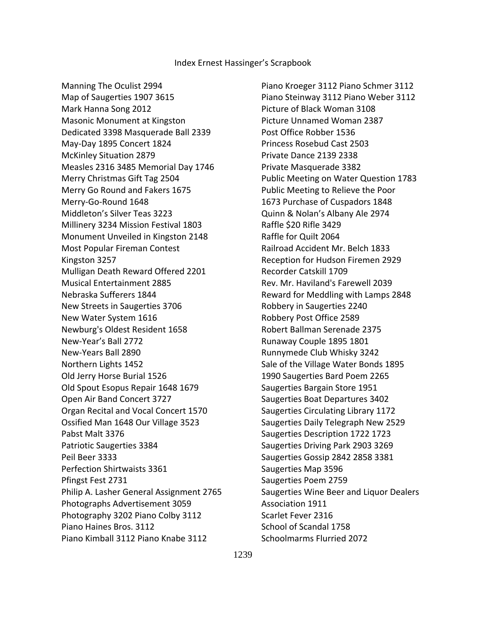Manning The Oculist 2994 Map of Saugerties 1907 3615 Mark Hanna Song 2012 Masonic Monument at Kingston Dedicated 3398 Masquerade Ball 2339 May-Day 1895 Concert 1824 McKinley Situation 2879 Measles 2316 3485 Memorial Day 1746 Merry Christmas Gift Tag 2504 Merry Go Round and Fakers 1675 Merry-Go-Round 1648 Middleton's Silver Teas 3223 Millinery 3234 Mission Festival 1803 Monument Unveiled in Kingston 2148 Most Popular Fireman Contest Kingston 3257 Mulligan Death Reward Offered 2201 Musical Entertainment 2885 Nebraska Sufferers 1844 New Streets in Saugerties 3706 New Water System 1616 Newburg's Oldest Resident 1658 New-Year's Ball 2772 New-Years Ball 2890 Northern Lights 1452 Old Jerry Horse Burial 1526 Old Spout Esopus Repair 1648 1679 Open Air Band Concert 3727 Organ Recital and Vocal Concert 1570 Ossified Man 1648 Our Village 3523 Pabst Malt 3376 Patriotic Saugerties 3384 Peil Beer 3333 Perfection Shirtwaists 3361 Pfingst Fest 2731 Philip A. Lasher General Assignment 2765 Photographs Advertisement 3059 Photography 3202 Piano Colby 3112 Piano Haines Bros. 3112 Piano Kimball 3112 Piano Knabe 3112

 Piano Kroeger 3112 Piano Schmer 3112 Piano Steinway 3112 Piano Weber 3112 Picture of Black Woman 3108 Picture Unnamed Woman 2387 Post Office Robber 1536 Princess Rosebud Cast 2503 Private Dance 2139 2338 Private Masquerade 3382 Public Meeting on Water Question 1783 Public Meeting to Relieve the Poor 1673 Purchase of Cuspadors 1848 Quinn & Nolan's Albany Ale 2974 Raffle \$20 Rifle 3429 Raffle for Quilt 2064 Railroad Accident Mr. Belch 1833 Reception for Hudson Firemen 2929 Recorder Catskill 1709 Rev. Mr. Haviland's Farewell 2039 Reward for Meddling with Lamps 2848 Robbery in Saugerties 2240 Robbery Post Office 2589 Robert Ballman Serenade 2375 Runaway Couple 1895 1801 Runnymede Club Whisky 3242 Sale of the Village Water Bonds 1895 1990 Saugerties Bard Poem 2265 Saugerties Bargain Store 1951 Saugerties Boat Departures 3402 Saugerties Circulating Library 1172 Saugerties Daily Telegraph New 2529 Saugerties Description 1722 1723 Saugerties Driving Park 2903 3269 Saugerties Gossip 2842 2858 3381 Saugerties Map 3596 Saugerties Poem 2759 Saugerties Wine Beer and Liquor Dealers Association 1911 Scarlet Fever 2316 School of Scandal 1758 Schoolmarms Flurried 2072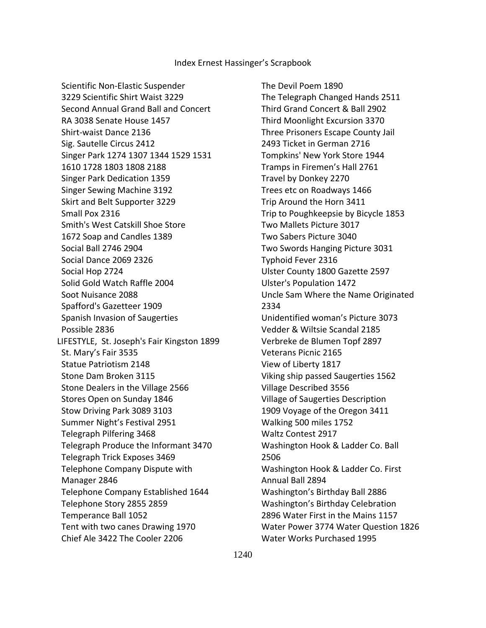Scientific Non-Elastic Suspender 3229 Scientific Shirt Waist 3229 Second Annual Grand Ball and Concert RA 3038 Senate House 1457 Shirt-waist Dance 2136 Sig. Sautelle Circus 2412 Singer Park 1274 1307 1344 1529 1531 1610 1728 1803 1808 2188 Singer Park Dedication 1359 Singer Sewing Machine 3192 Skirt and Belt Supporter 3229 Small Pox 2316 Smith's West Catskill Shoe Store 1672 Soap and Candles 1389 Social Ball 2746 2904 Social Dance 2069 2326 Social Hop 2724 Solid Gold Watch Raffle 2004 Soot Nuisance 2088 Spafford's Gazetteer 1909 Spanish Invasion of Saugerties Possible 2836 LIFESTYLE, St. Joseph's Fair Kingston 1899 St. Mary's Fair 3535 Statue Patriotism 2148 Stone Dam Broken 3115 Stone Dealers in the Village 2566 Stores Open on Sunday 1846 Stow Driving Park 3089 3103 Summer Night's Festival 2951 Telegraph Pilfering 3468 Telegraph Produce the Informant 3470 Telegraph Trick Exposes 3469 Telephone Company Dispute with Manager 2846 Telephone Company Established 1644 Telephone Story 2855 2859 Temperance Ball 1052 Tent with two canes Drawing 1970 Chief Ale 3422 The Cooler 2206

 The Devil Poem 1890 The Telegraph Changed Hands 2511 Third Grand Concert & Ball 2902 Third Moonlight Excursion 3370 Three Prisoners Escape County Jail 2493 Ticket in German 2716 Tompkins' New York Store 1944 Tramps in Firemen's Hall 2761 Travel by Donkey 2270 Trees etc on Roadways 1466 Trip Around the Horn 3411 Trip to Poughkeepsie by Bicycle 1853 Two Mallets Picture 3017 Two Sabers Picture 3040 Two Swords Hanging Picture 3031 Typhoid Fever 2316 Ulster County 1800 Gazette 2597 Ulster's Population 1472 Uncle Sam Where the Name Originated 2334 Unidentified woman's Picture 3073 Vedder & Wiltsie Scandal 2185 Verbreke de Blumen Topf 2897 Veterans Picnic 2165 View of Liberty 1817 Viking ship passed Saugerties 1562 Village Described 3556 Village of Saugerties Description 1909 Voyage of the Oregon 3411 Walking 500 miles 1752 Waltz Contest 2917 Washington Hook & Ladder Co. Ball 2506 Washington Hook & Ladder Co. First Annual Ball 2894 Washington's Birthday Ball 2886 Washington's Birthday Celebration 2896 Water First in the Mains 1157 Water Power 3774 Water Question 1826 Water Works Purchased 1995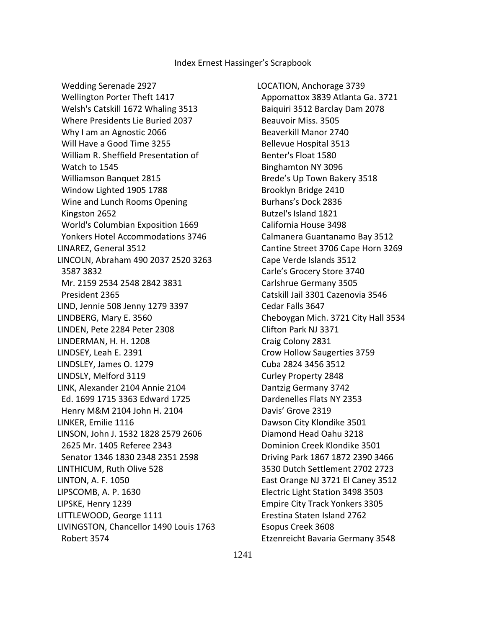Wedding Serenade 2927 Wellington Porter Theft 1417 Welsh's Catskill 1672 Whaling 3513 Where Presidents Lie Buried 2037 Why I am an Agnostic 2066 Will Have a Good Time 3255 William R. Sheffield Presentation of Watch to 1545 Williamson Banquet 2815 Window Lighted 1905 1788 Wine and Lunch Rooms Opening Kingston 2652 World's Columbian Exposition 1669 Yonkers Hotel Accommodations 3746 LINAREZ, General 3512 LINCOLN, Abraham 490 2037 2520 3263 3587 3832 Mr. 2159 2534 2548 2842 3831 President 2365 LIND, Jennie 508 Jenny 1279 3397 LINDBERG, Mary E. 3560 LINDEN, Pete 2284 Peter 2308 LINDERMAN, H. H. 1208 LINDSEY, Leah E. 2391 LINDSLEY, James O. 1279 LINDSLY, Melford 3119 LINK, Alexander 2104 Annie 2104 Ed. 1699 1715 3363 Edward 1725 Henry M&M 2104 John H. 2104 LINKER, Emilie 1116 LINSON, John J. 1532 1828 2579 2606 2625 Mr. 1405 Referee 2343 Senator 1346 1830 2348 2351 2598 LINTHICUM, Ruth Olive 528 LINTON, A. F. 1050 LIPSCOMB, A. P. 1630 LIPSKE, Henry 1239 LITTLEWOOD, George 1111 LIVINGSTON, Chancellor 1490 Louis 1763 Robert 3574

LOCATION, Anchorage 3739 Appomattox 3839 Atlanta Ga. 3721 Baiquiri 3512 Barclay Dam 2078 Beauvoir Miss. 3505 Beaverkill Manor 2740 Bellevue Hospital 3513 Benter's Float 1580 Binghamton NY 3096 Brede's Up Town Bakery 3518 Brooklyn Bridge 2410 Burhans's Dock 2836 Butzel's Island 1821 California House 3498 Calmanera Guantanamo Bay 3512 Cantine Street 3706 Cape Horn 3269 Cape Verde Islands 3512 Carle's Grocery Store 3740 Carlshrue Germany 3505 Catskill Jail 3301 Cazenovia 3546 Cedar Falls 3647 Cheboygan Mich. 3721 City Hall 3534 Clifton Park NJ 3371 Craig Colony 2831 Crow Hollow Saugerties 3759 Cuba 2824 3456 3512 Curley Property 2848 Dantzig Germany 3742 Dardenelles Flats NY 2353 Davis' Grove 2319 Dawson City Klondike 3501 Diamond Head Oahu 3218 Dominion Creek Klondike 3501 Driving Park 1867 1872 2390 3466 3530 Dutch Settlement 2702 2723 East Orange NJ 3721 El Caney 3512 Electric Light Station 3498 3503 Empire City Track Yonkers 3305 Erestina Staten Island 2762 Esopus Creek 3608 Etzenreicht Bavaria Germany 3548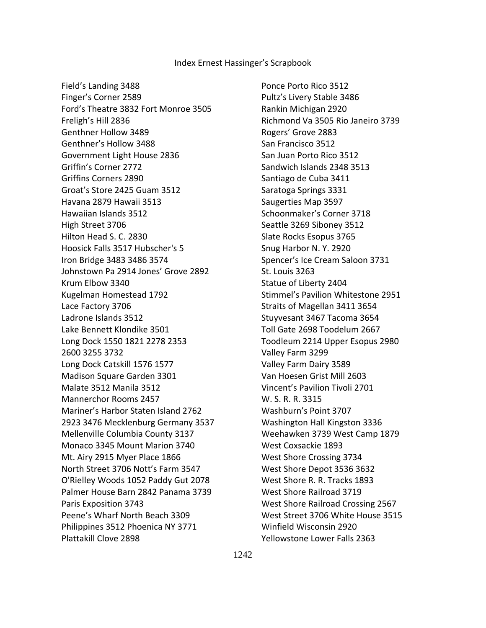Field's Landing 3488 Finger's Corner 2589 Ford's Theatre 3832 Fort Monroe 3505 Freligh's Hill 2836 Genthner Hollow 3489 Genthner's Hollow 3488 Government Light House 2836 Griffin's Corner 2772 Griffins Corners 2890 Groat's Store 2425 Guam 3512 Havana 2879 Hawaii 3513 Hawaiian Islands 3512 High Street 3706 Hilton Head S. C. 2830 Hoosick Falls 3517 Hubscher's 5 Iron Bridge 3483 3486 3574 Johnstown Pa 2914 Jones' Grove 2892 Krum Elbow 3340 Kugelman Homestead 1792 Lace Factory 3706 Ladrone Islands 3512 Lake Bennett Klondike 3501 Long Dock 1550 1821 2278 2353 2600 3255 3732 Long Dock Catskill 1576 1577 Madison Square Garden 3301 Malate 3512 Manila 3512 Mannerchor Rooms 2457 Mariner's Harbor Staten Island 2762 2923 3476 Mecklenburg Germany 3537 Mellenville Columbia County 3137 Monaco 3345 Mount Marion 3740 Mt. Airy 2915 Myer Place 1866 North Street 3706 Nott's Farm 3547 O'Rielley Woods 1052 Paddy Gut 2078 Palmer House Barn 2842 Panama 3739 Paris Exposition 3743 Peene's Wharf North Beach 3309 Philippines 3512 Phoenica NY 3771 Plattakill Clove 2898

 Ponce Porto Rico 3512 Pultz's Livery Stable 3486 Rankin Michigan 2920 Richmond Va 3505 Rio Janeiro 3739 Rogers' Grove 2883 San Francisco 3512 San Juan Porto Rico 3512 Sandwich Islands 2348 3513 Santiago de Cuba 3411 Saratoga Springs 3331 Saugerties Map 3597 Schoonmaker's Corner 3718 Seattle 3269 Siboney 3512 Slate Rocks Esopus 3765 Snug Harbor N. Y. 2920 Spencer's Ice Cream Saloon 3731 St. Louis 3263 Statue of Liberty 2404 Stimmel's Pavilion Whitestone 2951 Straits of Magellan 3411 3654 Stuyvesant 3467 Tacoma 3654 Toll Gate 2698 Toodelum 2667 Toodleum 2214 Upper Esopus 2980 Valley Farm 3299 Valley Farm Dairy 3589 Van Hoesen Grist Mill 2603 Vincent's Pavilion Tivoli 2701 W. S. R. R. 3315 Washburn's Point 3707 Washington Hall Kingston 3336 Weehawken 3739 West Camp 1879 West Coxsackie 1893 West Shore Crossing 3734 West Shore Depot 3536 3632 West Shore R. R. Tracks 1893 West Shore Railroad 3719 West Shore Railroad Crossing 2567 West Street 3706 White House 3515 Winfield Wisconsin 2920 Yellowstone Lower Falls 2363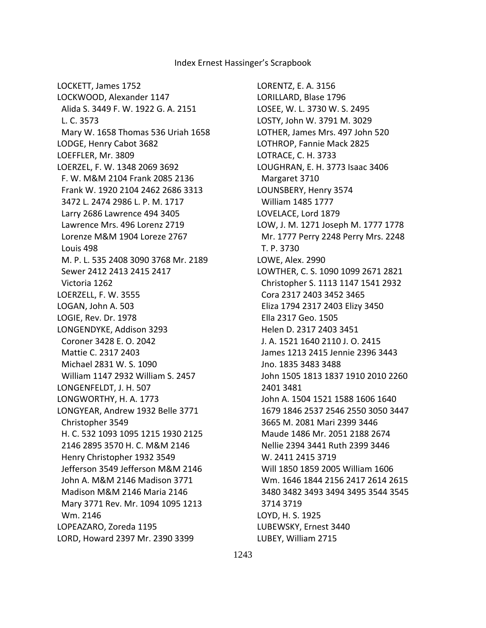LOCKETT, James 1752 LOCKWOOD, Alexander 1147 Alida S. 3449 F. W. 1922 G. A. 2151 L. C. 3573 Mary W. 1658 Thomas 536 Uriah 1658 LODGE, Henry Cabot 3682 LOEFFLER, Mr. 3809 LOERZEL, F. W. 1348 2069 3692 F. W. M&M 2104 Frank 2085 2136 Frank W. 1920 2104 2462 2686 3313 3472 L. 2474 2986 L. P. M. 1717 Larry 2686 Lawrence 494 3405 Lawrence Mrs. 496 Lorenz 2719 Lorenze M&M 1904 Loreze 2767 Louis 498 M. P. L. 535 2408 3090 3768 Mr. 2189 Sewer 2412 2413 2415 2417 Victoria 1262 LOERZELL, F. W. 3555 LOGAN, John A. 503 LOGIE, Rev. Dr. 1978 LONGENDYKE, Addison 3293 Coroner 3428 E. O. 2042 Mattie C. 2317 2403 Michael 2831 W. S. 1090 William 1147 2932 William S. 2457 LONGENFELDT, J. H. 507 LONGWORTHY, H. A. 1773 LONGYEAR, Andrew 1932 Belle 3771 Christopher 3549 H. C. 532 1093 1095 1215 1930 2125 2146 2895 3570 H. C. M&M 2146 Henry Christopher 1932 3549 Jefferson 3549 Jefferson M&M 2146 John A. M&M 2146 Madison 3771 Madison M&M 2146 Maria 2146 Mary 3771 Rev. Mr. 1094 1095 1213 Wm. 2146 LOPEAZARO, Zoreda 1195 LORD, Howard 2397 Mr. 2390 3399

LORENTZ, E. A. 3156 LORILLARD, Blase 1796 LOSEE, W. L. 3730 W. S. 2495 LOSTY, John W. 3791 M. 3029 LOTHER, James Mrs. 497 John 520 LOTHROP, Fannie Mack 2825 LOTRACE, C. H. 3733 LOUGHRAN, E. H. 3773 Isaac 3406 Margaret 3710 LOUNSBERY, Henry 3574 William 1485 1777 LOVELACE, Lord 1879 LOW, J. M. 1271 Joseph M. 1777 1778 Mr. 1777 Perry 2248 Perry Mrs. 2248 T. P. 3730 LOWE, Alex. 2990 LOWTHER, C. S. 1090 1099 2671 2821 Christopher S. 1113 1147 1541 2932 Cora 2317 2403 3452 3465 Eliza 1794 2317 2403 Elizy 3450 Ella 2317 Geo. 1505 Helen D. 2317 2403 3451 J. A. 1521 1640 2110 J. O. 2415 James 1213 2415 Jennie 2396 3443 Jno. 1835 3483 3488 John 1505 1813 1837 1910 2010 2260 2401 3481 John A. 1504 1521 1588 1606 1640 1679 1846 2537 2546 2550 3050 3447 3665 M. 2081 Mari 2399 3446 Maude 1486 Mr. 2051 2188 2674 Nellie 2394 3441 Ruth 2399 3446 W. 2411 2415 3719 Will 1850 1859 2005 William 1606 Wm. 1646 1844 2156 2417 2614 2615 3480 3482 3493 3494 3495 3544 3545 3714 3719 LOYD, H. S. 1925 LUBEWSKY, Ernest 3440 LUBEY, William 2715